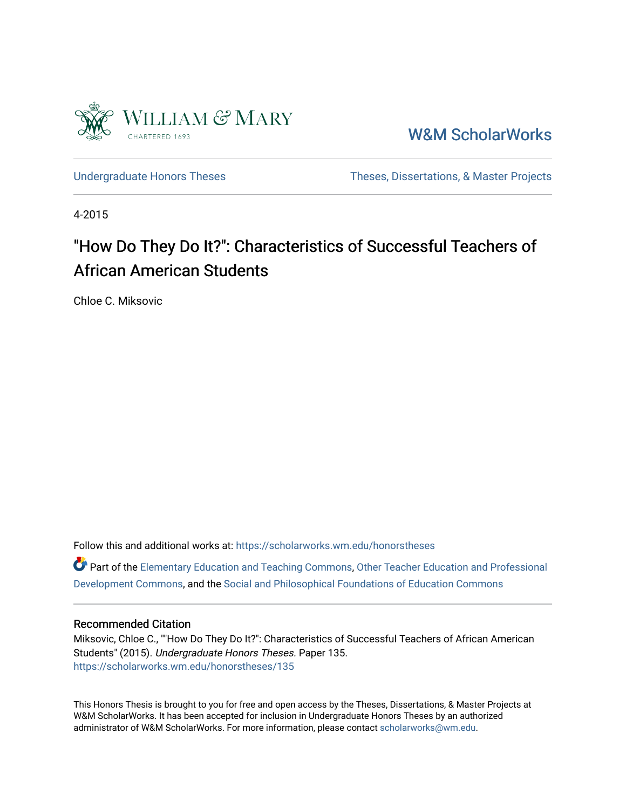

[W&M ScholarWorks](https://scholarworks.wm.edu/) 

[Undergraduate Honors Theses](https://scholarworks.wm.edu/honorstheses) Theses Theses, Dissertations, & Master Projects

4-2015

# "How Do They Do It?": Characteristics of Successful Teachers of African American Students

Chloe C. Miksovic

Follow this and additional works at: [https://scholarworks.wm.edu/honorstheses](https://scholarworks.wm.edu/honorstheses?utm_source=scholarworks.wm.edu%2Fhonorstheses%2F135&utm_medium=PDF&utm_campaign=PDFCoverPages) 

Part of the [Elementary Education and Teaching Commons,](http://network.bepress.com/hgg/discipline/805?utm_source=scholarworks.wm.edu%2Fhonorstheses%2F135&utm_medium=PDF&utm_campaign=PDFCoverPages) Other Teacher Education and Professional [Development Commons](http://network.bepress.com/hgg/discipline/810?utm_source=scholarworks.wm.edu%2Fhonorstheses%2F135&utm_medium=PDF&utm_campaign=PDFCoverPages), and the [Social and Philosophical Foundations of Education Commons](http://network.bepress.com/hgg/discipline/799?utm_source=scholarworks.wm.edu%2Fhonorstheses%2F135&utm_medium=PDF&utm_campaign=PDFCoverPages) 

#### Recommended Citation

Miksovic, Chloe C., ""How Do They Do It?": Characteristics of Successful Teachers of African American Students" (2015). Undergraduate Honors Theses. Paper 135. [https://scholarworks.wm.edu/honorstheses/135](https://scholarworks.wm.edu/honorstheses/135?utm_source=scholarworks.wm.edu%2Fhonorstheses%2F135&utm_medium=PDF&utm_campaign=PDFCoverPages) 

This Honors Thesis is brought to you for free and open access by the Theses, Dissertations, & Master Projects at W&M ScholarWorks. It has been accepted for inclusion in Undergraduate Honors Theses by an authorized administrator of W&M ScholarWorks. For more information, please contact [scholarworks@wm.edu.](mailto:scholarworks@wm.edu)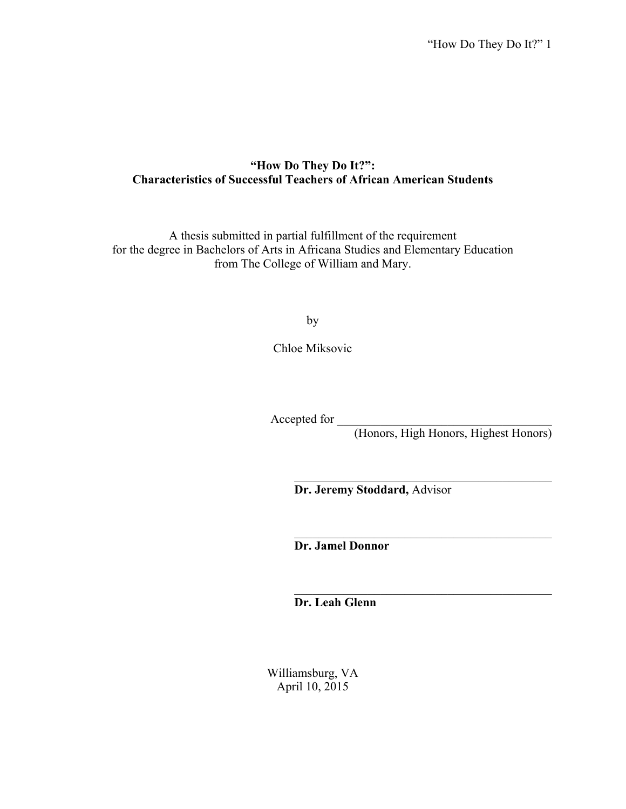# **"How Do They Do It?": Characteristics of Successful Teachers of African American Students**

A thesis submitted in partial fulfillment of the requirement for the degree in Bachelors of Arts in Africana Studies and Elementary Education from The College of William and Mary.

by

Chloe Miksovic

Accepted for \_\_\_\_\_\_\_\_\_\_\_\_\_\_\_\_\_\_\_\_\_\_\_\_\_\_\_\_\_\_\_\_\_\_\_

(Honors, High Honors, Highest Honors)

 $\mathcal{L}_\text{max}$  , where  $\mathcal{L}_\text{max}$  and  $\mathcal{L}_\text{max}$  and  $\mathcal{L}_\text{max}$  and  $\mathcal{L}_\text{max}$ 

 $\mathcal{L}_\text{max}$  , where  $\mathcal{L}_\text{max}$  and  $\mathcal{L}_\text{max}$  and  $\mathcal{L}_\text{max}$  and  $\mathcal{L}_\text{max}$ 

 $\mathcal{L}_\text{max}$  , where  $\mathcal{L}_\text{max}$  and  $\mathcal{L}_\text{max}$  and  $\mathcal{L}_\text{max}$  and  $\mathcal{L}_\text{max}$ 

**Dr. Jeremy Stoddard,** Advisor

**Dr. Jamel Donnor**

**Dr. Leah Glenn**

Williamsburg, VA April 10, 2015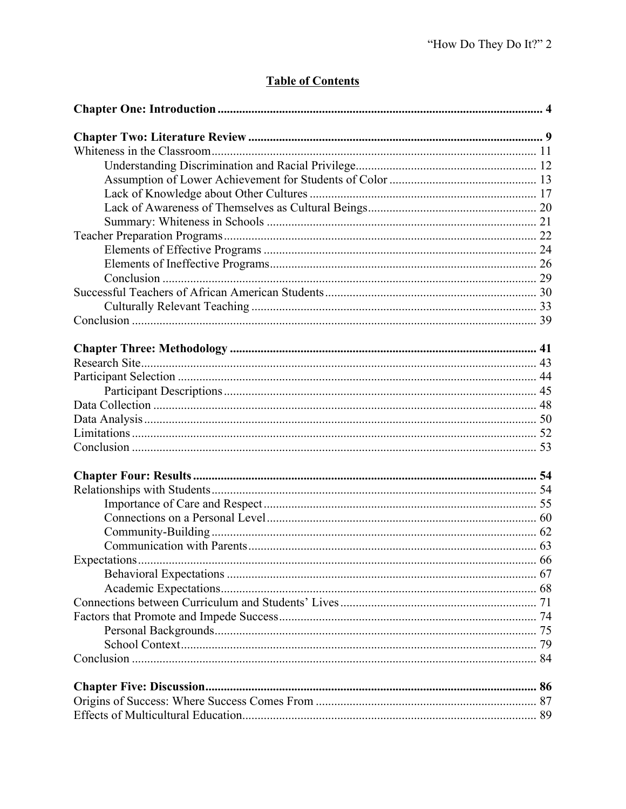# **Table of Contents**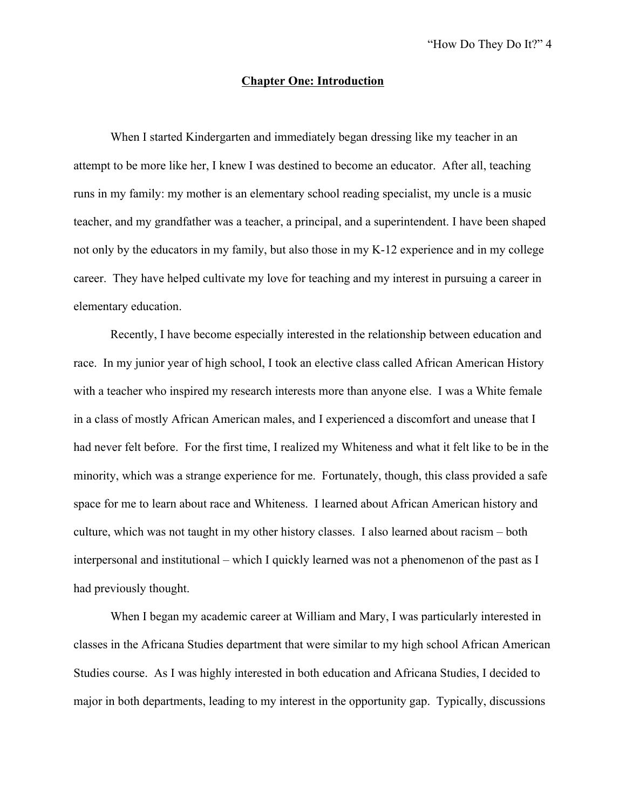#### **Chapter One: Introduction**

When I started Kindergarten and immediately began dressing like my teacher in an attempt to be more like her, I knew I was destined to become an educator. After all, teaching runs in my family: my mother is an elementary school reading specialist, my uncle is a music teacher, and my grandfather was a teacher, a principal, and a superintendent. I have been shaped not only by the educators in my family, but also those in my K-12 experience and in my college career. They have helped cultivate my love for teaching and my interest in pursuing a career in elementary education.

Recently, I have become especially interested in the relationship between education and race. In my junior year of high school, I took an elective class called African American History with a teacher who inspired my research interests more than anyone else. I was a White female in a class of mostly African American males, and I experienced a discomfort and unease that I had never felt before. For the first time, I realized my Whiteness and what it felt like to be in the minority, which was a strange experience for me. Fortunately, though, this class provided a safe space for me to learn about race and Whiteness. I learned about African American history and culture, which was not taught in my other history classes. I also learned about racism – both interpersonal and institutional – which I quickly learned was not a phenomenon of the past as I had previously thought.

When I began my academic career at William and Mary, I was particularly interested in classes in the Africana Studies department that were similar to my high school African American Studies course. As I was highly interested in both education and Africana Studies, I decided to major in both departments, leading to my interest in the opportunity gap. Typically, discussions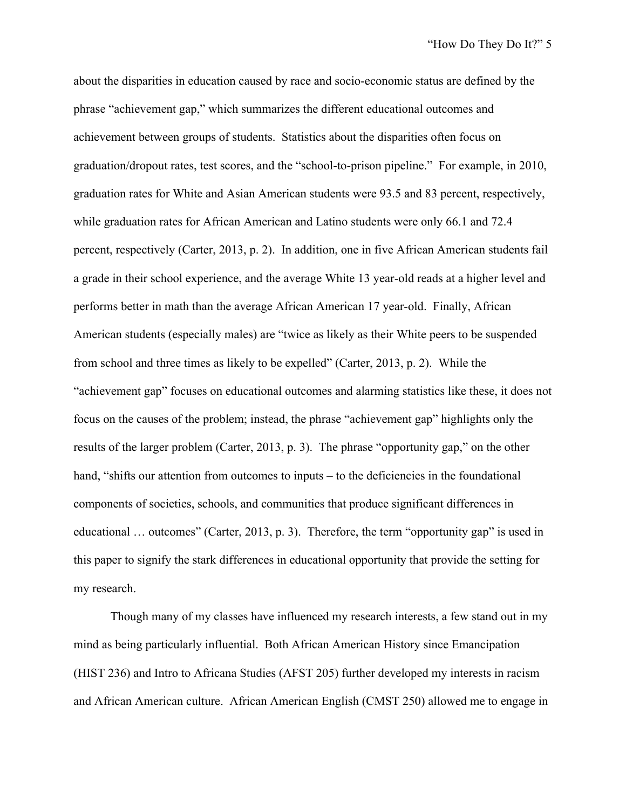about the disparities in education caused by race and socio-economic status are defined by the phrase "achievement gap," which summarizes the different educational outcomes and achievement between groups of students. Statistics about the disparities often focus on graduation/dropout rates, test scores, and the "school-to-prison pipeline." For example, in 2010, graduation rates for White and Asian American students were 93.5 and 83 percent, respectively, while graduation rates for African American and Latino students were only 66.1 and 72.4 percent, respectively (Carter, 2013, p. 2). In addition, one in five African American students fail a grade in their school experience, and the average White 13 year-old reads at a higher level and performs better in math than the average African American 17 year-old. Finally, African American students (especially males) are "twice as likely as their White peers to be suspended from school and three times as likely to be expelled" (Carter, 2013, p. 2). While the "achievement gap" focuses on educational outcomes and alarming statistics like these, it does not focus on the causes of the problem; instead, the phrase "achievement gap" highlights only the results of the larger problem (Carter, 2013, p. 3). The phrase "opportunity gap," on the other hand, "shifts our attention from outcomes to inputs – to the deficiencies in the foundational components of societies, schools, and communities that produce significant differences in educational … outcomes" (Carter, 2013, p. 3). Therefore, the term "opportunity gap" is used in this paper to signify the stark differences in educational opportunity that provide the setting for my research.

Though many of my classes have influenced my research interests, a few stand out in my mind as being particularly influential. Both African American History since Emancipation (HIST 236) and Intro to Africana Studies (AFST 205) further developed my interests in racism and African American culture. African American English (CMST 250) allowed me to engage in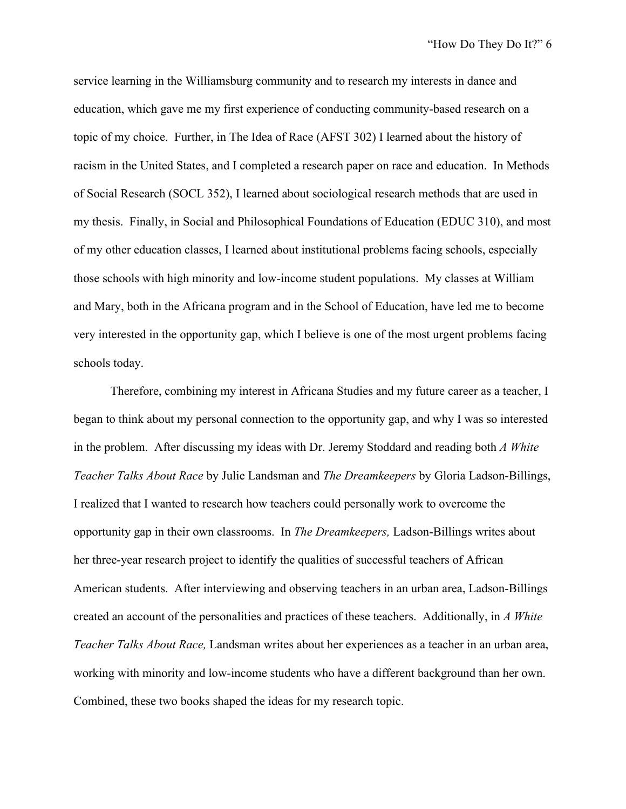service learning in the Williamsburg community and to research my interests in dance and education, which gave me my first experience of conducting community-based research on a topic of my choice. Further, in The Idea of Race (AFST 302) I learned about the history of racism in the United States, and I completed a research paper on race and education. In Methods of Social Research (SOCL 352), I learned about sociological research methods that are used in my thesis. Finally, in Social and Philosophical Foundations of Education (EDUC 310), and most of my other education classes, I learned about institutional problems facing schools, especially those schools with high minority and low-income student populations. My classes at William and Mary, both in the Africana program and in the School of Education, have led me to become very interested in the opportunity gap, which I believe is one of the most urgent problems facing schools today.

Therefore, combining my interest in Africana Studies and my future career as a teacher, I began to think about my personal connection to the opportunity gap, and why I was so interested in the problem. After discussing my ideas with Dr. Jeremy Stoddard and reading both *A White Teacher Talks About Race* by Julie Landsman and *The Dreamkeepers* by Gloria Ladson-Billings, I realized that I wanted to research how teachers could personally work to overcome the opportunity gap in their own classrooms. In *The Dreamkeepers,* Ladson-Billings writes about her three-year research project to identify the qualities of successful teachers of African American students. After interviewing and observing teachers in an urban area, Ladson-Billings created an account of the personalities and practices of these teachers. Additionally, in *A White Teacher Talks About Race,* Landsman writes about her experiences as a teacher in an urban area, working with minority and low-income students who have a different background than her own. Combined, these two books shaped the ideas for my research topic.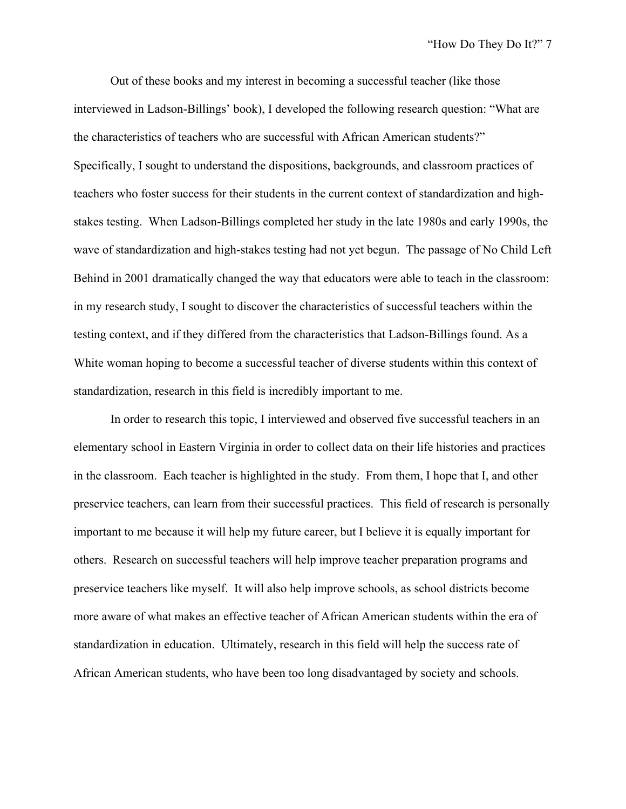Out of these books and my interest in becoming a successful teacher (like those interviewed in Ladson-Billings' book), I developed the following research question: "What are the characteristics of teachers who are successful with African American students?" Specifically, I sought to understand the dispositions, backgrounds, and classroom practices of teachers who foster success for their students in the current context of standardization and highstakes testing. When Ladson-Billings completed her study in the late 1980s and early 1990s, the wave of standardization and high-stakes testing had not yet begun. The passage of No Child Left Behind in 2001 dramatically changed the way that educators were able to teach in the classroom: in my research study, I sought to discover the characteristics of successful teachers within the testing context, and if they differed from the characteristics that Ladson-Billings found. As a White woman hoping to become a successful teacher of diverse students within this context of standardization, research in this field is incredibly important to me.

In order to research this topic, I interviewed and observed five successful teachers in an elementary school in Eastern Virginia in order to collect data on their life histories and practices in the classroom. Each teacher is highlighted in the study. From them, I hope that I, and other preservice teachers, can learn from their successful practices. This field of research is personally important to me because it will help my future career, but I believe it is equally important for others. Research on successful teachers will help improve teacher preparation programs and preservice teachers like myself. It will also help improve schools, as school districts become more aware of what makes an effective teacher of African American students within the era of standardization in education. Ultimately, research in this field will help the success rate of African American students, who have been too long disadvantaged by society and schools.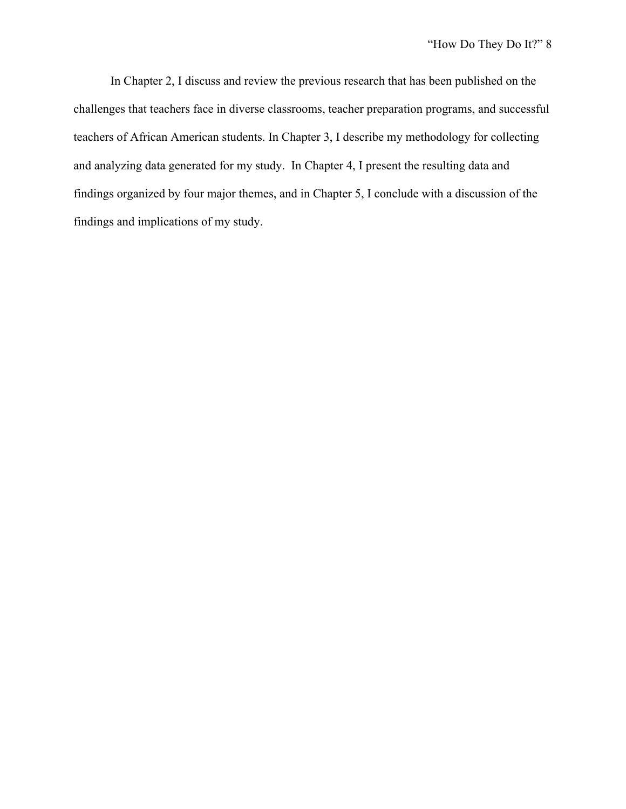In Chapter 2, I discuss and review the previous research that has been published on the challenges that teachers face in diverse classrooms, teacher preparation programs, and successful teachers of African American students. In Chapter 3, I describe my methodology for collecting and analyzing data generated for my study. In Chapter 4, I present the resulting data and findings organized by four major themes, and in Chapter 5, I conclude with a discussion of the findings and implications of my study.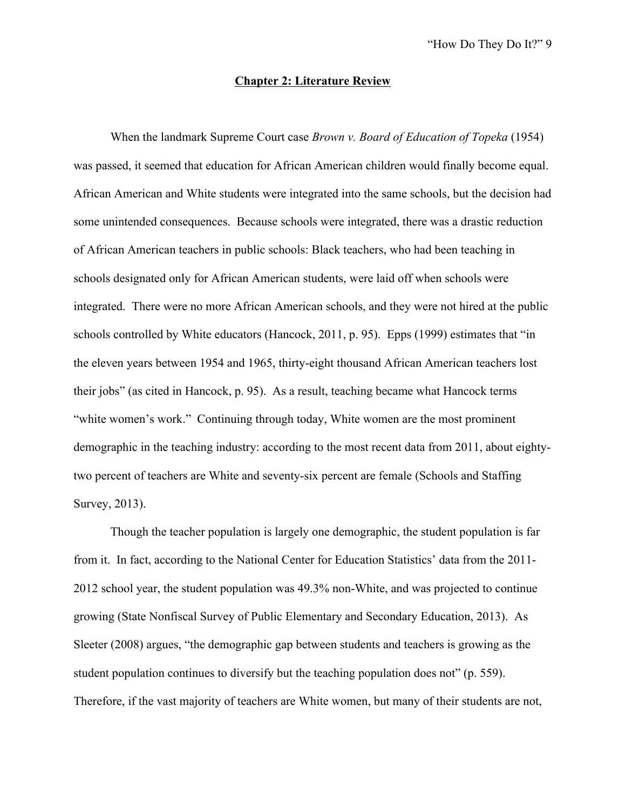#### **Chapter 2: Literature Review**

When the landmark Supreme Court case *Brown v. Board of Education of Topeka* (1954) was passed, it seemed that education for African American children would finally become equal. African American and White students were integrated into the same schools, but the decision had some unintended consequences. Because schools were integrated, there was a drastic reduction of African American teachers in public schools: Black teachers, who had been teaching in schools designated only for African American students, were laid off when schools were integrated. There were no more African American schools, and they were not hired at the public schools controlled by White educators (Hancock, 2011, p. 95). Epps (1999) estimates that "in the eleven years between 1954 and 1965, thirty-eight thousand African American teachers lost their jobs" (as cited in Hancock, p. 95). As a result, teaching became what Hancock terms "white women's work." Continuing through today, White women are the most prominent demographic in the teaching industry: according to the most recent data from 2011, about eightytwo percent of teachers are White and seventy-six percent are female (Schools and Staffing Survey, 2013).

Though the teacher population is largely one demographic, the student population is far from it. In fact, according to the National Center for Education Statistics' data from the 2011- 2012 school year, the student population was 49.3% non-White, and was projected to continue growing (State Nonfiscal Survey of Public Elementary and Secondary Education, 2013). As Sleeter (2008) argues, "the demographic gap between students and teachers is growing as the student population continues to diversify but the teaching population does not" (p. 559). Therefore, if the vast majority of teachers are White women, but many of their students are not,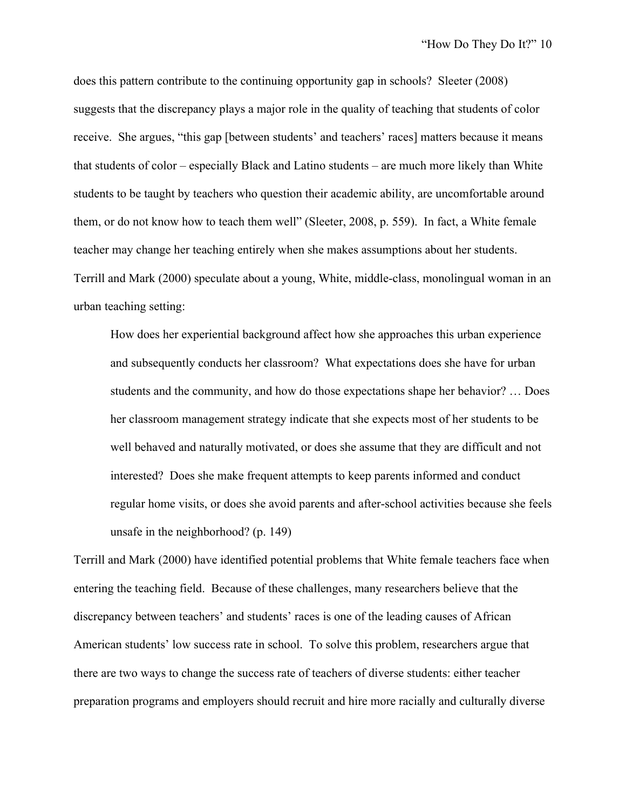does this pattern contribute to the continuing opportunity gap in schools? Sleeter (2008) suggests that the discrepancy plays a major role in the quality of teaching that students of color receive. She argues, "this gap [between students' and teachers' races] matters because it means that students of color – especially Black and Latino students – are much more likely than White students to be taught by teachers who question their academic ability, are uncomfortable around them, or do not know how to teach them well" (Sleeter, 2008, p. 559). In fact, a White female teacher may change her teaching entirely when she makes assumptions about her students. Terrill and Mark (2000) speculate about a young, White, middle-class, monolingual woman in an urban teaching setting:

How does her experiential background affect how she approaches this urban experience and subsequently conducts her classroom? What expectations does she have for urban students and the community, and how do those expectations shape her behavior? … Does her classroom management strategy indicate that she expects most of her students to be well behaved and naturally motivated, or does she assume that they are difficult and not interested? Does she make frequent attempts to keep parents informed and conduct regular home visits, or does she avoid parents and after-school activities because she feels unsafe in the neighborhood? (p. 149)

Terrill and Mark (2000) have identified potential problems that White female teachers face when entering the teaching field. Because of these challenges, many researchers believe that the discrepancy between teachers' and students' races is one of the leading causes of African American students' low success rate in school. To solve this problem, researchers argue that there are two ways to change the success rate of teachers of diverse students: either teacher preparation programs and employers should recruit and hire more racially and culturally diverse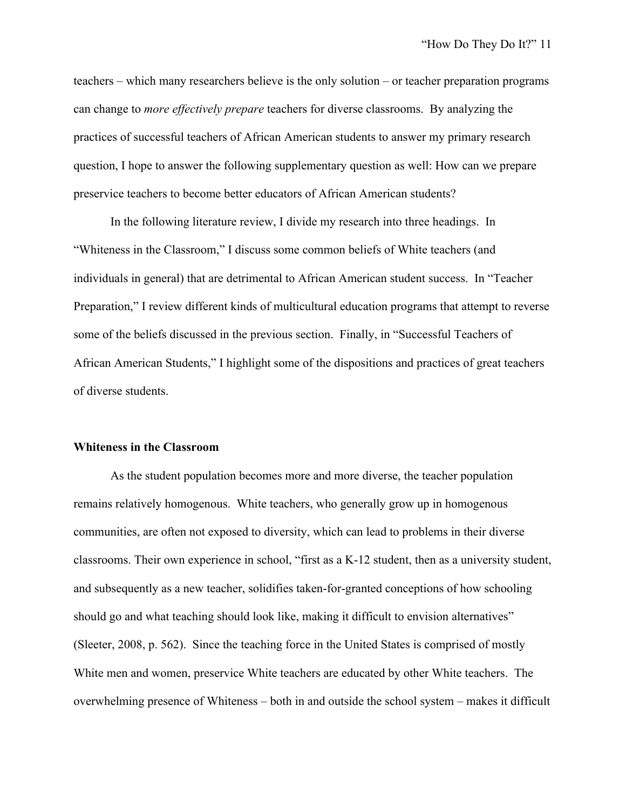teachers – which many researchers believe is the only solution – or teacher preparation programs can change to *more effectively prepare* teachers for diverse classrooms. By analyzing the practices of successful teachers of African American students to answer my primary research question, I hope to answer the following supplementary question as well: How can we prepare preservice teachers to become better educators of African American students?

In the following literature review, I divide my research into three headings. In "Whiteness in the Classroom," I discuss some common beliefs of White teachers (and individuals in general) that are detrimental to African American student success. In "Teacher Preparation," I review different kinds of multicultural education programs that attempt to reverse some of the beliefs discussed in the previous section. Finally, in "Successful Teachers of African American Students," I highlight some of the dispositions and practices of great teachers of diverse students.

#### **Whiteness in the Classroom**

As the student population becomes more and more diverse, the teacher population remains relatively homogenous. White teachers, who generally grow up in homogenous communities, are often not exposed to diversity, which can lead to problems in their diverse classrooms. Their own experience in school, "first as a K-12 student, then as a university student, and subsequently as a new teacher, solidifies taken-for-granted conceptions of how schooling should go and what teaching should look like, making it difficult to envision alternatives" (Sleeter, 2008, p. 562). Since the teaching force in the United States is comprised of mostly White men and women, preservice White teachers are educated by other White teachers. The overwhelming presence of Whiteness – both in and outside the school system – makes it difficult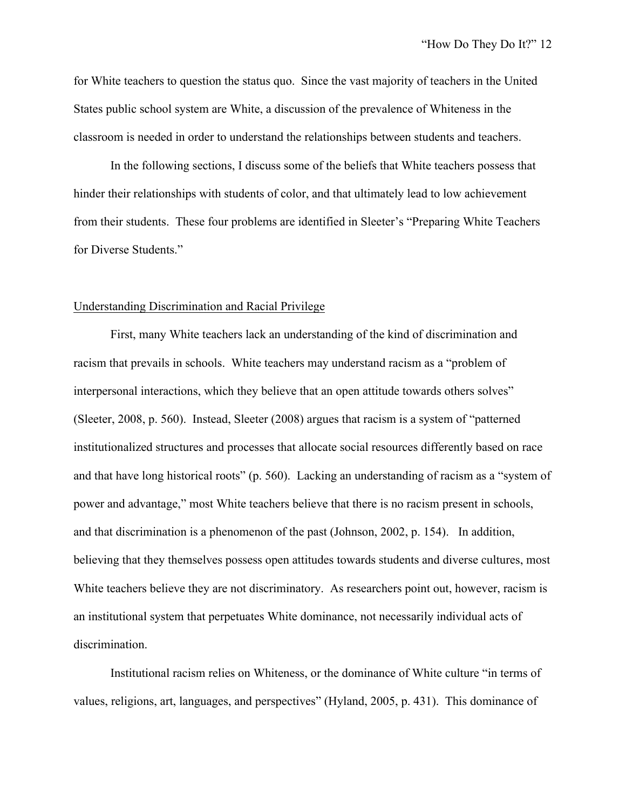for White teachers to question the status quo. Since the vast majority of teachers in the United States public school system are White, a discussion of the prevalence of Whiteness in the classroom is needed in order to understand the relationships between students and teachers.

In the following sections, I discuss some of the beliefs that White teachers possess that hinder their relationships with students of color, and that ultimately lead to low achievement from their students. These four problems are identified in Sleeter's "Preparing White Teachers for Diverse Students."

#### Understanding Discrimination and Racial Privilege

First, many White teachers lack an understanding of the kind of discrimination and racism that prevails in schools. White teachers may understand racism as a "problem of interpersonal interactions, which they believe that an open attitude towards others solves" (Sleeter, 2008, p. 560). Instead, Sleeter (2008) argues that racism is a system of "patterned institutionalized structures and processes that allocate social resources differently based on race and that have long historical roots" (p. 560). Lacking an understanding of racism as a "system of power and advantage," most White teachers believe that there is no racism present in schools, and that discrimination is a phenomenon of the past (Johnson, 2002, p. 154). In addition, believing that they themselves possess open attitudes towards students and diverse cultures, most White teachers believe they are not discriminatory. As researchers point out, however, racism is an institutional system that perpetuates White dominance, not necessarily individual acts of discrimination.

Institutional racism relies on Whiteness, or the dominance of White culture "in terms of values, religions, art, languages, and perspectives" (Hyland, 2005, p. 431). This dominance of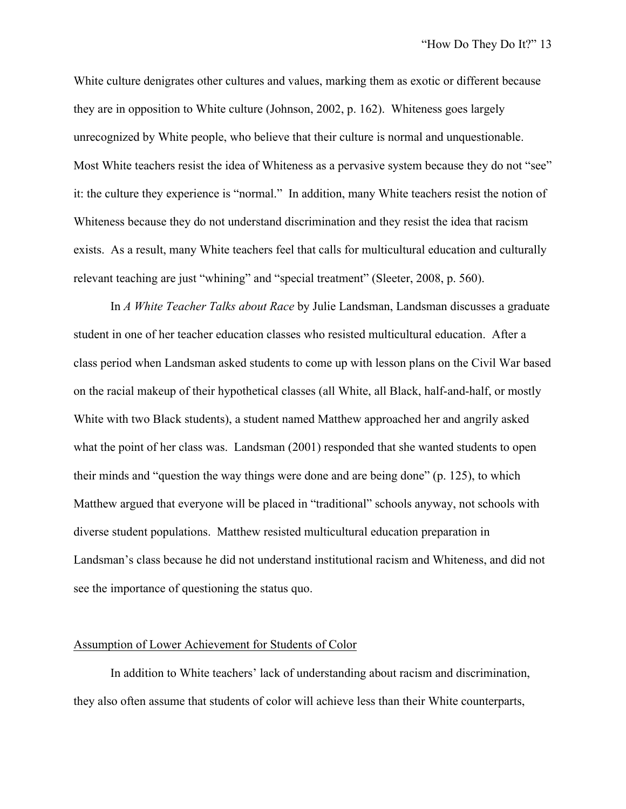White culture denigrates other cultures and values, marking them as exotic or different because they are in opposition to White culture (Johnson, 2002, p. 162). Whiteness goes largely unrecognized by White people, who believe that their culture is normal and unquestionable. Most White teachers resist the idea of Whiteness as a pervasive system because they do not "see" it: the culture they experience is "normal." In addition, many White teachers resist the notion of Whiteness because they do not understand discrimination and they resist the idea that racism exists. As a result, many White teachers feel that calls for multicultural education and culturally relevant teaching are just "whining" and "special treatment" (Sleeter, 2008, p. 560).

In *A White Teacher Talks about Race* by Julie Landsman, Landsman discusses a graduate student in one of her teacher education classes who resisted multicultural education. After a class period when Landsman asked students to come up with lesson plans on the Civil War based on the racial makeup of their hypothetical classes (all White, all Black, half-and-half, or mostly White with two Black students), a student named Matthew approached her and angrily asked what the point of her class was. Landsman (2001) responded that she wanted students to open their minds and "question the way things were done and are being done" (p. 125), to which Matthew argued that everyone will be placed in "traditional" schools anyway, not schools with diverse student populations. Matthew resisted multicultural education preparation in Landsman's class because he did not understand institutional racism and Whiteness, and did not see the importance of questioning the status quo.

#### Assumption of Lower Achievement for Students of Color

In addition to White teachers' lack of understanding about racism and discrimination, they also often assume that students of color will achieve less than their White counterparts,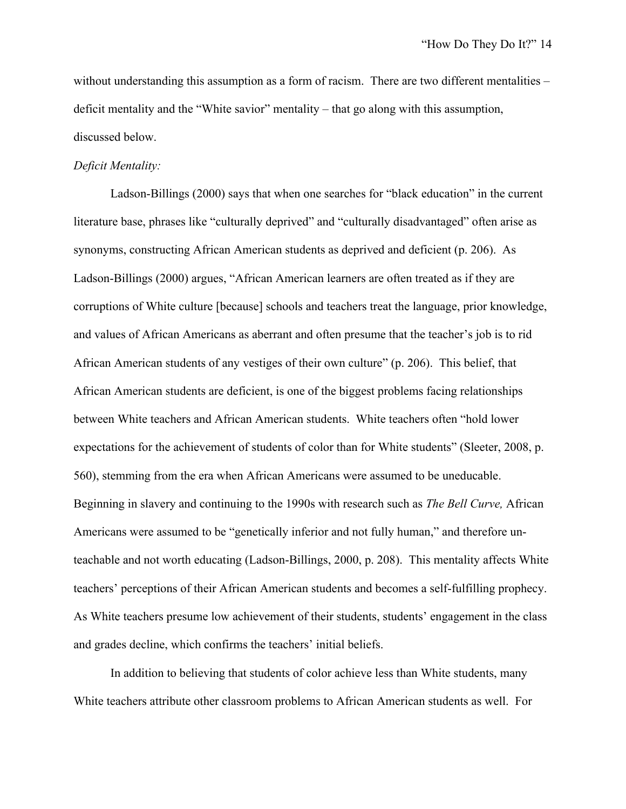without understanding this assumption as a form of racism. There are two different mentalities – deficit mentality and the "White savior" mentality – that go along with this assumption, discussed below.

#### *Deficit Mentality:*

Ladson-Billings (2000) says that when one searches for "black education" in the current literature base, phrases like "culturally deprived" and "culturally disadvantaged" often arise as synonyms, constructing African American students as deprived and deficient (p. 206). As Ladson-Billings (2000) argues, "African American learners are often treated as if they are corruptions of White culture [because] schools and teachers treat the language, prior knowledge, and values of African Americans as aberrant and often presume that the teacher's job is to rid African American students of any vestiges of their own culture" (p. 206). This belief, that African American students are deficient, is one of the biggest problems facing relationships between White teachers and African American students. White teachers often "hold lower expectations for the achievement of students of color than for White students" (Sleeter, 2008, p. 560), stemming from the era when African Americans were assumed to be uneducable. Beginning in slavery and continuing to the 1990s with research such as *The Bell Curve,* African Americans were assumed to be "genetically inferior and not fully human," and therefore unteachable and not worth educating (Ladson-Billings, 2000, p. 208). This mentality affects White teachers' perceptions of their African American students and becomes a self-fulfilling prophecy. As White teachers presume low achievement of their students, students' engagement in the class and grades decline, which confirms the teachers' initial beliefs.

In addition to believing that students of color achieve less than White students, many White teachers attribute other classroom problems to African American students as well. For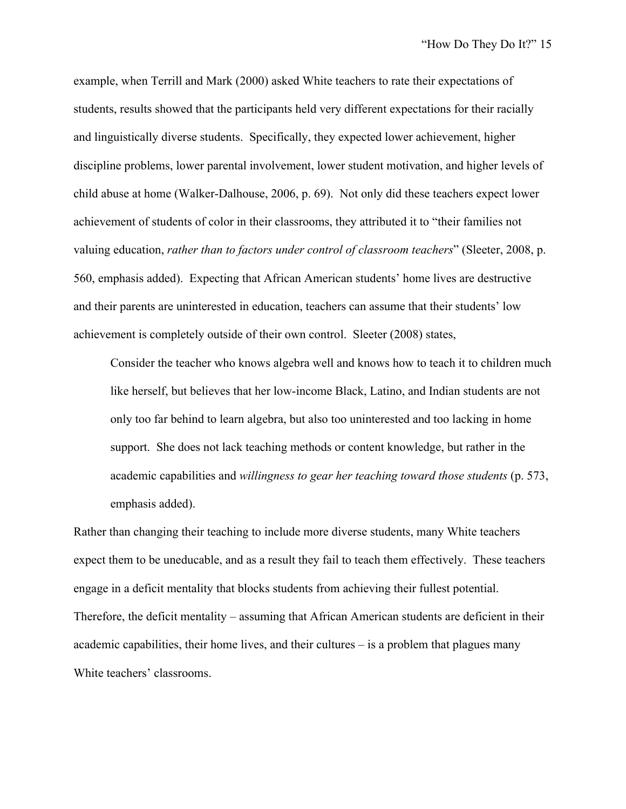example, when Terrill and Mark (2000) asked White teachers to rate their expectations of students, results showed that the participants held very different expectations for their racially and linguistically diverse students. Specifically, they expected lower achievement, higher discipline problems, lower parental involvement, lower student motivation, and higher levels of child abuse at home (Walker-Dalhouse, 2006, p. 69). Not only did these teachers expect lower achievement of students of color in their classrooms, they attributed it to "their families not valuing education, *rather than to factors under control of classroom teachers*" (Sleeter, 2008, p. 560, emphasis added). Expecting that African American students' home lives are destructive and their parents are uninterested in education, teachers can assume that their students' low achievement is completely outside of their own control. Sleeter (2008) states,

Consider the teacher who knows algebra well and knows how to teach it to children much like herself, but believes that her low-income Black, Latino, and Indian students are not only too far behind to learn algebra, but also too uninterested and too lacking in home support. She does not lack teaching methods or content knowledge, but rather in the academic capabilities and *willingness to gear her teaching toward those students* (p. 573, emphasis added).

Rather than changing their teaching to include more diverse students, many White teachers expect them to be uneducable, and as a result they fail to teach them effectively. These teachers engage in a deficit mentality that blocks students from achieving their fullest potential. Therefore, the deficit mentality – assuming that African American students are deficient in their academic capabilities, their home lives, and their cultures – is a problem that plagues many White teachers' classrooms.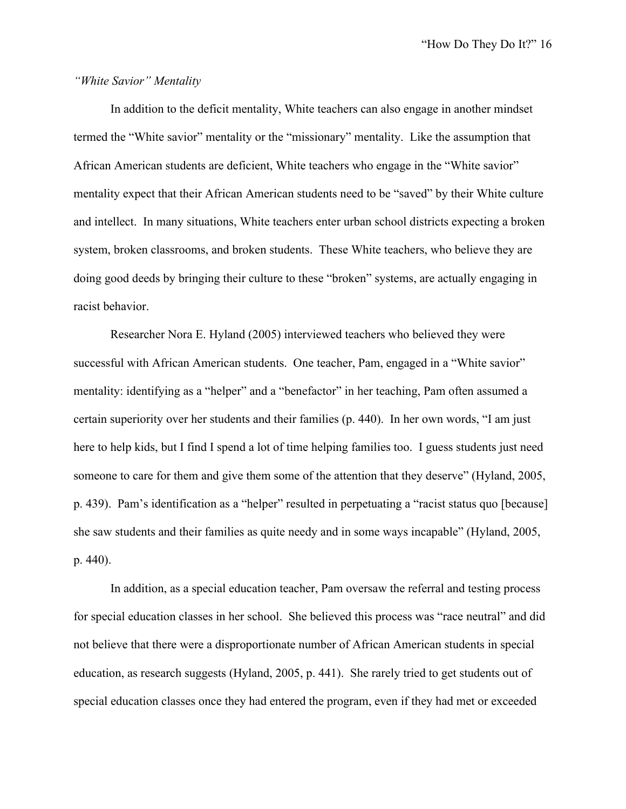#### *"White Savior" Mentality*

In addition to the deficit mentality, White teachers can also engage in another mindset termed the "White savior" mentality or the "missionary" mentality. Like the assumption that African American students are deficient, White teachers who engage in the "White savior" mentality expect that their African American students need to be "saved" by their White culture and intellect. In many situations, White teachers enter urban school districts expecting a broken system, broken classrooms, and broken students. These White teachers, who believe they are doing good deeds by bringing their culture to these "broken" systems, are actually engaging in racist behavior.

Researcher Nora E. Hyland (2005) interviewed teachers who believed they were successful with African American students. One teacher, Pam, engaged in a "White savior" mentality: identifying as a "helper" and a "benefactor" in her teaching, Pam often assumed a certain superiority over her students and their families (p. 440). In her own words, "I am just here to help kids, but I find I spend a lot of time helping families too. I guess students just need someone to care for them and give them some of the attention that they deserve" (Hyland, 2005, p. 439). Pam's identification as a "helper" resulted in perpetuating a "racist status quo [because] she saw students and their families as quite needy and in some ways incapable" (Hyland, 2005, p. 440).

In addition, as a special education teacher, Pam oversaw the referral and testing process for special education classes in her school. She believed this process was "race neutral" and did not believe that there were a disproportionate number of African American students in special education, as research suggests (Hyland, 2005, p. 441). She rarely tried to get students out of special education classes once they had entered the program, even if they had met or exceeded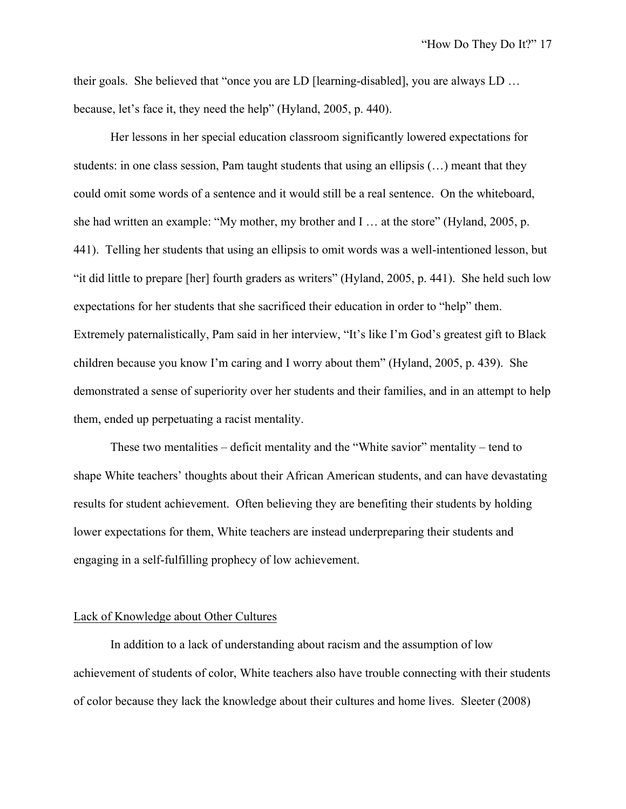their goals. She believed that "once you are LD [learning-disabled], you are always LD … because, let's face it, they need the help" (Hyland, 2005, p. 440).

Her lessons in her special education classroom significantly lowered expectations for students: in one class session, Pam taught students that using an ellipsis (…) meant that they could omit some words of a sentence and it would still be a real sentence. On the whiteboard, she had written an example: "My mother, my brother and I … at the store" (Hyland, 2005, p. 441). Telling her students that using an ellipsis to omit words was a well-intentioned lesson, but "it did little to prepare [her] fourth graders as writers" (Hyland, 2005, p. 441). She held such low expectations for her students that she sacrificed their education in order to "help" them. Extremely paternalistically, Pam said in her interview, "It's like I'm God's greatest gift to Black children because you know I'm caring and I worry about them" (Hyland, 2005, p. 439). She demonstrated a sense of superiority over her students and their families, and in an attempt to help them, ended up perpetuating a racist mentality.

These two mentalities – deficit mentality and the "White savior" mentality – tend to shape White teachers' thoughts about their African American students, and can have devastating results for student achievement. Often believing they are benefiting their students by holding lower expectations for them, White teachers are instead underpreparing their students and engaging in a self-fulfilling prophecy of low achievement.

#### Lack of Knowledge about Other Cultures

In addition to a lack of understanding about racism and the assumption of low achievement of students of color, White teachers also have trouble connecting with their students of color because they lack the knowledge about their cultures and home lives. Sleeter (2008)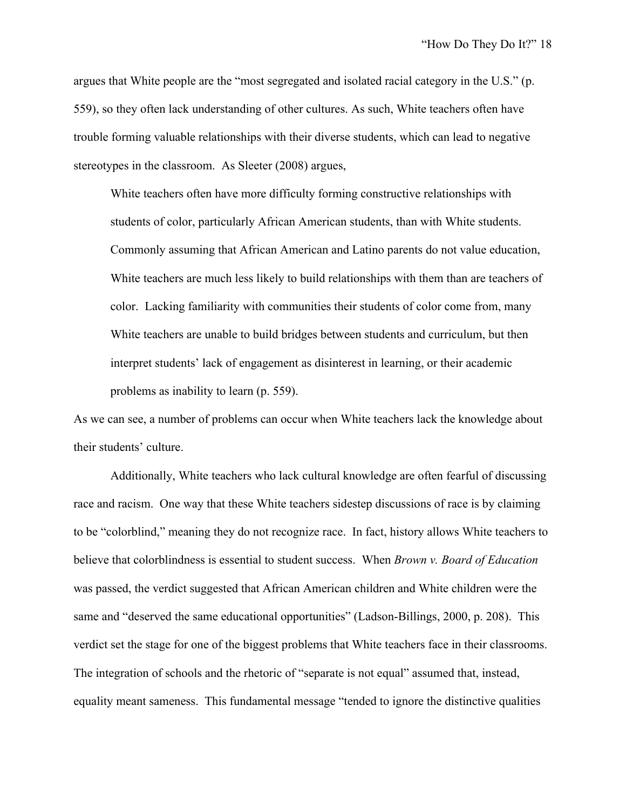argues that White people are the "most segregated and isolated racial category in the U.S." (p. 559), so they often lack understanding of other cultures. As such, White teachers often have trouble forming valuable relationships with their diverse students, which can lead to negative stereotypes in the classroom. As Sleeter (2008) argues,

White teachers often have more difficulty forming constructive relationships with students of color, particularly African American students, than with White students. Commonly assuming that African American and Latino parents do not value education, White teachers are much less likely to build relationships with them than are teachers of color. Lacking familiarity with communities their students of color come from, many White teachers are unable to build bridges between students and curriculum, but then interpret students' lack of engagement as disinterest in learning, or their academic problems as inability to learn (p. 559).

As we can see, a number of problems can occur when White teachers lack the knowledge about their students' culture.

Additionally, White teachers who lack cultural knowledge are often fearful of discussing race and racism. One way that these White teachers sidestep discussions of race is by claiming to be "colorblind," meaning they do not recognize race. In fact, history allows White teachers to believe that colorblindness is essential to student success. When *Brown v. Board of Education*  was passed, the verdict suggested that African American children and White children were the same and "deserved the same educational opportunities" (Ladson-Billings, 2000, p. 208). This verdict set the stage for one of the biggest problems that White teachers face in their classrooms. The integration of schools and the rhetoric of "separate is not equal" assumed that, instead, equality meant sameness. This fundamental message "tended to ignore the distinctive qualities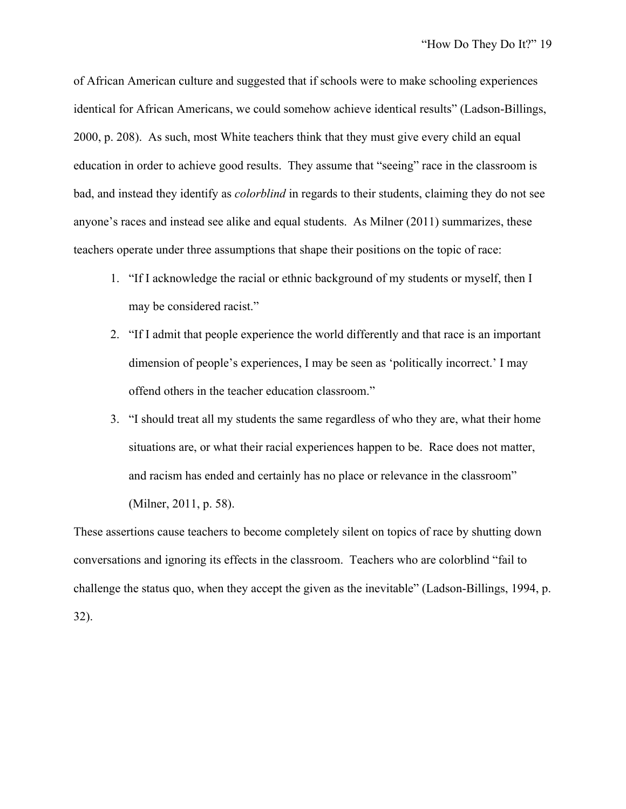of African American culture and suggested that if schools were to make schooling experiences identical for African Americans, we could somehow achieve identical results" (Ladson-Billings, 2000, p. 208). As such, most White teachers think that they must give every child an equal education in order to achieve good results. They assume that "seeing" race in the classroom is bad, and instead they identify as *colorblind* in regards to their students, claiming they do not see anyone's races and instead see alike and equal students. As Milner (2011) summarizes, these teachers operate under three assumptions that shape their positions on the topic of race:

- 1. "If I acknowledge the racial or ethnic background of my students or myself, then I may be considered racist."
- 2. "If I admit that people experience the world differently and that race is an important dimension of people's experiences, I may be seen as 'politically incorrect.' I may offend others in the teacher education classroom."
- 3. "I should treat all my students the same regardless of who they are, what their home situations are, or what their racial experiences happen to be. Race does not matter, and racism has ended and certainly has no place or relevance in the classroom" (Milner, 2011, p. 58).

These assertions cause teachers to become completely silent on topics of race by shutting down conversations and ignoring its effects in the classroom. Teachers who are colorblind "fail to challenge the status quo, when they accept the given as the inevitable" (Ladson-Billings, 1994, p. 32).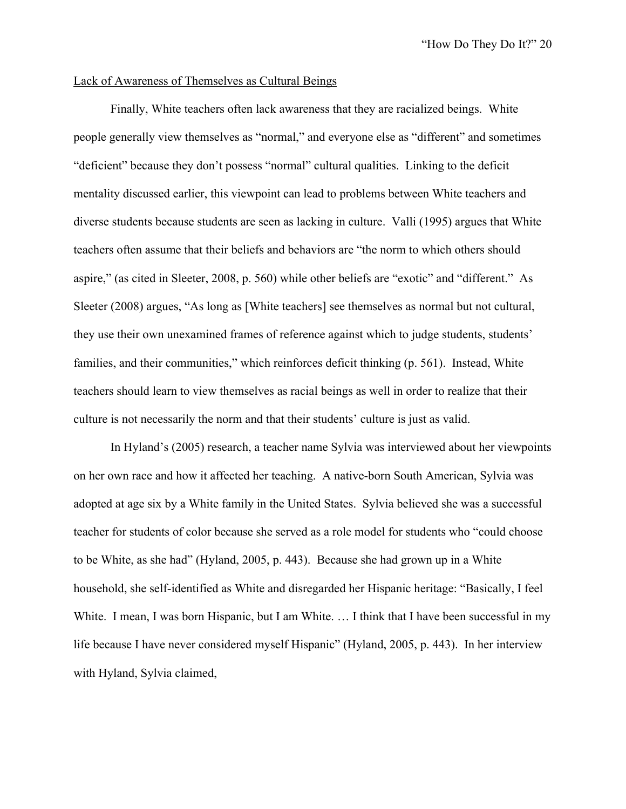#### Lack of Awareness of Themselves as Cultural Beings

Finally, White teachers often lack awareness that they are racialized beings. White people generally view themselves as "normal," and everyone else as "different" and sometimes "deficient" because they don't possess "normal" cultural qualities. Linking to the deficit mentality discussed earlier, this viewpoint can lead to problems between White teachers and diverse students because students are seen as lacking in culture. Valli (1995) argues that White teachers often assume that their beliefs and behaviors are "the norm to which others should aspire," (as cited in Sleeter, 2008, p. 560) while other beliefs are "exotic" and "different." As Sleeter (2008) argues, "As long as [White teachers] see themselves as normal but not cultural, they use their own unexamined frames of reference against which to judge students, students' families, and their communities," which reinforces deficit thinking (p. 561). Instead, White teachers should learn to view themselves as racial beings as well in order to realize that their culture is not necessarily the norm and that their students' culture is just as valid.

In Hyland's (2005) research, a teacher name Sylvia was interviewed about her viewpoints on her own race and how it affected her teaching. A native-born South American, Sylvia was adopted at age six by a White family in the United States. Sylvia believed she was a successful teacher for students of color because she served as a role model for students who "could choose to be White, as she had" (Hyland, 2005, p. 443). Because she had grown up in a White household, she self-identified as White and disregarded her Hispanic heritage: "Basically, I feel White. I mean, I was born Hispanic, but I am White. ... I think that I have been successful in my life because I have never considered myself Hispanic" (Hyland, 2005, p. 443). In her interview with Hyland, Sylvia claimed,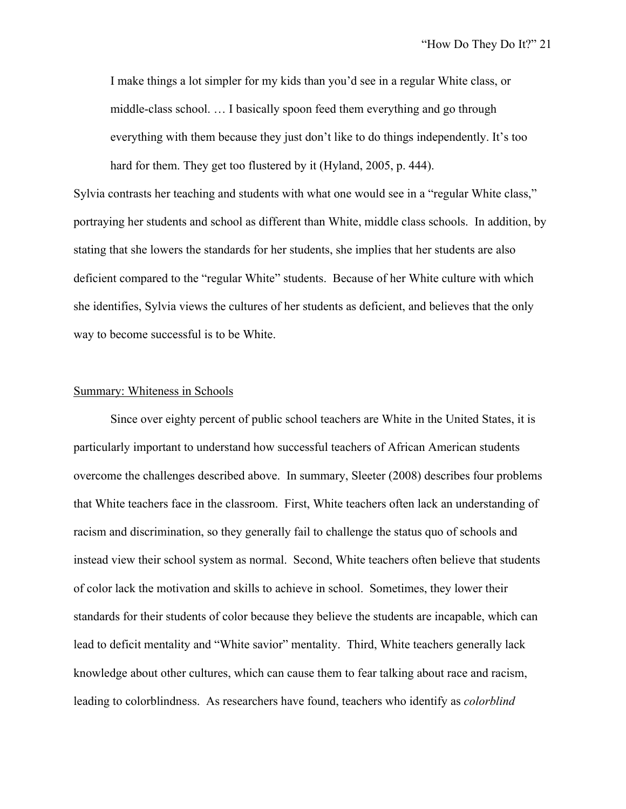I make things a lot simpler for my kids than you'd see in a regular White class, or middle-class school. … I basically spoon feed them everything and go through everything with them because they just don't like to do things independently. It's too hard for them. They get too flustered by it (Hyland, 2005, p. 444).

Sylvia contrasts her teaching and students with what one would see in a "regular White class," portraying her students and school as different than White, middle class schools. In addition, by stating that she lowers the standards for her students, she implies that her students are also deficient compared to the "regular White" students. Because of her White culture with which she identifies, Sylvia views the cultures of her students as deficient, and believes that the only way to become successful is to be White.

#### Summary: Whiteness in Schools

Since over eighty percent of public school teachers are White in the United States, it is particularly important to understand how successful teachers of African American students overcome the challenges described above. In summary, Sleeter (2008) describes four problems that White teachers face in the classroom. First, White teachers often lack an understanding of racism and discrimination, so they generally fail to challenge the status quo of schools and instead view their school system as normal. Second, White teachers often believe that students of color lack the motivation and skills to achieve in school. Sometimes, they lower their standards for their students of color because they believe the students are incapable, which can lead to deficit mentality and "White savior" mentality. Third, White teachers generally lack knowledge about other cultures, which can cause them to fear talking about race and racism, leading to colorblindness. As researchers have found, teachers who identify as *colorblind*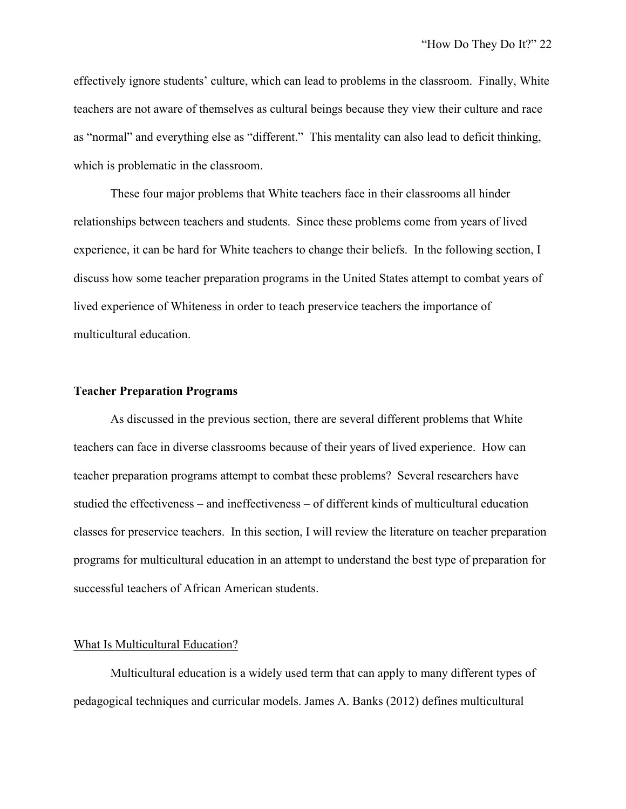effectively ignore students' culture, which can lead to problems in the classroom. Finally, White teachers are not aware of themselves as cultural beings because they view their culture and race as "normal" and everything else as "different." This mentality can also lead to deficit thinking, which is problematic in the classroom.

These four major problems that White teachers face in their classrooms all hinder relationships between teachers and students. Since these problems come from years of lived experience, it can be hard for White teachers to change their beliefs. In the following section, I discuss how some teacher preparation programs in the United States attempt to combat years of lived experience of Whiteness in order to teach preservice teachers the importance of multicultural education.

#### **Teacher Preparation Programs**

As discussed in the previous section, there are several different problems that White teachers can face in diverse classrooms because of their years of lived experience. How can teacher preparation programs attempt to combat these problems? Several researchers have studied the effectiveness – and ineffectiveness – of different kinds of multicultural education classes for preservice teachers. In this section, I will review the literature on teacher preparation programs for multicultural education in an attempt to understand the best type of preparation for successful teachers of African American students.

#### What Is Multicultural Education?

Multicultural education is a widely used term that can apply to many different types of pedagogical techniques and curricular models. James A. Banks (2012) defines multicultural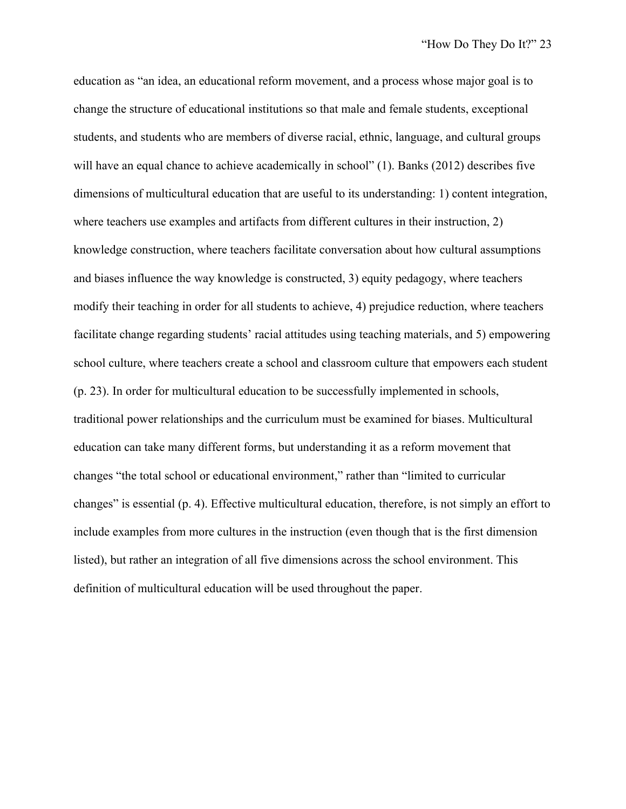education as "an idea, an educational reform movement, and a process whose major goal is to change the structure of educational institutions so that male and female students, exceptional students, and students who are members of diverse racial, ethnic, language, and cultural groups will have an equal chance to achieve academically in school" (1). Banks (2012) describes five dimensions of multicultural education that are useful to its understanding: 1) content integration, where teachers use examples and artifacts from different cultures in their instruction, 2) knowledge construction, where teachers facilitate conversation about how cultural assumptions and biases influence the way knowledge is constructed, 3) equity pedagogy, where teachers modify their teaching in order for all students to achieve, 4) prejudice reduction, where teachers facilitate change regarding students' racial attitudes using teaching materials, and 5) empowering school culture, where teachers create a school and classroom culture that empowers each student (p. 23). In order for multicultural education to be successfully implemented in schools, traditional power relationships and the curriculum must be examined for biases. Multicultural education can take many different forms, but understanding it as a reform movement that changes "the total school or educational environment," rather than "limited to curricular changes" is essential (p. 4). Effective multicultural education, therefore, is not simply an effort to include examples from more cultures in the instruction (even though that is the first dimension listed), but rather an integration of all five dimensions across the school environment. This definition of multicultural education will be used throughout the paper.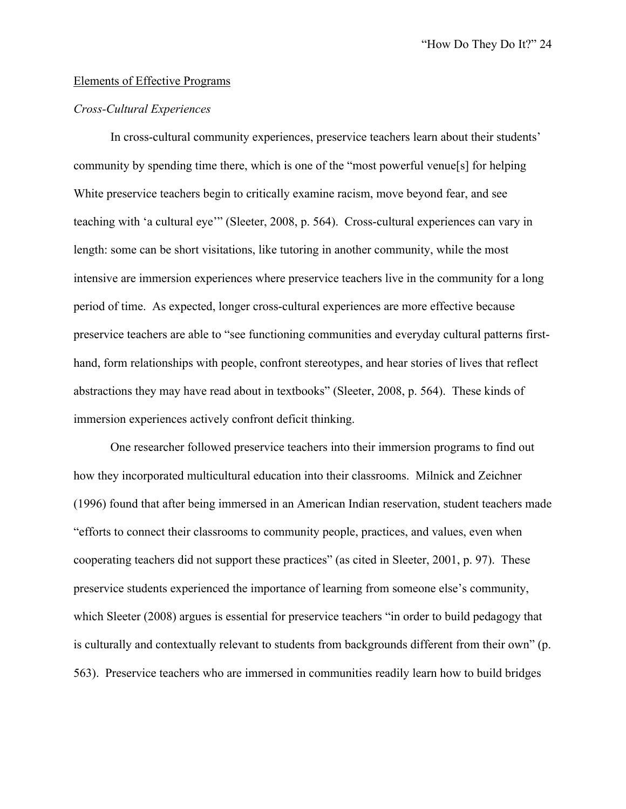#### Elements of Effective Programs

# *Cross-Cultural Experiences*

In cross-cultural community experiences, preservice teachers learn about their students' community by spending time there, which is one of the "most powerful venue[s] for helping White preservice teachers begin to critically examine racism, move beyond fear, and see teaching with 'a cultural eye'" (Sleeter, 2008, p. 564). Cross-cultural experiences can vary in length: some can be short visitations, like tutoring in another community, while the most intensive are immersion experiences where preservice teachers live in the community for a long period of time. As expected, longer cross-cultural experiences are more effective because preservice teachers are able to "see functioning communities and everyday cultural patterns firsthand, form relationships with people, confront stereotypes, and hear stories of lives that reflect abstractions they may have read about in textbooks" (Sleeter, 2008, p. 564). These kinds of immersion experiences actively confront deficit thinking.

One researcher followed preservice teachers into their immersion programs to find out how they incorporated multicultural education into their classrooms. Milnick and Zeichner (1996) found that after being immersed in an American Indian reservation, student teachers made "efforts to connect their classrooms to community people, practices, and values, even when cooperating teachers did not support these practices" (as cited in Sleeter, 2001, p. 97). These preservice students experienced the importance of learning from someone else's community, which Sleeter (2008) argues is essential for preservice teachers "in order to build pedagogy that is culturally and contextually relevant to students from backgrounds different from their own" (p. 563). Preservice teachers who are immersed in communities readily learn how to build bridges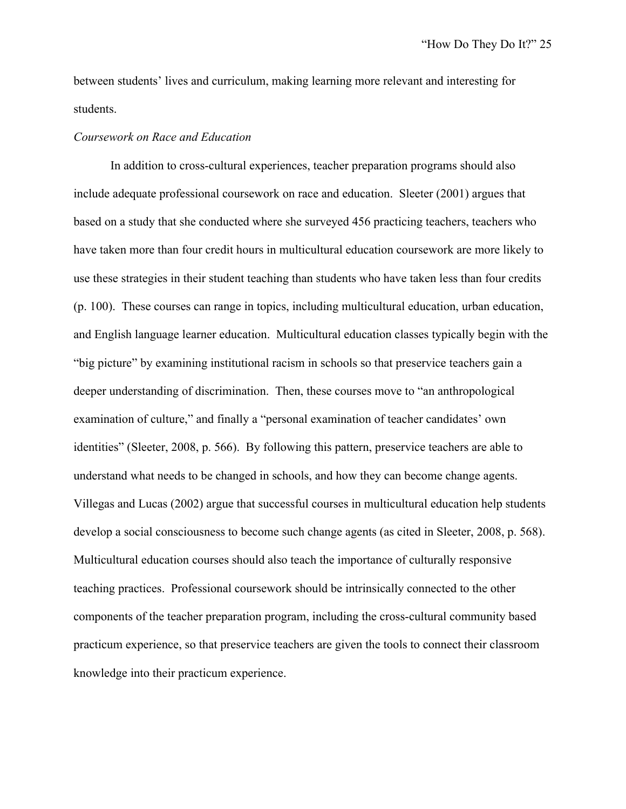between students' lives and curriculum, making learning more relevant and interesting for students.

# *Coursework on Race and Education*

In addition to cross-cultural experiences, teacher preparation programs should also include adequate professional coursework on race and education. Sleeter (2001) argues that based on a study that she conducted where she surveyed 456 practicing teachers, teachers who have taken more than four credit hours in multicultural education coursework are more likely to use these strategies in their student teaching than students who have taken less than four credits (p. 100). These courses can range in topics, including multicultural education, urban education, and English language learner education. Multicultural education classes typically begin with the "big picture" by examining institutional racism in schools so that preservice teachers gain a deeper understanding of discrimination. Then, these courses move to "an anthropological examination of culture," and finally a "personal examination of teacher candidates' own identities" (Sleeter, 2008, p. 566). By following this pattern, preservice teachers are able to understand what needs to be changed in schools, and how they can become change agents. Villegas and Lucas (2002) argue that successful courses in multicultural education help students develop a social consciousness to become such change agents (as cited in Sleeter, 2008, p. 568). Multicultural education courses should also teach the importance of culturally responsive teaching practices. Professional coursework should be intrinsically connected to the other components of the teacher preparation program, including the cross-cultural community based practicum experience, so that preservice teachers are given the tools to connect their classroom knowledge into their practicum experience.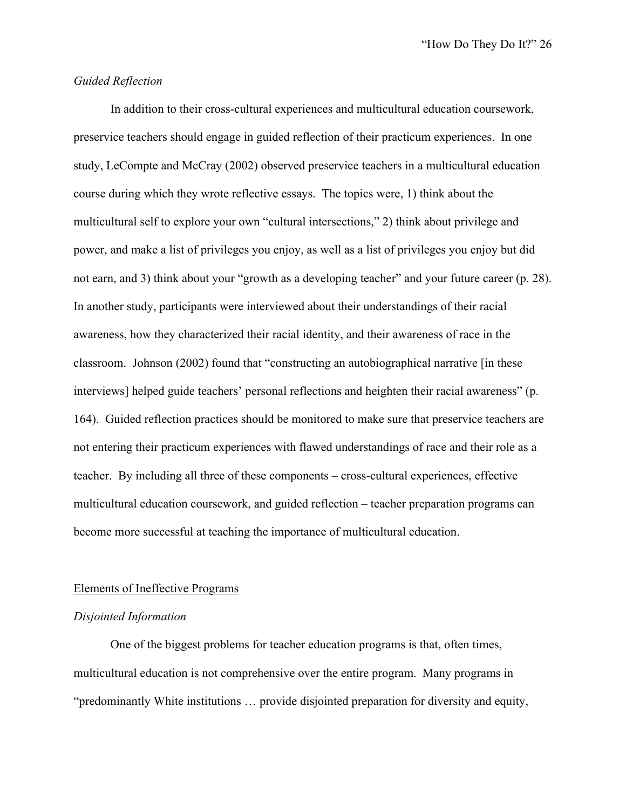# *Guided Reflection*

In addition to their cross-cultural experiences and multicultural education coursework, preservice teachers should engage in guided reflection of their practicum experiences. In one study, LeCompte and McCray (2002) observed preservice teachers in a multicultural education course during which they wrote reflective essays. The topics were, 1) think about the multicultural self to explore your own "cultural intersections," 2) think about privilege and power, and make a list of privileges you enjoy, as well as a list of privileges you enjoy but did not earn, and 3) think about your "growth as a developing teacher" and your future career (p. 28). In another study, participants were interviewed about their understandings of their racial awareness, how they characterized their racial identity, and their awareness of race in the classroom. Johnson (2002) found that "constructing an autobiographical narrative [in these interviews] helped guide teachers' personal reflections and heighten their racial awareness" (p. 164). Guided reflection practices should be monitored to make sure that preservice teachers are not entering their practicum experiences with flawed understandings of race and their role as a teacher. By including all three of these components – cross-cultural experiences, effective multicultural education coursework, and guided reflection – teacher preparation programs can become more successful at teaching the importance of multicultural education.

#### Elements of Ineffective Programs

# *Disjointed Information*

One of the biggest problems for teacher education programs is that, often times, multicultural education is not comprehensive over the entire program. Many programs in "predominantly White institutions … provide disjointed preparation for diversity and equity,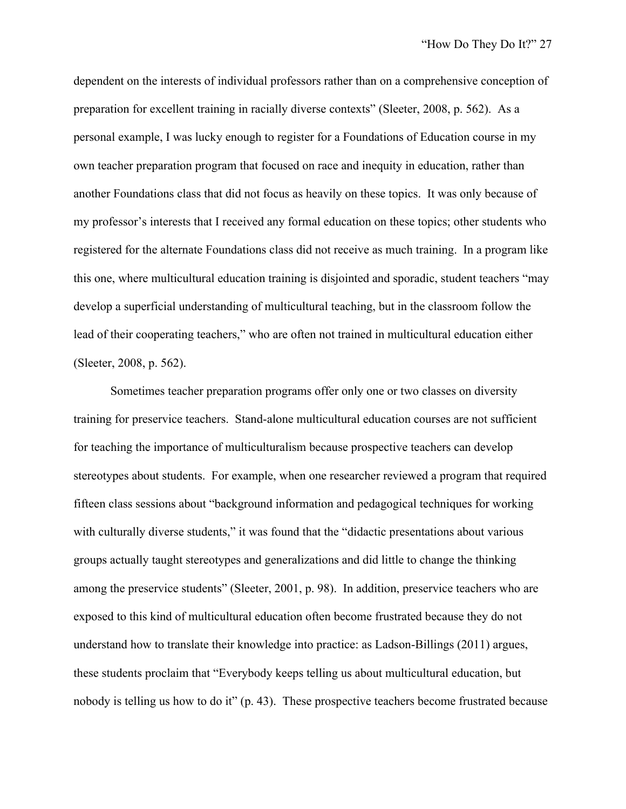dependent on the interests of individual professors rather than on a comprehensive conception of preparation for excellent training in racially diverse contexts" (Sleeter, 2008, p. 562). As a personal example, I was lucky enough to register for a Foundations of Education course in my own teacher preparation program that focused on race and inequity in education, rather than another Foundations class that did not focus as heavily on these topics. It was only because of my professor's interests that I received any formal education on these topics; other students who registered for the alternate Foundations class did not receive as much training. In a program like this one, where multicultural education training is disjointed and sporadic, student teachers "may develop a superficial understanding of multicultural teaching, but in the classroom follow the lead of their cooperating teachers," who are often not trained in multicultural education either (Sleeter, 2008, p. 562).

Sometimes teacher preparation programs offer only one or two classes on diversity training for preservice teachers. Stand-alone multicultural education courses are not sufficient for teaching the importance of multiculturalism because prospective teachers can develop stereotypes about students. For example, when one researcher reviewed a program that required fifteen class sessions about "background information and pedagogical techniques for working with culturally diverse students," it was found that the "didactic presentations about various groups actually taught stereotypes and generalizations and did little to change the thinking among the preservice students" (Sleeter, 2001, p. 98). In addition, preservice teachers who are exposed to this kind of multicultural education often become frustrated because they do not understand how to translate their knowledge into practice: as Ladson-Billings (2011) argues, these students proclaim that "Everybody keeps telling us about multicultural education, but nobody is telling us how to do it" (p. 43). These prospective teachers become frustrated because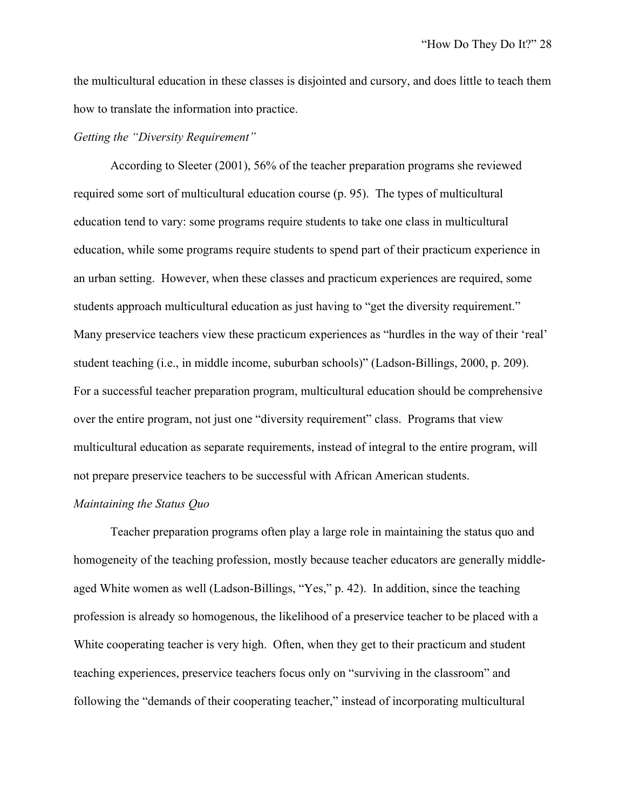the multicultural education in these classes is disjointed and cursory, and does little to teach them how to translate the information into practice.

# *Getting the "Diversity Requirement"*

According to Sleeter (2001), 56% of the teacher preparation programs she reviewed required some sort of multicultural education course (p. 95). The types of multicultural education tend to vary: some programs require students to take one class in multicultural education, while some programs require students to spend part of their practicum experience in an urban setting. However, when these classes and practicum experiences are required, some students approach multicultural education as just having to "get the diversity requirement." Many preservice teachers view these practicum experiences as "hurdles in the way of their 'real' student teaching (i.e., in middle income, suburban schools)" (Ladson-Billings, 2000, p. 209). For a successful teacher preparation program, multicultural education should be comprehensive over the entire program, not just one "diversity requirement" class. Programs that view multicultural education as separate requirements, instead of integral to the entire program, will not prepare preservice teachers to be successful with African American students.

# *Maintaining the Status Quo*

Teacher preparation programs often play a large role in maintaining the status quo and homogeneity of the teaching profession, mostly because teacher educators are generally middleaged White women as well (Ladson-Billings, "Yes," p. 42). In addition, since the teaching profession is already so homogenous, the likelihood of a preservice teacher to be placed with a White cooperating teacher is very high. Often, when they get to their practicum and student teaching experiences, preservice teachers focus only on "surviving in the classroom" and following the "demands of their cooperating teacher," instead of incorporating multicultural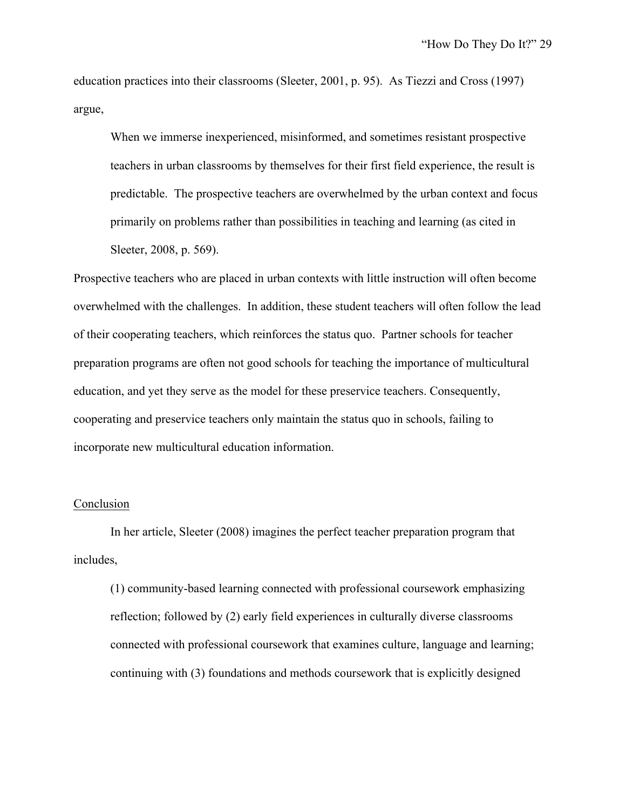education practices into their classrooms (Sleeter, 2001, p. 95). As Tiezzi and Cross (1997) argue,

When we immerse inexperienced, misinformed, and sometimes resistant prospective teachers in urban classrooms by themselves for their first field experience, the result is predictable. The prospective teachers are overwhelmed by the urban context and focus primarily on problems rather than possibilities in teaching and learning (as cited in Sleeter, 2008, p. 569).

Prospective teachers who are placed in urban contexts with little instruction will often become overwhelmed with the challenges. In addition, these student teachers will often follow the lead of their cooperating teachers, which reinforces the status quo. Partner schools for teacher preparation programs are often not good schools for teaching the importance of multicultural education, and yet they serve as the model for these preservice teachers. Consequently, cooperating and preservice teachers only maintain the status quo in schools, failing to incorporate new multicultural education information.

#### Conclusion

In her article, Sleeter (2008) imagines the perfect teacher preparation program that includes,

(1) community-based learning connected with professional coursework emphasizing reflection; followed by (2) early field experiences in culturally diverse classrooms connected with professional coursework that examines culture, language and learning; continuing with (3) foundations and methods coursework that is explicitly designed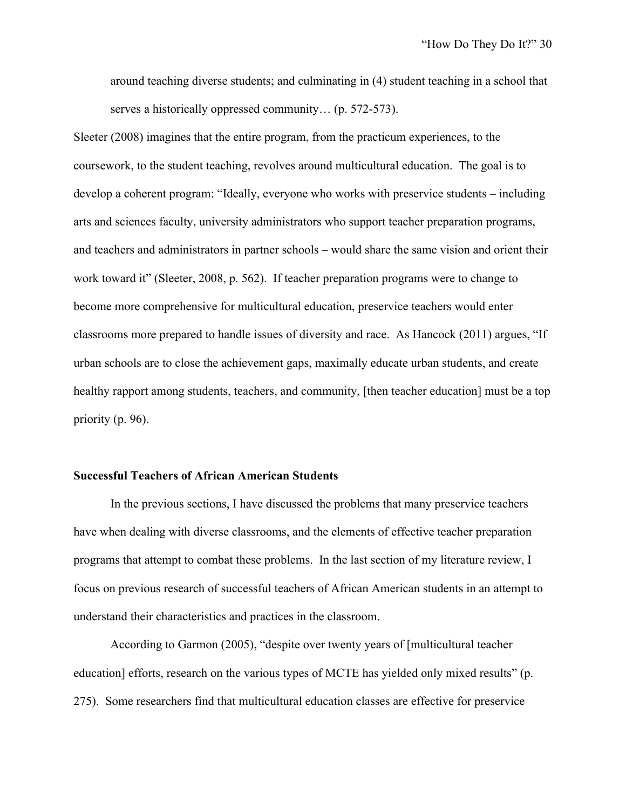around teaching diverse students; and culminating in (4) student teaching in a school that serves a historically oppressed community… (p. 572-573).

Sleeter (2008) imagines that the entire program, from the practicum experiences, to the coursework, to the student teaching, revolves around multicultural education. The goal is to develop a coherent program: "Ideally, everyone who works with preservice students – including arts and sciences faculty, university administrators who support teacher preparation programs, and teachers and administrators in partner schools – would share the same vision and orient their work toward it" (Sleeter, 2008, p. 562). If teacher preparation programs were to change to become more comprehensive for multicultural education, preservice teachers would enter classrooms more prepared to handle issues of diversity and race. As Hancock (2011) argues, "If urban schools are to close the achievement gaps, maximally educate urban students, and create healthy rapport among students, teachers, and community, [then teacher education] must be a top priority (p. 96).

#### **Successful Teachers of African American Students**

In the previous sections, I have discussed the problems that many preservice teachers have when dealing with diverse classrooms, and the elements of effective teacher preparation programs that attempt to combat these problems. In the last section of my literature review, I focus on previous research of successful teachers of African American students in an attempt to understand their characteristics and practices in the classroom.

According to Garmon (2005), "despite over twenty years of [multicultural teacher education] efforts, research on the various types of MCTE has yielded only mixed results" (p. 275). Some researchers find that multicultural education classes are effective for preservice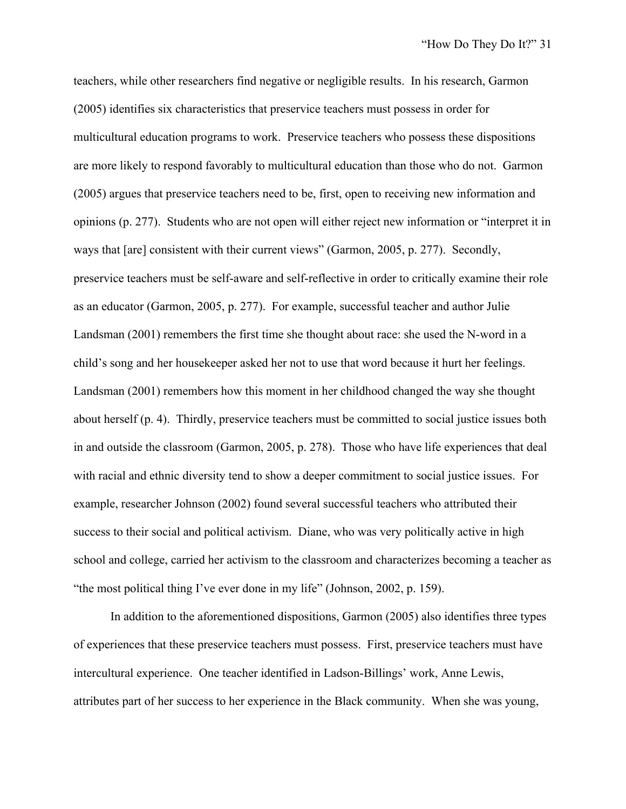teachers, while other researchers find negative or negligible results. In his research, Garmon (2005) identifies six characteristics that preservice teachers must possess in order for multicultural education programs to work. Preservice teachers who possess these dispositions are more likely to respond favorably to multicultural education than those who do not. Garmon (2005) argues that preservice teachers need to be, first, open to receiving new information and opinions (p. 277). Students who are not open will either reject new information or "interpret it in ways that [are] consistent with their current views" (Garmon, 2005, p. 277). Secondly, preservice teachers must be self-aware and self-reflective in order to critically examine their role as an educator (Garmon, 2005, p. 277). For example, successful teacher and author Julie Landsman (2001) remembers the first time she thought about race: she used the N-word in a child's song and her housekeeper asked her not to use that word because it hurt her feelings. Landsman (2001) remembers how this moment in her childhood changed the way she thought about herself (p. 4). Thirdly, preservice teachers must be committed to social justice issues both in and outside the classroom (Garmon, 2005, p. 278). Those who have life experiences that deal with racial and ethnic diversity tend to show a deeper commitment to social justice issues. For example, researcher Johnson (2002) found several successful teachers who attributed their success to their social and political activism. Diane, who was very politically active in high school and college, carried her activism to the classroom and characterizes becoming a teacher as "the most political thing I've ever done in my life" (Johnson, 2002, p. 159).

In addition to the aforementioned dispositions, Garmon (2005) also identifies three types of experiences that these preservice teachers must possess. First, preservice teachers must have intercultural experience. One teacher identified in Ladson-Billings' work, Anne Lewis, attributes part of her success to her experience in the Black community. When she was young,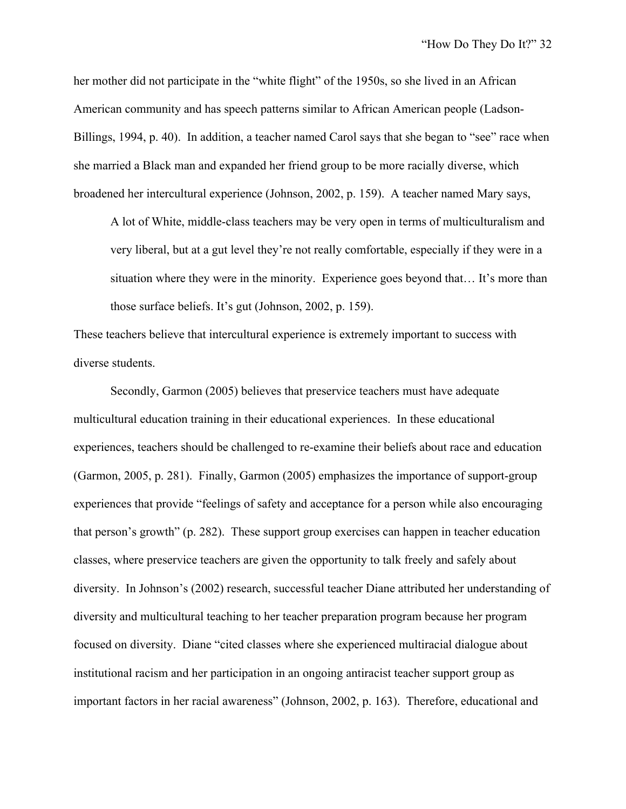her mother did not participate in the "white flight" of the 1950s, so she lived in an African American community and has speech patterns similar to African American people (Ladson-Billings, 1994, p. 40). In addition, a teacher named Carol says that she began to "see" race when she married a Black man and expanded her friend group to be more racially diverse, which broadened her intercultural experience (Johnson, 2002, p. 159). A teacher named Mary says,

A lot of White, middle-class teachers may be very open in terms of multiculturalism and very liberal, but at a gut level they're not really comfortable, especially if they were in a situation where they were in the minority. Experience goes beyond that… It's more than those surface beliefs. It's gut (Johnson, 2002, p. 159).

These teachers believe that intercultural experience is extremely important to success with diverse students.

Secondly, Garmon (2005) believes that preservice teachers must have adequate multicultural education training in their educational experiences. In these educational experiences, teachers should be challenged to re-examine their beliefs about race and education (Garmon, 2005, p. 281). Finally, Garmon (2005) emphasizes the importance of support-group experiences that provide "feelings of safety and acceptance for a person while also encouraging that person's growth" (p. 282). These support group exercises can happen in teacher education classes, where preservice teachers are given the opportunity to talk freely and safely about diversity. In Johnson's (2002) research, successful teacher Diane attributed her understanding of diversity and multicultural teaching to her teacher preparation program because her program focused on diversity. Diane "cited classes where she experienced multiracial dialogue about institutional racism and her participation in an ongoing antiracist teacher support group as important factors in her racial awareness" (Johnson, 2002, p. 163). Therefore, educational and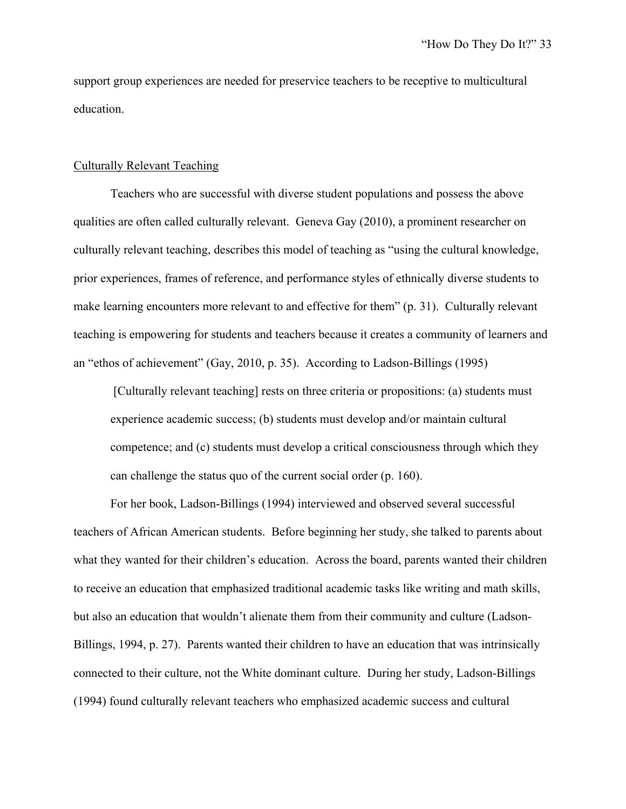support group experiences are needed for preservice teachers to be receptive to multicultural education.

#### Culturally Relevant Teaching

Teachers who are successful with diverse student populations and possess the above qualities are often called culturally relevant. Geneva Gay (2010), a prominent researcher on culturally relevant teaching, describes this model of teaching as "using the cultural knowledge, prior experiences, frames of reference, and performance styles of ethnically diverse students to make learning encounters more relevant to and effective for them" (p. 31). Culturally relevant teaching is empowering for students and teachers because it creates a community of learners and an "ethos of achievement" (Gay, 2010, p. 35). According to Ladson-Billings (1995)

[Culturally relevant teaching] rests on three criteria or propositions: (a) students must experience academic success; (b) students must develop and/or maintain cultural competence; and (c) students must develop a critical consciousness through which they can challenge the status quo of the current social order (p. 160).

For her book, Ladson-Billings (1994) interviewed and observed several successful teachers of African American students. Before beginning her study, she talked to parents about what they wanted for their children's education. Across the board, parents wanted their children to receive an education that emphasized traditional academic tasks like writing and math skills, but also an education that wouldn't alienate them from their community and culture (Ladson-Billings, 1994, p. 27). Parents wanted their children to have an education that was intrinsically connected to their culture, not the White dominant culture. During her study, Ladson-Billings (1994) found culturally relevant teachers who emphasized academic success and cultural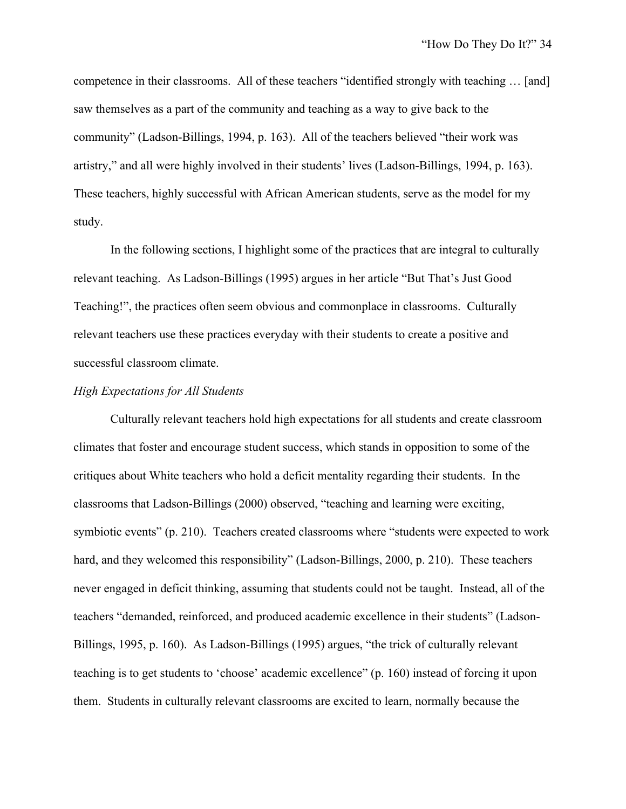competence in their classrooms. All of these teachers "identified strongly with teaching … [and] saw themselves as a part of the community and teaching as a way to give back to the community" (Ladson-Billings, 1994, p. 163). All of the teachers believed "their work was artistry," and all were highly involved in their students' lives (Ladson-Billings, 1994, p. 163). These teachers, highly successful with African American students, serve as the model for my study.

In the following sections, I highlight some of the practices that are integral to culturally relevant teaching. As Ladson-Billings (1995) argues in her article "But That's Just Good Teaching!", the practices often seem obvious and commonplace in classrooms. Culturally relevant teachers use these practices everyday with their students to create a positive and successful classroom climate.

## *High Expectations for All Students*

Culturally relevant teachers hold high expectations for all students and create classroom climates that foster and encourage student success, which stands in opposition to some of the critiques about White teachers who hold a deficit mentality regarding their students. In the classrooms that Ladson-Billings (2000) observed, "teaching and learning were exciting, symbiotic events" (p. 210). Teachers created classrooms where "students were expected to work hard, and they welcomed this responsibility" (Ladson-Billings, 2000, p. 210). These teachers never engaged in deficit thinking, assuming that students could not be taught. Instead, all of the teachers "demanded, reinforced, and produced academic excellence in their students" (Ladson-Billings, 1995, p. 160). As Ladson-Billings (1995) argues, "the trick of culturally relevant teaching is to get students to 'choose' academic excellence" (p. 160) instead of forcing it upon them. Students in culturally relevant classrooms are excited to learn, normally because the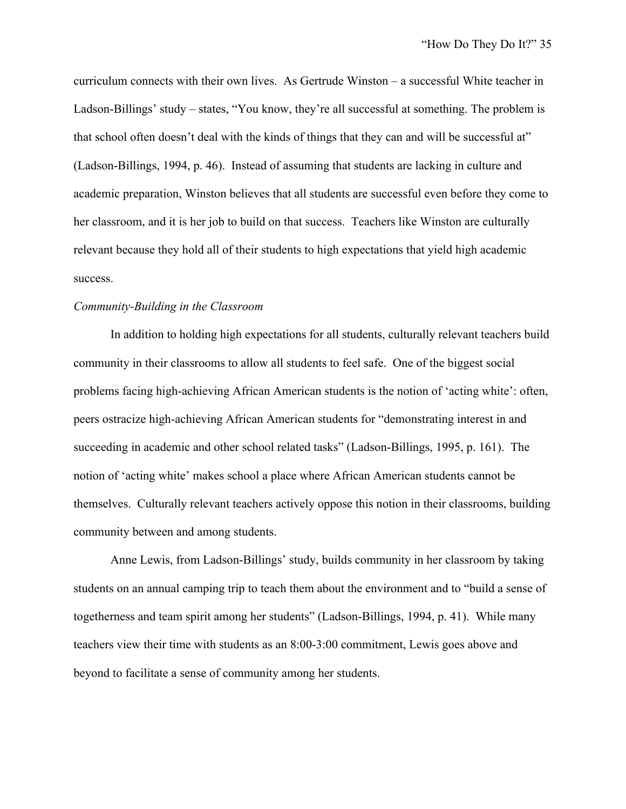curriculum connects with their own lives. As Gertrude Winston – a successful White teacher in Ladson-Billings' study – states, "You know, they're all successful at something. The problem is that school often doesn't deal with the kinds of things that they can and will be successful at" (Ladson-Billings, 1994, p. 46). Instead of assuming that students are lacking in culture and academic preparation, Winston believes that all students are successful even before they come to her classroom, and it is her job to build on that success. Teachers like Winston are culturally relevant because they hold all of their students to high expectations that yield high academic success.

#### *Community-Building in the Classroom*

In addition to holding high expectations for all students, culturally relevant teachers build community in their classrooms to allow all students to feel safe. One of the biggest social problems facing high-achieving African American students is the notion of 'acting white': often, peers ostracize high-achieving African American students for "demonstrating interest in and succeeding in academic and other school related tasks" (Ladson-Billings, 1995, p. 161). The notion of 'acting white' makes school a place where African American students cannot be themselves. Culturally relevant teachers actively oppose this notion in their classrooms, building community between and among students.

Anne Lewis, from Ladson-Billings' study, builds community in her classroom by taking students on an annual camping trip to teach them about the environment and to "build a sense of togetherness and team spirit among her students" (Ladson-Billings, 1994, p. 41). While many teachers view their time with students as an 8:00-3:00 commitment, Lewis goes above and beyond to facilitate a sense of community among her students.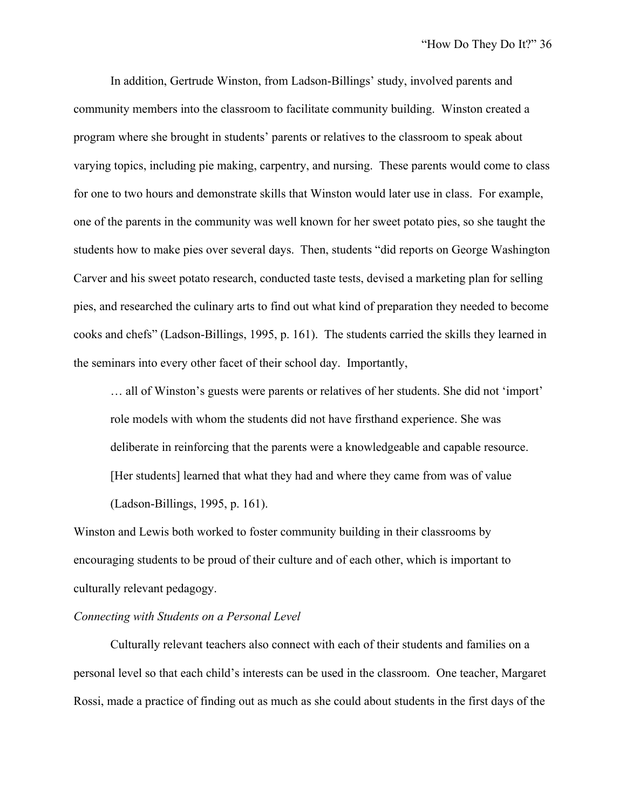In addition, Gertrude Winston, from Ladson-Billings' study, involved parents and community members into the classroom to facilitate community building. Winston created a program where she brought in students' parents or relatives to the classroom to speak about varying topics, including pie making, carpentry, and nursing. These parents would come to class for one to two hours and demonstrate skills that Winston would later use in class. For example, one of the parents in the community was well known for her sweet potato pies, so she taught the students how to make pies over several days. Then, students "did reports on George Washington Carver and his sweet potato research, conducted taste tests, devised a marketing plan for selling pies, and researched the culinary arts to find out what kind of preparation they needed to become cooks and chefs" (Ladson-Billings, 1995, p. 161). The students carried the skills they learned in the seminars into every other facet of their school day. Importantly,

… all of Winston's guests were parents or relatives of her students. She did not 'import' role models with whom the students did not have firsthand experience. She was deliberate in reinforcing that the parents were a knowledgeable and capable resource. [Her students] learned that what they had and where they came from was of value (Ladson-Billings, 1995, p. 161).

Winston and Lewis both worked to foster community building in their classrooms by encouraging students to be proud of their culture and of each other, which is important to culturally relevant pedagogy.

## *Connecting with Students on a Personal Level*

Culturally relevant teachers also connect with each of their students and families on a personal level so that each child's interests can be used in the classroom. One teacher, Margaret Rossi, made a practice of finding out as much as she could about students in the first days of the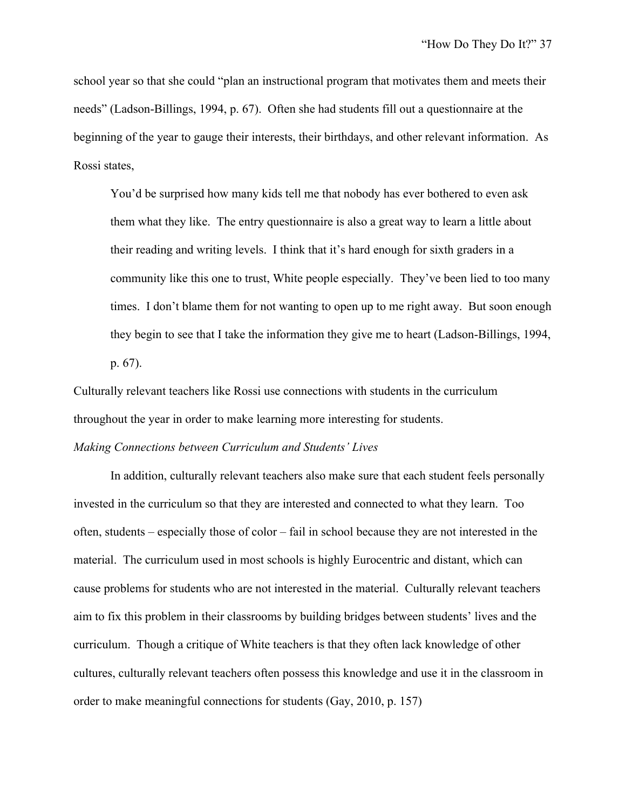school year so that she could "plan an instructional program that motivates them and meets their needs" (Ladson-Billings, 1994, p. 67). Often she had students fill out a questionnaire at the beginning of the year to gauge their interests, their birthdays, and other relevant information. As Rossi states,

You'd be surprised how many kids tell me that nobody has ever bothered to even ask them what they like. The entry questionnaire is also a great way to learn a little about their reading and writing levels. I think that it's hard enough for sixth graders in a community like this one to trust, White people especially. They've been lied to too many times. I don't blame them for not wanting to open up to me right away. But soon enough they begin to see that I take the information they give me to heart (Ladson-Billings, 1994, p. 67).

Culturally relevant teachers like Rossi use connections with students in the curriculum throughout the year in order to make learning more interesting for students.

# *Making Connections between Curriculum and Students' Lives*

In addition, culturally relevant teachers also make sure that each student feels personally invested in the curriculum so that they are interested and connected to what they learn. Too often, students – especially those of color – fail in school because they are not interested in the material. The curriculum used in most schools is highly Eurocentric and distant, which can cause problems for students who are not interested in the material. Culturally relevant teachers aim to fix this problem in their classrooms by building bridges between students' lives and the curriculum. Though a critique of White teachers is that they often lack knowledge of other cultures, culturally relevant teachers often possess this knowledge and use it in the classroom in order to make meaningful connections for students (Gay, 2010, p. 157)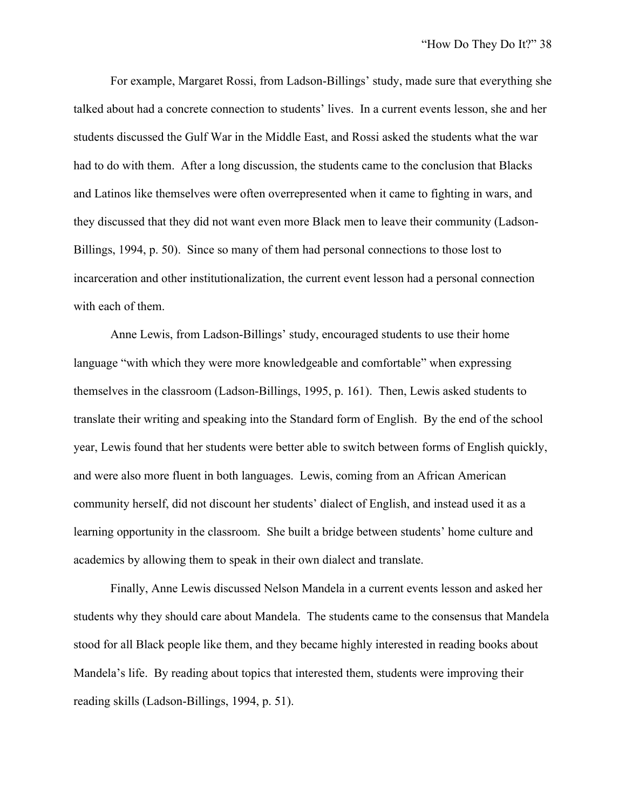For example, Margaret Rossi, from Ladson-Billings' study, made sure that everything she talked about had a concrete connection to students' lives. In a current events lesson, she and her students discussed the Gulf War in the Middle East, and Rossi asked the students what the war had to do with them. After a long discussion, the students came to the conclusion that Blacks and Latinos like themselves were often overrepresented when it came to fighting in wars, and they discussed that they did not want even more Black men to leave their community (Ladson-Billings, 1994, p. 50). Since so many of them had personal connections to those lost to incarceration and other institutionalization, the current event lesson had a personal connection with each of them.

Anne Lewis, from Ladson-Billings' study, encouraged students to use their home language "with which they were more knowledgeable and comfortable" when expressing themselves in the classroom (Ladson-Billings, 1995, p. 161). Then, Lewis asked students to translate their writing and speaking into the Standard form of English. By the end of the school year, Lewis found that her students were better able to switch between forms of English quickly, and were also more fluent in both languages. Lewis, coming from an African American community herself, did not discount her students' dialect of English, and instead used it as a learning opportunity in the classroom. She built a bridge between students' home culture and academics by allowing them to speak in their own dialect and translate.

Finally, Anne Lewis discussed Nelson Mandela in a current events lesson and asked her students why they should care about Mandela. The students came to the consensus that Mandela stood for all Black people like them, and they became highly interested in reading books about Mandela's life. By reading about topics that interested them, students were improving their reading skills (Ladson-Billings, 1994, p. 51).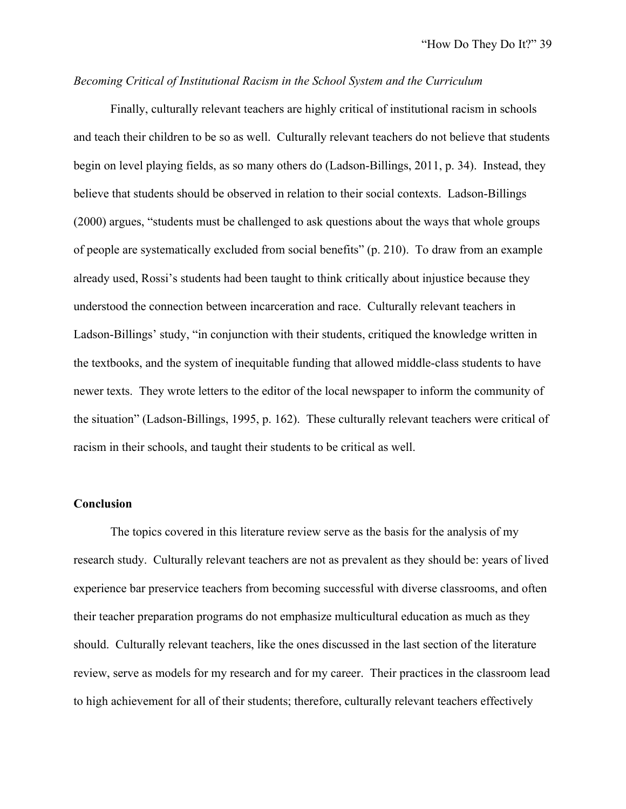## *Becoming Critical of Institutional Racism in the School System and the Curriculum*

Finally, culturally relevant teachers are highly critical of institutional racism in schools and teach their children to be so as well. Culturally relevant teachers do not believe that students begin on level playing fields, as so many others do (Ladson-Billings, 2011, p. 34). Instead, they believe that students should be observed in relation to their social contexts. Ladson-Billings (2000) argues, "students must be challenged to ask questions about the ways that whole groups of people are systematically excluded from social benefits" (p. 210). To draw from an example already used, Rossi's students had been taught to think critically about injustice because they understood the connection between incarceration and race. Culturally relevant teachers in Ladson-Billings' study, "in conjunction with their students, critiqued the knowledge written in the textbooks, and the system of inequitable funding that allowed middle-class students to have newer texts. They wrote letters to the editor of the local newspaper to inform the community of the situation" (Ladson-Billings, 1995, p. 162). These culturally relevant teachers were critical of racism in their schools, and taught their students to be critical as well.

## **Conclusion**

The topics covered in this literature review serve as the basis for the analysis of my research study. Culturally relevant teachers are not as prevalent as they should be: years of lived experience bar preservice teachers from becoming successful with diverse classrooms, and often their teacher preparation programs do not emphasize multicultural education as much as they should. Culturally relevant teachers, like the ones discussed in the last section of the literature review, serve as models for my research and for my career. Their practices in the classroom lead to high achievement for all of their students; therefore, culturally relevant teachers effectively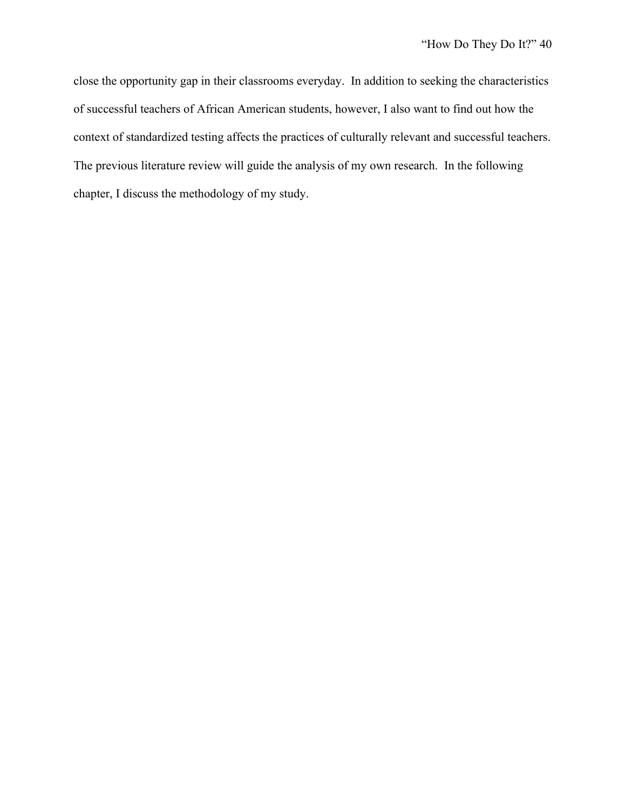close the opportunity gap in their classrooms everyday. In addition to seeking the characteristics of successful teachers of African American students, however, I also want to find out how the context of standardized testing affects the practices of culturally relevant and successful teachers. The previous literature review will guide the analysis of my own research. In the following chapter, I discuss the methodology of my study.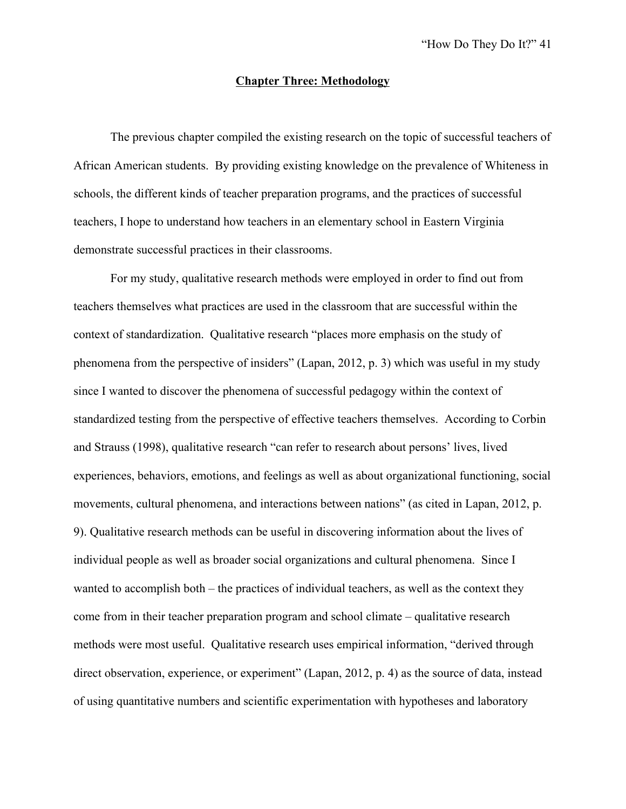#### **Chapter Three: Methodology**

The previous chapter compiled the existing research on the topic of successful teachers of African American students. By providing existing knowledge on the prevalence of Whiteness in schools, the different kinds of teacher preparation programs, and the practices of successful teachers, I hope to understand how teachers in an elementary school in Eastern Virginia demonstrate successful practices in their classrooms.

For my study, qualitative research methods were employed in order to find out from teachers themselves what practices are used in the classroom that are successful within the context of standardization. Qualitative research "places more emphasis on the study of phenomena from the perspective of insiders" (Lapan, 2012, p. 3) which was useful in my study since I wanted to discover the phenomena of successful pedagogy within the context of standardized testing from the perspective of effective teachers themselves. According to Corbin and Strauss (1998), qualitative research "can refer to research about persons' lives, lived experiences, behaviors, emotions, and feelings as well as about organizational functioning, social movements, cultural phenomena, and interactions between nations" (as cited in Lapan, 2012, p. 9). Qualitative research methods can be useful in discovering information about the lives of individual people as well as broader social organizations and cultural phenomena. Since I wanted to accomplish both – the practices of individual teachers, as well as the context they come from in their teacher preparation program and school climate – qualitative research methods were most useful. Qualitative research uses empirical information, "derived through direct observation, experience, or experiment" (Lapan, 2012, p. 4) as the source of data, instead of using quantitative numbers and scientific experimentation with hypotheses and laboratory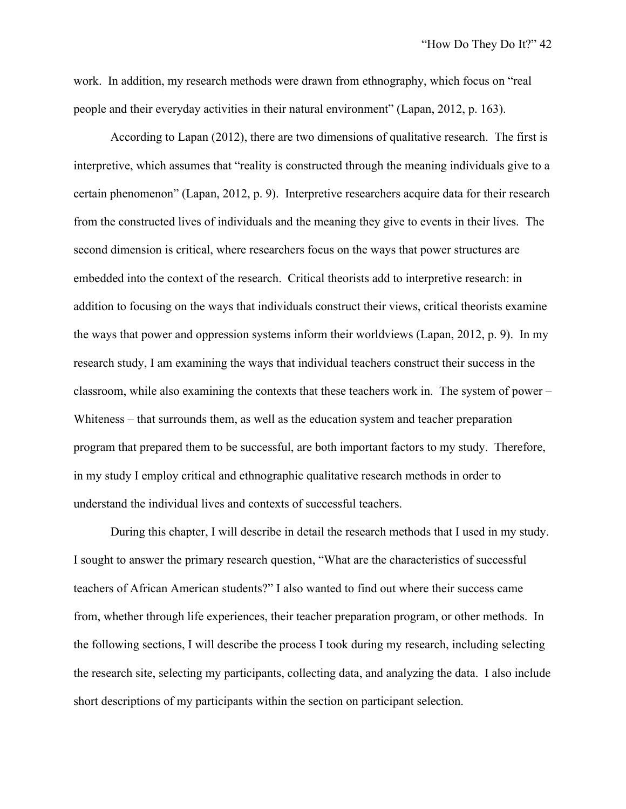work. In addition, my research methods were drawn from ethnography, which focus on "real people and their everyday activities in their natural environment" (Lapan, 2012, p. 163).

According to Lapan (2012), there are two dimensions of qualitative research. The first is interpretive, which assumes that "reality is constructed through the meaning individuals give to a certain phenomenon" (Lapan, 2012, p. 9). Interpretive researchers acquire data for their research from the constructed lives of individuals and the meaning they give to events in their lives. The second dimension is critical, where researchers focus on the ways that power structures are embedded into the context of the research. Critical theorists add to interpretive research: in addition to focusing on the ways that individuals construct their views, critical theorists examine the ways that power and oppression systems inform their worldviews (Lapan, 2012, p. 9). In my research study, I am examining the ways that individual teachers construct their success in the classroom, while also examining the contexts that these teachers work in. The system of power – Whiteness – that surrounds them, as well as the education system and teacher preparation program that prepared them to be successful, are both important factors to my study. Therefore, in my study I employ critical and ethnographic qualitative research methods in order to understand the individual lives and contexts of successful teachers.

During this chapter, I will describe in detail the research methods that I used in my study. I sought to answer the primary research question, "What are the characteristics of successful teachers of African American students?" I also wanted to find out where their success came from, whether through life experiences, their teacher preparation program, or other methods. In the following sections, I will describe the process I took during my research, including selecting the research site, selecting my participants, collecting data, and analyzing the data. I also include short descriptions of my participants within the section on participant selection.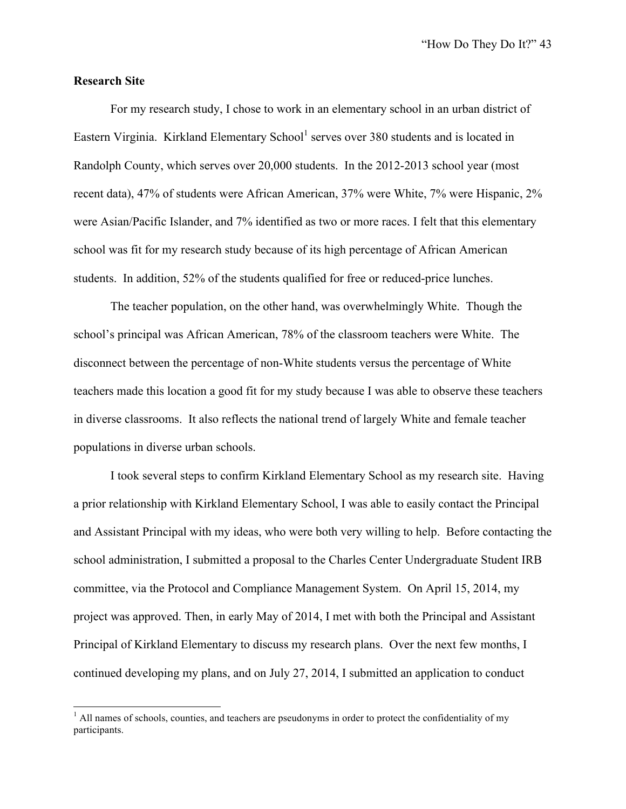#### **Research Site**

For my research study, I chose to work in an elementary school in an urban district of Eastern Virginia. Kirkland Elementary School<sup>1</sup> serves over 380 students and is located in Randolph County, which serves over 20,000 students. In the 2012-2013 school year (most recent data), 47% of students were African American, 37% were White, 7% were Hispanic, 2% were Asian/Pacific Islander, and 7% identified as two or more races. I felt that this elementary school was fit for my research study because of its high percentage of African American students. In addition, 52% of the students qualified for free or reduced-price lunches.

The teacher population, on the other hand, was overwhelmingly White. Though the school's principal was African American, 78% of the classroom teachers were White. The disconnect between the percentage of non-White students versus the percentage of White teachers made this location a good fit for my study because I was able to observe these teachers in diverse classrooms. It also reflects the national trend of largely White and female teacher populations in diverse urban schools.

I took several steps to confirm Kirkland Elementary School as my research site. Having a prior relationship with Kirkland Elementary School, I was able to easily contact the Principal and Assistant Principal with my ideas, who were both very willing to help. Before contacting the school administration, I submitted a proposal to the Charles Center Undergraduate Student IRB committee, via the Protocol and Compliance Management System. On April 15, 2014, my project was approved. Then, in early May of 2014, I met with both the Principal and Assistant Principal of Kirkland Elementary to discuss my research plans. Over the next few months, I continued developing my plans, and on July 27, 2014, I submitted an application to conduct

 $<sup>1</sup>$  All names of schools, counties, and teachers are pseudonyms in order to protect the confidentiality of my</sup> participants.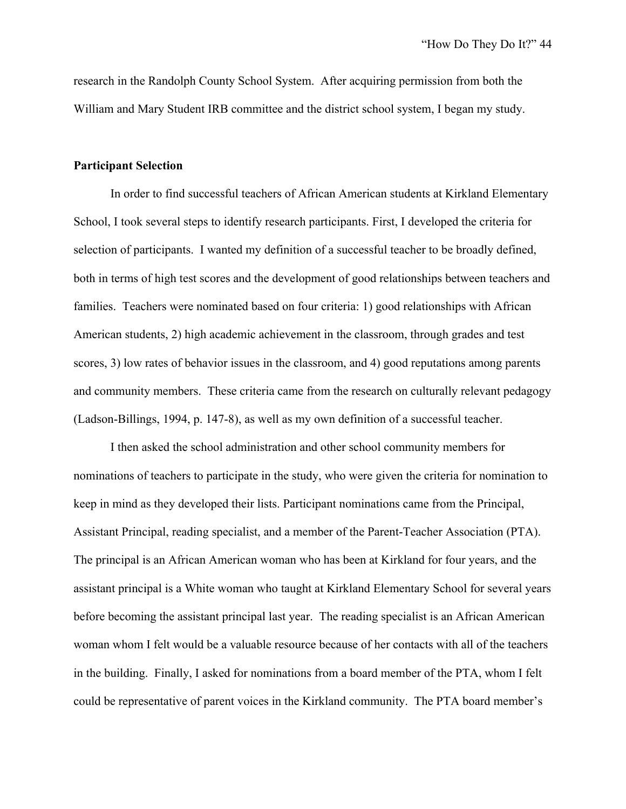research in the Randolph County School System. After acquiring permission from both the William and Mary Student IRB committee and the district school system, I began my study.

#### **Participant Selection**

In order to find successful teachers of African American students at Kirkland Elementary School, I took several steps to identify research participants. First, I developed the criteria for selection of participants. I wanted my definition of a successful teacher to be broadly defined, both in terms of high test scores and the development of good relationships between teachers and families. Teachers were nominated based on four criteria: 1) good relationships with African American students, 2) high academic achievement in the classroom, through grades and test scores, 3) low rates of behavior issues in the classroom, and 4) good reputations among parents and community members. These criteria came from the research on culturally relevant pedagogy (Ladson-Billings, 1994, p. 147-8), as well as my own definition of a successful teacher.

I then asked the school administration and other school community members for nominations of teachers to participate in the study, who were given the criteria for nomination to keep in mind as they developed their lists. Participant nominations came from the Principal, Assistant Principal, reading specialist, and a member of the Parent-Teacher Association (PTA). The principal is an African American woman who has been at Kirkland for four years, and the assistant principal is a White woman who taught at Kirkland Elementary School for several years before becoming the assistant principal last year. The reading specialist is an African American woman whom I felt would be a valuable resource because of her contacts with all of the teachers in the building. Finally, I asked for nominations from a board member of the PTA, whom I felt could be representative of parent voices in the Kirkland community. The PTA board member's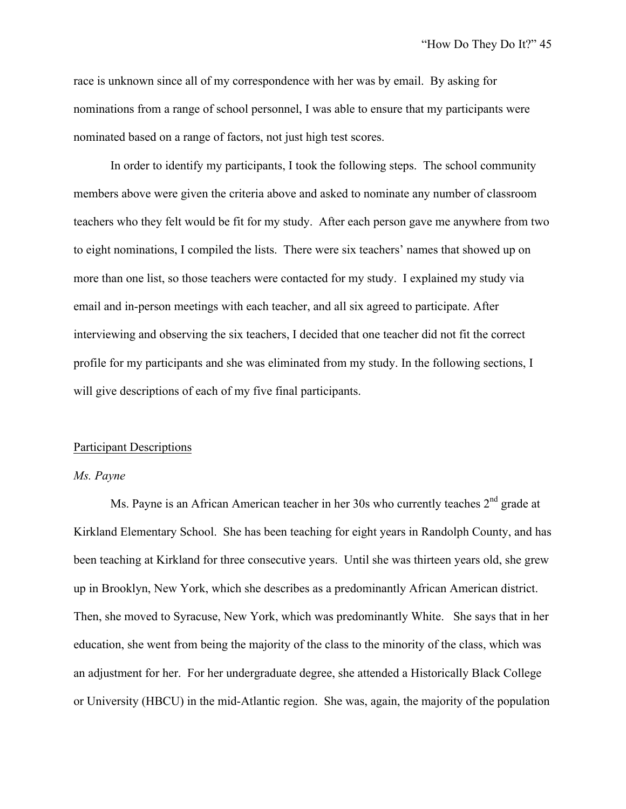race is unknown since all of my correspondence with her was by email. By asking for nominations from a range of school personnel, I was able to ensure that my participants were nominated based on a range of factors, not just high test scores.

In order to identify my participants, I took the following steps. The school community members above were given the criteria above and asked to nominate any number of classroom teachers who they felt would be fit for my study. After each person gave me anywhere from two to eight nominations, I compiled the lists. There were six teachers' names that showed up on more than one list, so those teachers were contacted for my study. I explained my study via email and in-person meetings with each teacher, and all six agreed to participate. After interviewing and observing the six teachers, I decided that one teacher did not fit the correct profile for my participants and she was eliminated from my study. In the following sections, I will give descriptions of each of my five final participants.

#### Participant Descriptions

## *Ms. Payne*

Ms. Payne is an African American teacher in her 30s who currently teaches 2<sup>nd</sup> grade at Kirkland Elementary School. She has been teaching for eight years in Randolph County, and has been teaching at Kirkland for three consecutive years. Until she was thirteen years old, she grew up in Brooklyn, New York, which she describes as a predominantly African American district. Then, she moved to Syracuse, New York, which was predominantly White. She says that in her education, she went from being the majority of the class to the minority of the class, which was an adjustment for her. For her undergraduate degree, she attended a Historically Black College or University (HBCU) in the mid-Atlantic region. She was, again, the majority of the population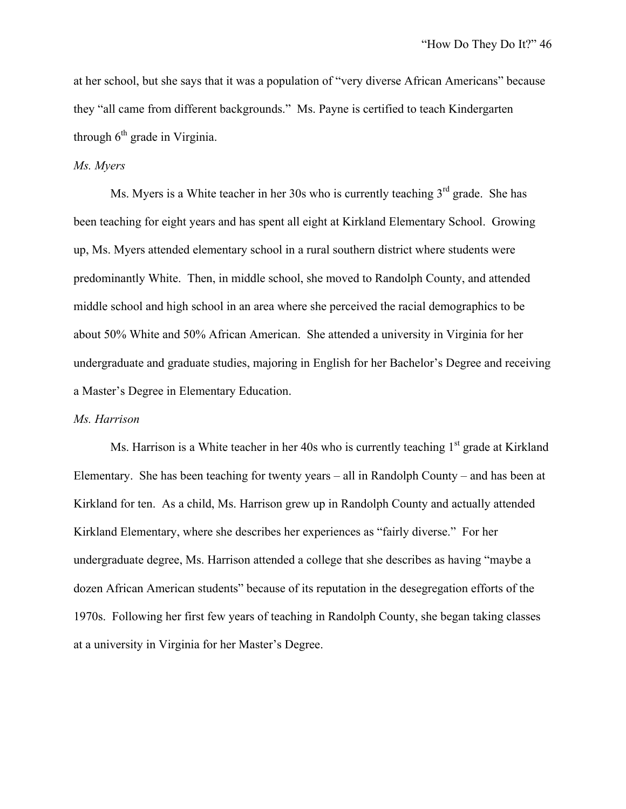at her school, but she says that it was a population of "very diverse African Americans" because they "all came from different backgrounds." Ms. Payne is certified to teach Kindergarten through  $6<sup>th</sup>$  grade in Virginia.

## *Ms. Myers*

Ms. Myers is a White teacher in her 30s who is currently teaching  $3<sup>rd</sup>$  grade. She has been teaching for eight years and has spent all eight at Kirkland Elementary School. Growing up, Ms. Myers attended elementary school in a rural southern district where students were predominantly White. Then, in middle school, she moved to Randolph County, and attended middle school and high school in an area where she perceived the racial demographics to be about 50% White and 50% African American. She attended a university in Virginia for her undergraduate and graduate studies, majoring in English for her Bachelor's Degree and receiving a Master's Degree in Elementary Education.

#### *Ms. Harrison*

Ms. Harrison is a White teacher in her 40s who is currently teaching  $1<sup>st</sup>$  grade at Kirkland Elementary. She has been teaching for twenty years – all in Randolph County – and has been at Kirkland for ten. As a child, Ms. Harrison grew up in Randolph County and actually attended Kirkland Elementary, where she describes her experiences as "fairly diverse." For her undergraduate degree, Ms. Harrison attended a college that she describes as having "maybe a dozen African American students" because of its reputation in the desegregation efforts of the 1970s. Following her first few years of teaching in Randolph County, she began taking classes at a university in Virginia for her Master's Degree.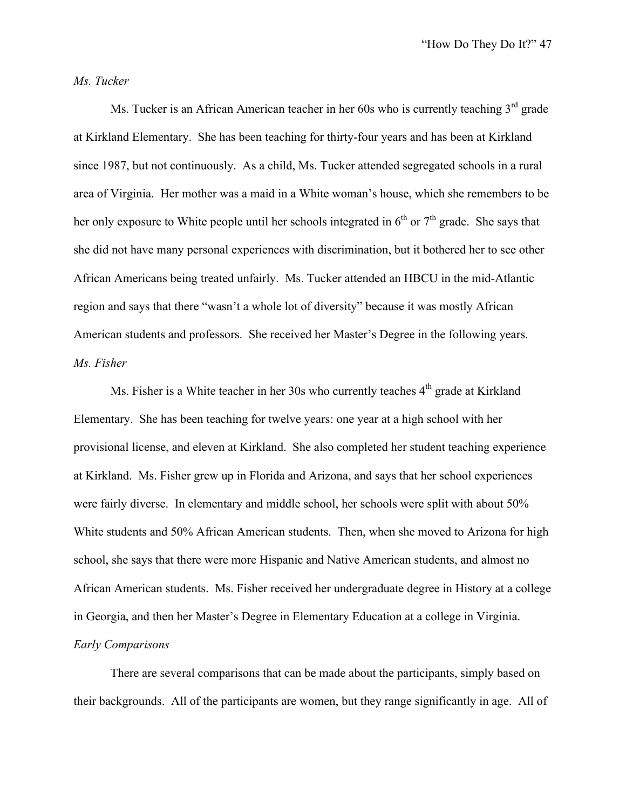## *Ms. Tucker*

Ms. Tucker is an African American teacher in her  $60s$  who is currently teaching  $3<sup>rd</sup>$  grade at Kirkland Elementary. She has been teaching for thirty-four years and has been at Kirkland since 1987, but not continuously. As a child, Ms. Tucker attended segregated schools in a rural area of Virginia. Her mother was a maid in a White woman's house, which she remembers to be her only exposure to White people until her schools integrated in  $6<sup>th</sup>$  or  $7<sup>th</sup>$  grade. She says that she did not have many personal experiences with discrimination, but it bothered her to see other African Americans being treated unfairly. Ms. Tucker attended an HBCU in the mid-Atlantic region and says that there "wasn't a whole lot of diversity" because it was mostly African American students and professors. She received her Master's Degree in the following years. *Ms. Fisher*

Ms. Fisher is a White teacher in her 30s who currently teaches  $4<sup>th</sup>$  grade at Kirkland Elementary. She has been teaching for twelve years: one year at a high school with her provisional license, and eleven at Kirkland. She also completed her student teaching experience at Kirkland. Ms. Fisher grew up in Florida and Arizona, and says that her school experiences were fairly diverse. In elementary and middle school, her schools were split with about 50% White students and 50% African American students. Then, when she moved to Arizona for high school, she says that there were more Hispanic and Native American students, and almost no African American students. Ms. Fisher received her undergraduate degree in History at a college in Georgia, and then her Master's Degree in Elementary Education at a college in Virginia. *Early Comparisons*

There are several comparisons that can be made about the participants, simply based on their backgrounds. All of the participants are women, but they range significantly in age. All of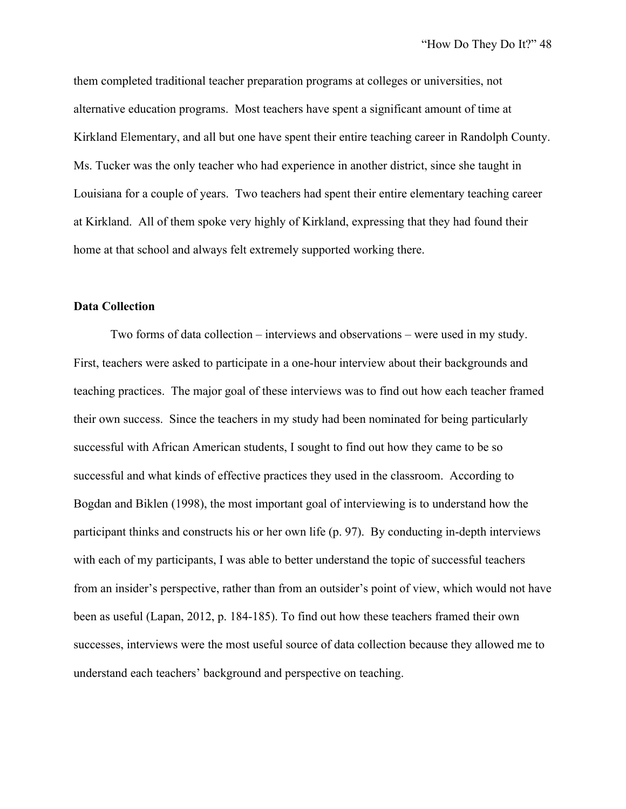them completed traditional teacher preparation programs at colleges or universities, not alternative education programs. Most teachers have spent a significant amount of time at Kirkland Elementary, and all but one have spent their entire teaching career in Randolph County. Ms. Tucker was the only teacher who had experience in another district, since she taught in Louisiana for a couple of years. Two teachers had spent their entire elementary teaching career at Kirkland. All of them spoke very highly of Kirkland, expressing that they had found their home at that school and always felt extremely supported working there.

## **Data Collection**

Two forms of data collection – interviews and observations – were used in my study. First, teachers were asked to participate in a one-hour interview about their backgrounds and teaching practices. The major goal of these interviews was to find out how each teacher framed their own success. Since the teachers in my study had been nominated for being particularly successful with African American students, I sought to find out how they came to be so successful and what kinds of effective practices they used in the classroom. According to Bogdan and Biklen (1998), the most important goal of interviewing is to understand how the participant thinks and constructs his or her own life (p. 97). By conducting in-depth interviews with each of my participants, I was able to better understand the topic of successful teachers from an insider's perspective, rather than from an outsider's point of view, which would not have been as useful (Lapan, 2012, p. 184-185). To find out how these teachers framed their own successes, interviews were the most useful source of data collection because they allowed me to understand each teachers' background and perspective on teaching.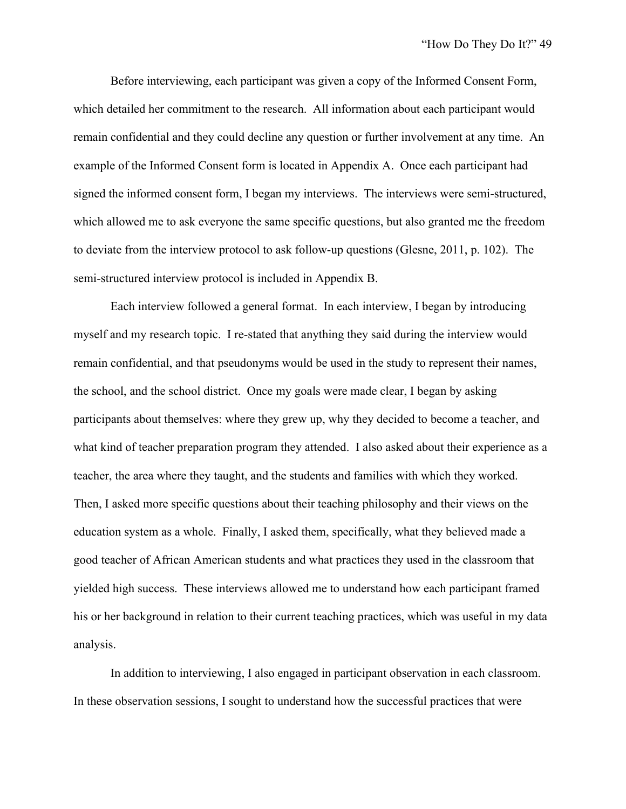Before interviewing, each participant was given a copy of the Informed Consent Form, which detailed her commitment to the research. All information about each participant would remain confidential and they could decline any question or further involvement at any time. An example of the Informed Consent form is located in Appendix A. Once each participant had signed the informed consent form, I began my interviews. The interviews were semi-structured, which allowed me to ask everyone the same specific questions, but also granted me the freedom to deviate from the interview protocol to ask follow-up questions (Glesne, 2011, p. 102). The semi-structured interview protocol is included in Appendix B.

Each interview followed a general format. In each interview, I began by introducing myself and my research topic. I re-stated that anything they said during the interview would remain confidential, and that pseudonyms would be used in the study to represent their names, the school, and the school district. Once my goals were made clear, I began by asking participants about themselves: where they grew up, why they decided to become a teacher, and what kind of teacher preparation program they attended. I also asked about their experience as a teacher, the area where they taught, and the students and families with which they worked. Then, I asked more specific questions about their teaching philosophy and their views on the education system as a whole. Finally, I asked them, specifically, what they believed made a good teacher of African American students and what practices they used in the classroom that yielded high success. These interviews allowed me to understand how each participant framed his or her background in relation to their current teaching practices, which was useful in my data analysis.

In addition to interviewing, I also engaged in participant observation in each classroom. In these observation sessions, I sought to understand how the successful practices that were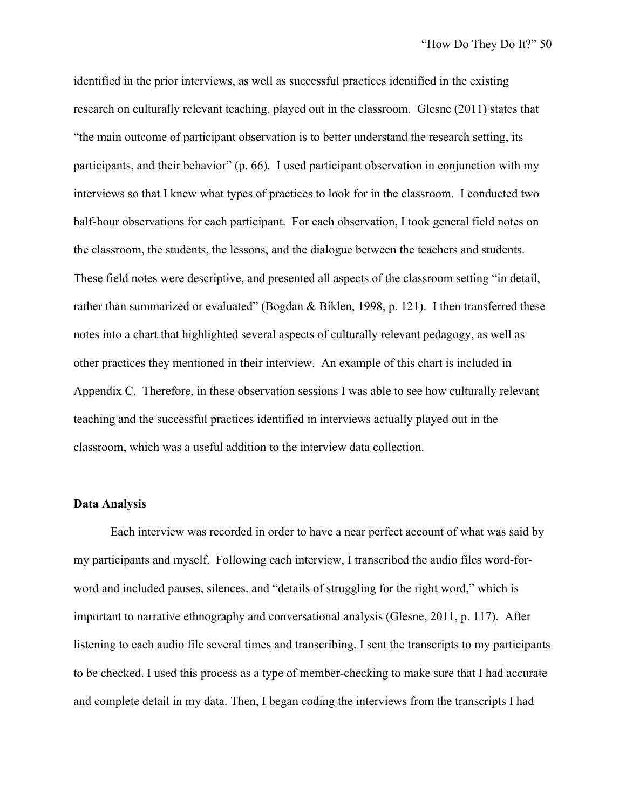identified in the prior interviews, as well as successful practices identified in the existing research on culturally relevant teaching, played out in the classroom. Glesne (2011) states that "the main outcome of participant observation is to better understand the research setting, its participants, and their behavior" (p. 66). I used participant observation in conjunction with my interviews so that I knew what types of practices to look for in the classroom. I conducted two half-hour observations for each participant. For each observation, I took general field notes on the classroom, the students, the lessons, and the dialogue between the teachers and students. These field notes were descriptive, and presented all aspects of the classroom setting "in detail, rather than summarized or evaluated" (Bogdan & Biklen, 1998, p. 121). I then transferred these notes into a chart that highlighted several aspects of culturally relevant pedagogy, as well as other practices they mentioned in their interview. An example of this chart is included in Appendix C. Therefore, in these observation sessions I was able to see how culturally relevant teaching and the successful practices identified in interviews actually played out in the classroom, which was a useful addition to the interview data collection.

## **Data Analysis**

Each interview was recorded in order to have a near perfect account of what was said by my participants and myself. Following each interview, I transcribed the audio files word-forword and included pauses, silences, and "details of struggling for the right word," which is important to narrative ethnography and conversational analysis (Glesne, 2011, p. 117). After listening to each audio file several times and transcribing, I sent the transcripts to my participants to be checked. I used this process as a type of member-checking to make sure that I had accurate and complete detail in my data. Then, I began coding the interviews from the transcripts I had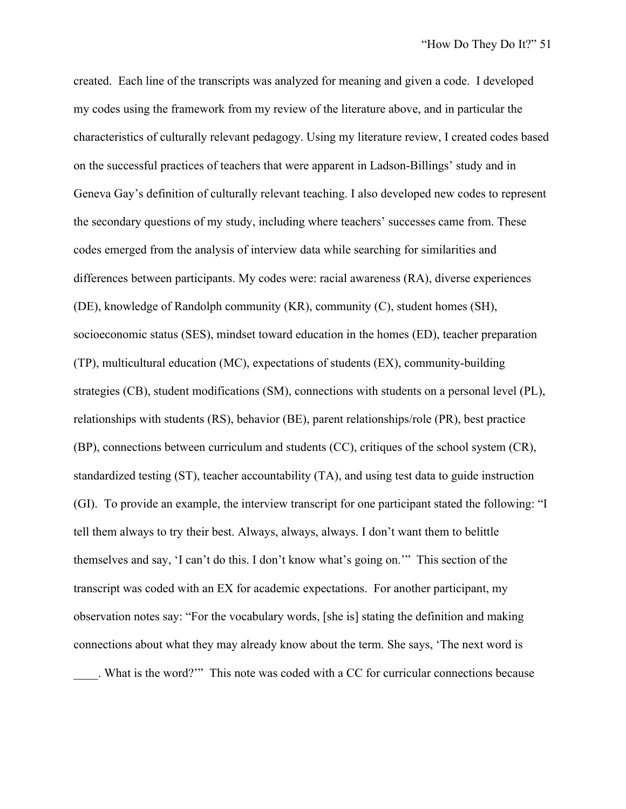created. Each line of the transcripts was analyzed for meaning and given a code. I developed my codes using the framework from my review of the literature above, and in particular the characteristics of culturally relevant pedagogy. Using my literature review, I created codes based on the successful practices of teachers that were apparent in Ladson-Billings' study and in Geneva Gay's definition of culturally relevant teaching. I also developed new codes to represent the secondary questions of my study, including where teachers' successes came from. These codes emerged from the analysis of interview data while searching for similarities and differences between participants. My codes were: racial awareness (RA), diverse experiences (DE), knowledge of Randolph community (KR), community (C), student homes (SH), socioeconomic status (SES), mindset toward education in the homes (ED), teacher preparation (TP), multicultural education (MC), expectations of students (EX), community-building strategies (CB), student modifications (SM), connections with students on a personal level (PL), relationships with students (RS), behavior (BE), parent relationships/role (PR), best practice (BP), connections between curriculum and students (CC), critiques of the school system (CR), standardized testing (ST), teacher accountability (TA), and using test data to guide instruction (GI). To provide an example, the interview transcript for one participant stated the following: "I tell them always to try their best. Always, always, always. I don't want them to belittle themselves and say, 'I can't do this. I don't know what's going on.'" This section of the transcript was coded with an EX for academic expectations. For another participant, my observation notes say: "For the vocabulary words, [she is] stating the definition and making connections about what they may already know about the term. She says, 'The next word is

\_\_\_\_. What is the word?'" This note was coded with a CC for curricular connections because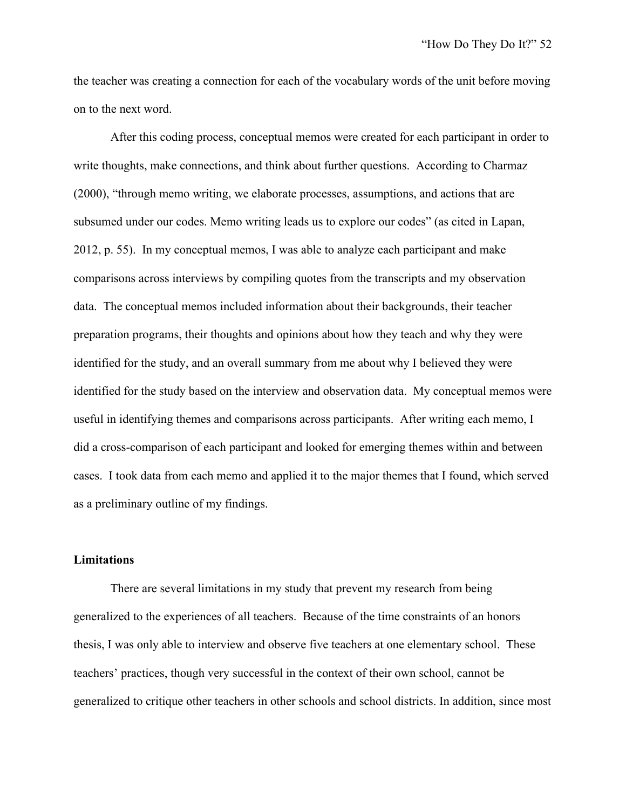the teacher was creating a connection for each of the vocabulary words of the unit before moving on to the next word.

After this coding process, conceptual memos were created for each participant in order to write thoughts, make connections, and think about further questions. According to Charmaz (2000), "through memo writing, we elaborate processes, assumptions, and actions that are subsumed under our codes. Memo writing leads us to explore our codes" (as cited in Lapan, 2012, p. 55). In my conceptual memos, I was able to analyze each participant and make comparisons across interviews by compiling quotes from the transcripts and my observation data. The conceptual memos included information about their backgrounds, their teacher preparation programs, their thoughts and opinions about how they teach and why they were identified for the study, and an overall summary from me about why I believed they were identified for the study based on the interview and observation data. My conceptual memos were useful in identifying themes and comparisons across participants. After writing each memo, I did a cross-comparison of each participant and looked for emerging themes within and between cases. I took data from each memo and applied it to the major themes that I found, which served as a preliminary outline of my findings.

### **Limitations**

There are several limitations in my study that prevent my research from being generalized to the experiences of all teachers. Because of the time constraints of an honors thesis, I was only able to interview and observe five teachers at one elementary school. These teachers' practices, though very successful in the context of their own school, cannot be generalized to critique other teachers in other schools and school districts. In addition, since most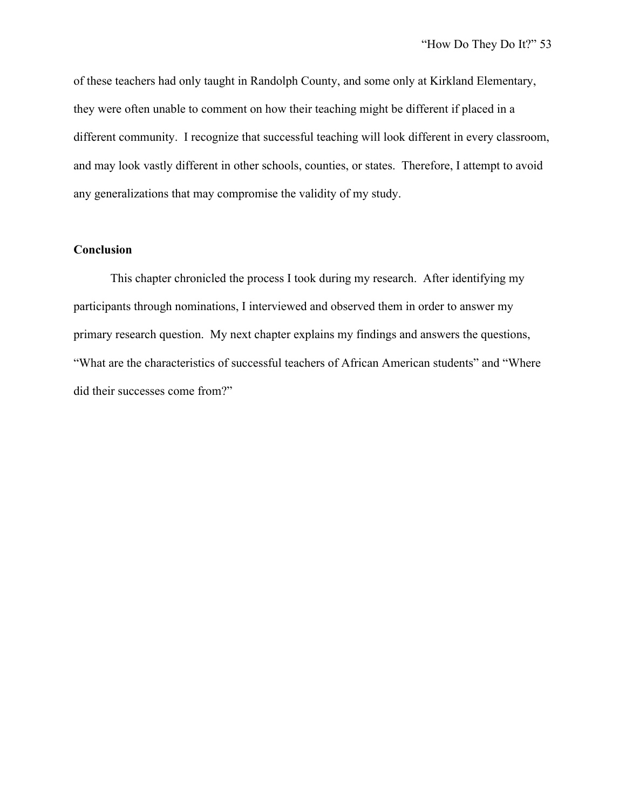of these teachers had only taught in Randolph County, and some only at Kirkland Elementary, they were often unable to comment on how their teaching might be different if placed in a different community. I recognize that successful teaching will look different in every classroom, and may look vastly different in other schools, counties, or states. Therefore, I attempt to avoid any generalizations that may compromise the validity of my study.

# **Conclusion**

This chapter chronicled the process I took during my research. After identifying my participants through nominations, I interviewed and observed them in order to answer my primary research question. My next chapter explains my findings and answers the questions, "What are the characteristics of successful teachers of African American students" and "Where did their successes come from?"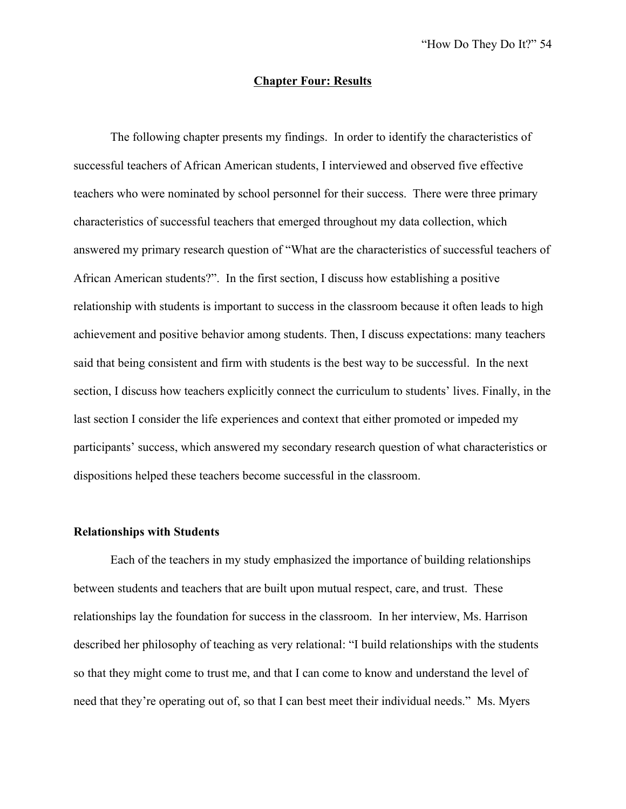## **Chapter Four: Results**

The following chapter presents my findings. In order to identify the characteristics of successful teachers of African American students, I interviewed and observed five effective teachers who were nominated by school personnel for their success. There were three primary characteristics of successful teachers that emerged throughout my data collection, which answered my primary research question of "What are the characteristics of successful teachers of African American students?". In the first section, I discuss how establishing a positive relationship with students is important to success in the classroom because it often leads to high achievement and positive behavior among students. Then, I discuss expectations: many teachers said that being consistent and firm with students is the best way to be successful. In the next section, I discuss how teachers explicitly connect the curriculum to students' lives. Finally, in the last section I consider the life experiences and context that either promoted or impeded my participants' success, which answered my secondary research question of what characteristics or dispositions helped these teachers become successful in the classroom.

### **Relationships with Students**

Each of the teachers in my study emphasized the importance of building relationships between students and teachers that are built upon mutual respect, care, and trust. These relationships lay the foundation for success in the classroom. In her interview, Ms. Harrison described her philosophy of teaching as very relational: "I build relationships with the students so that they might come to trust me, and that I can come to know and understand the level of need that they're operating out of, so that I can best meet their individual needs." Ms. Myers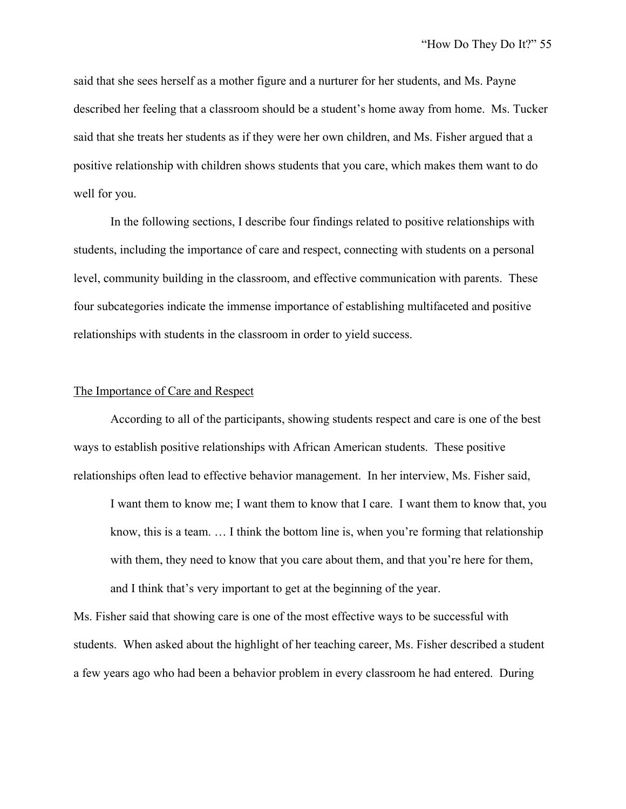said that she sees herself as a mother figure and a nurturer for her students, and Ms. Payne described her feeling that a classroom should be a student's home away from home. Ms. Tucker said that she treats her students as if they were her own children, and Ms. Fisher argued that a positive relationship with children shows students that you care, which makes them want to do well for you.

In the following sections, I describe four findings related to positive relationships with students, including the importance of care and respect, connecting with students on a personal level, community building in the classroom, and effective communication with parents. These four subcategories indicate the immense importance of establishing multifaceted and positive relationships with students in the classroom in order to yield success.

#### The Importance of Care and Respect

According to all of the participants, showing students respect and care is one of the best ways to establish positive relationships with African American students. These positive relationships often lead to effective behavior management. In her interview, Ms. Fisher said,

I want them to know me; I want them to know that I care. I want them to know that, you know, this is a team. … I think the bottom line is, when you're forming that relationship with them, they need to know that you care about them, and that you're here for them, and I think that's very important to get at the beginning of the year.

Ms. Fisher said that showing care is one of the most effective ways to be successful with students. When asked about the highlight of her teaching career, Ms. Fisher described a student a few years ago who had been a behavior problem in every classroom he had entered. During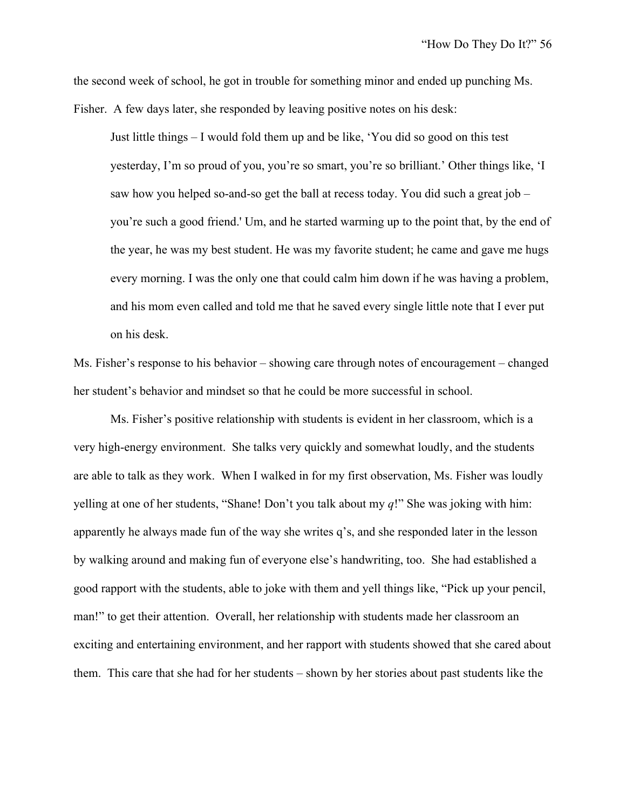the second week of school, he got in trouble for something minor and ended up punching Ms. Fisher. A few days later, she responded by leaving positive notes on his desk:

Just little things – I would fold them up and be like, 'You did so good on this test yesterday, I'm so proud of you, you're so smart, you're so brilliant.' Other things like, 'I saw how you helped so-and-so get the ball at recess today. You did such a great job – you're such a good friend.' Um, and he started warming up to the point that, by the end of the year, he was my best student. He was my favorite student; he came and gave me hugs every morning. I was the only one that could calm him down if he was having a problem, and his mom even called and told me that he saved every single little note that I ever put on his desk.

Ms. Fisher's response to his behavior – showing care through notes of encouragement – changed her student's behavior and mindset so that he could be more successful in school.

Ms. Fisher's positive relationship with students is evident in her classroom, which is a very high-energy environment. She talks very quickly and somewhat loudly, and the students are able to talk as they work. When I walked in for my first observation, Ms. Fisher was loudly yelling at one of her students, "Shane! Don't you talk about my *q*!" She was joking with him: apparently he always made fun of the way she writes q's, and she responded later in the lesson by walking around and making fun of everyone else's handwriting, too. She had established a good rapport with the students, able to joke with them and yell things like, "Pick up your pencil, man!" to get their attention. Overall, her relationship with students made her classroom an exciting and entertaining environment, and her rapport with students showed that she cared about them. This care that she had for her students – shown by her stories about past students like the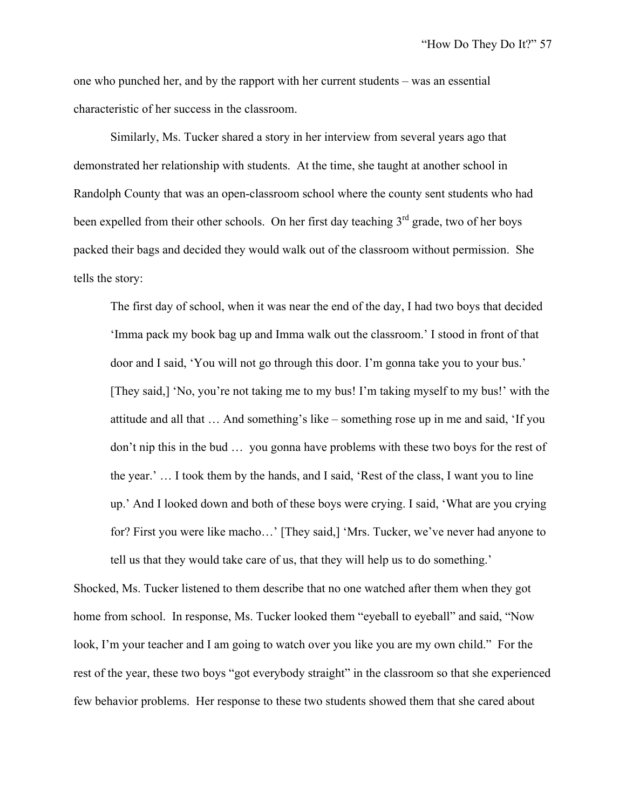one who punched her, and by the rapport with her current students – was an essential characteristic of her success in the classroom.

Similarly, Ms. Tucker shared a story in her interview from several years ago that demonstrated her relationship with students. At the time, she taught at another school in Randolph County that was an open-classroom school where the county sent students who had been expelled from their other schools. On her first day teaching 3<sup>rd</sup> grade, two of her boys packed their bags and decided they would walk out of the classroom without permission. She tells the story:

The first day of school, when it was near the end of the day, I had two boys that decided 'Imma pack my book bag up and Imma walk out the classroom.' I stood in front of that door and I said, 'You will not go through this door. I'm gonna take you to your bus.' [They said,] 'No, you're not taking me to my bus! I'm taking myself to my bus!' with the attitude and all that … And something's like – something rose up in me and said, 'If you don't nip this in the bud … you gonna have problems with these two boys for the rest of the year.' … I took them by the hands, and I said, 'Rest of the class, I want you to line up.' And I looked down and both of these boys were crying. I said, 'What are you crying for? First you were like macho…' [They said,] 'Mrs. Tucker, we've never had anyone to tell us that they would take care of us, that they will help us to do something.'

Shocked, Ms. Tucker listened to them describe that no one watched after them when they got home from school. In response, Ms. Tucker looked them "eyeball to eyeball" and said, "Now look, I'm your teacher and I am going to watch over you like you are my own child." For the rest of the year, these two boys "got everybody straight" in the classroom so that she experienced few behavior problems. Her response to these two students showed them that she cared about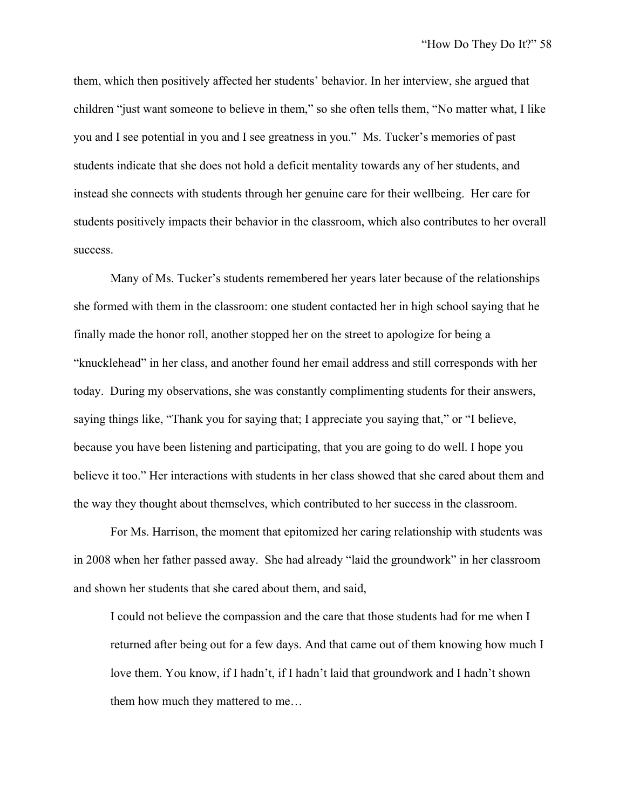them, which then positively affected her students' behavior. In her interview, she argued that children "just want someone to believe in them," so she often tells them, "No matter what, I like you and I see potential in you and I see greatness in you." Ms. Tucker's memories of past students indicate that she does not hold a deficit mentality towards any of her students, and instead she connects with students through her genuine care for their wellbeing. Her care for students positively impacts their behavior in the classroom, which also contributes to her overall success.

Many of Ms. Tucker's students remembered her years later because of the relationships she formed with them in the classroom: one student contacted her in high school saying that he finally made the honor roll, another stopped her on the street to apologize for being a "knucklehead" in her class, and another found her email address and still corresponds with her today. During my observations, she was constantly complimenting students for their answers, saying things like, "Thank you for saying that; I appreciate you saying that," or "I believe, because you have been listening and participating, that you are going to do well. I hope you believe it too." Her interactions with students in her class showed that she cared about them and the way they thought about themselves, which contributed to her success in the classroom.

For Ms. Harrison, the moment that epitomized her caring relationship with students was in 2008 when her father passed away. She had already "laid the groundwork" in her classroom and shown her students that she cared about them, and said,

I could not believe the compassion and the care that those students had for me when I returned after being out for a few days. And that came out of them knowing how much I love them. You know, if I hadn't, if I hadn't laid that groundwork and I hadn't shown them how much they mattered to me…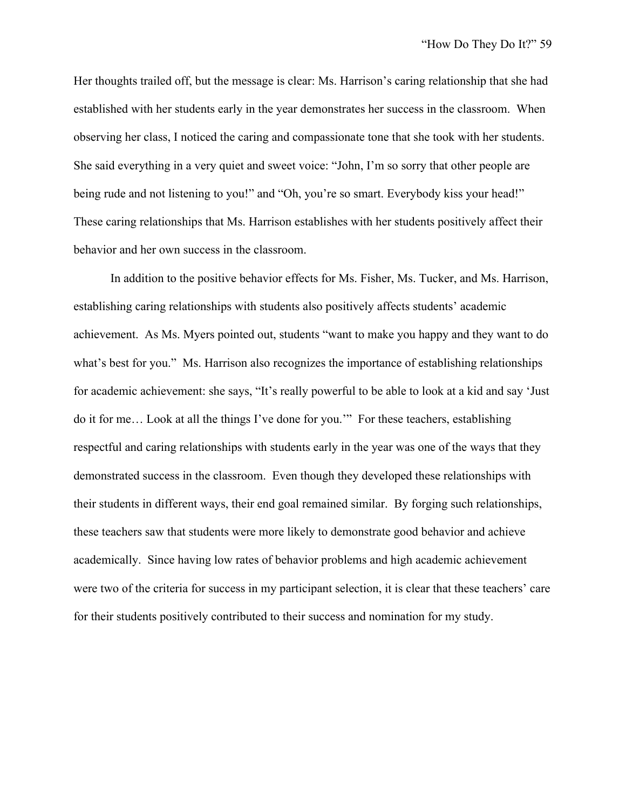Her thoughts trailed off, but the message is clear: Ms. Harrison's caring relationship that she had established with her students early in the year demonstrates her success in the classroom. When observing her class, I noticed the caring and compassionate tone that she took with her students. She said everything in a very quiet and sweet voice: "John, I'm so sorry that other people are being rude and not listening to you!" and "Oh, you're so smart. Everybody kiss your head!" These caring relationships that Ms. Harrison establishes with her students positively affect their behavior and her own success in the classroom.

In addition to the positive behavior effects for Ms. Fisher, Ms. Tucker, and Ms. Harrison, establishing caring relationships with students also positively affects students' academic achievement. As Ms. Myers pointed out, students "want to make you happy and they want to do what's best for you." Ms. Harrison also recognizes the importance of establishing relationships for academic achievement: she says, "It's really powerful to be able to look at a kid and say 'Just do it for me… Look at all the things I've done for you.'" For these teachers, establishing respectful and caring relationships with students early in the year was one of the ways that they demonstrated success in the classroom. Even though they developed these relationships with their students in different ways, their end goal remained similar. By forging such relationships, these teachers saw that students were more likely to demonstrate good behavior and achieve academically. Since having low rates of behavior problems and high academic achievement were two of the criteria for success in my participant selection, it is clear that these teachers' care for their students positively contributed to their success and nomination for my study.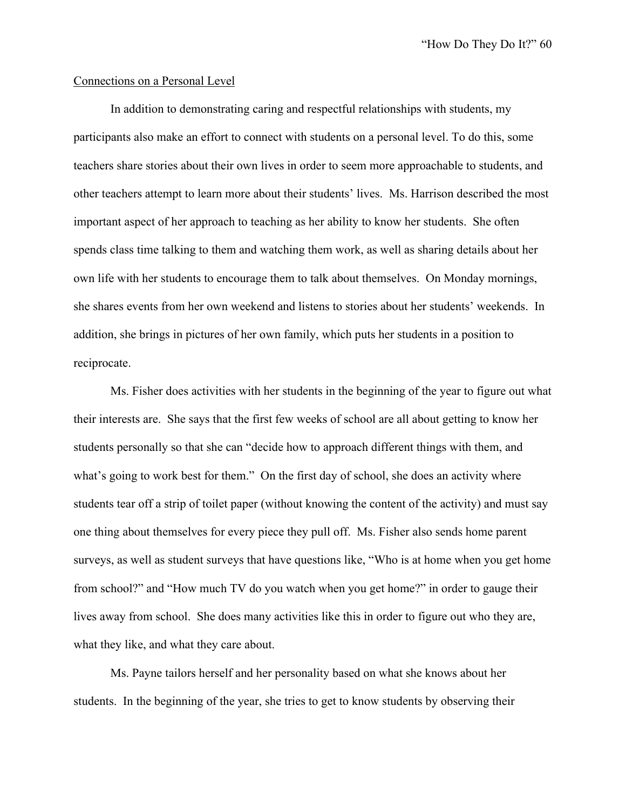#### Connections on a Personal Level

In addition to demonstrating caring and respectful relationships with students, my participants also make an effort to connect with students on a personal level. To do this, some teachers share stories about their own lives in order to seem more approachable to students, and other teachers attempt to learn more about their students' lives. Ms. Harrison described the most important aspect of her approach to teaching as her ability to know her students. She often spends class time talking to them and watching them work, as well as sharing details about her own life with her students to encourage them to talk about themselves. On Monday mornings, she shares events from her own weekend and listens to stories about her students' weekends. In addition, she brings in pictures of her own family, which puts her students in a position to reciprocate.

Ms. Fisher does activities with her students in the beginning of the year to figure out what their interests are. She says that the first few weeks of school are all about getting to know her students personally so that she can "decide how to approach different things with them, and what's going to work best for them." On the first day of school, she does an activity where students tear off a strip of toilet paper (without knowing the content of the activity) and must say one thing about themselves for every piece they pull off. Ms. Fisher also sends home parent surveys, as well as student surveys that have questions like, "Who is at home when you get home from school?" and "How much TV do you watch when you get home?" in order to gauge their lives away from school. She does many activities like this in order to figure out who they are, what they like, and what they care about.

Ms. Payne tailors herself and her personality based on what she knows about her students. In the beginning of the year, she tries to get to know students by observing their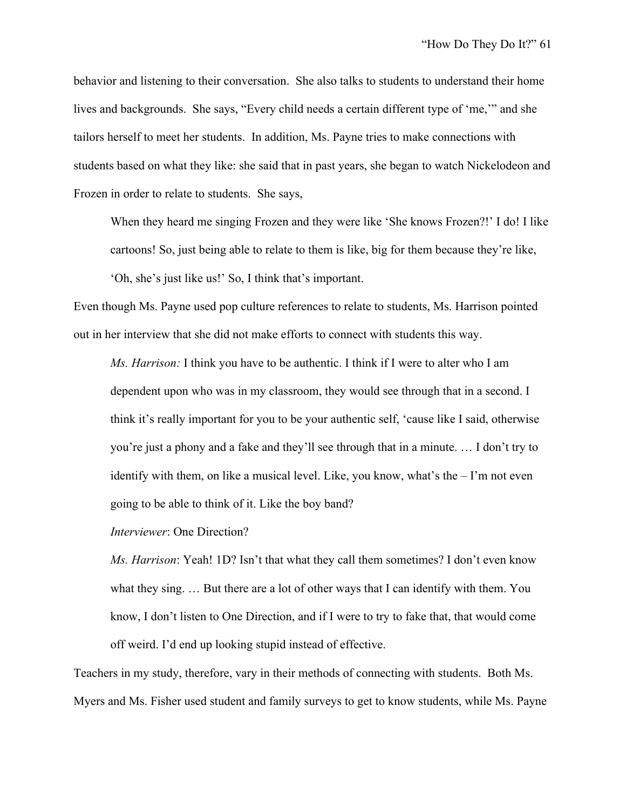behavior and listening to their conversation. She also talks to students to understand their home lives and backgrounds. She says, "Every child needs a certain different type of 'me,'" and she tailors herself to meet her students. In addition, Ms. Payne tries to make connections with students based on what they like: she said that in past years, she began to watch Nickelodeon and Frozen in order to relate to students. She says,

When they heard me singing Frozen and they were like 'She knows Frozen?!' I do! I like cartoons! So, just being able to relate to them is like, big for them because they're like, 'Oh, she's just like us!' So, I think that's important.

Even though Ms. Payne used pop culture references to relate to students, Ms. Harrison pointed out in her interview that she did not make efforts to connect with students this way.

*Ms. Harrison:* I think you have to be authentic. I think if I were to alter who I am dependent upon who was in my classroom, they would see through that in a second. I think it's really important for you to be your authentic self, 'cause like I said, otherwise you're just a phony and a fake and they'll see through that in a minute. … I don't try to identify with them, on like a musical level. Like, you know, what's the – I'm not even going to be able to think of it. Like the boy band?

*Interviewer*: One Direction?

*Ms. Harrison*: Yeah! 1D? Isn't that what they call them sometimes? I don't even know what they sing. … But there are a lot of other ways that I can identify with them. You know, I don't listen to One Direction, and if I were to try to fake that, that would come off weird. I'd end up looking stupid instead of effective.

Teachers in my study, therefore, vary in their methods of connecting with students. Both Ms. Myers and Ms. Fisher used student and family surveys to get to know students, while Ms. Payne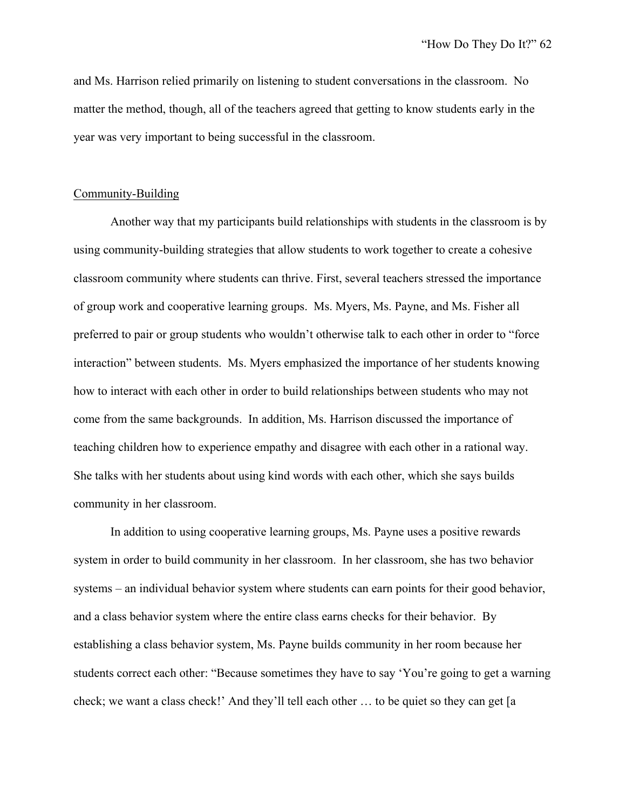and Ms. Harrison relied primarily on listening to student conversations in the classroom. No matter the method, though, all of the teachers agreed that getting to know students early in the year was very important to being successful in the classroom.

#### Community-Building

Another way that my participants build relationships with students in the classroom is by using community-building strategies that allow students to work together to create a cohesive classroom community where students can thrive. First, several teachers stressed the importance of group work and cooperative learning groups. Ms. Myers, Ms. Payne, and Ms. Fisher all preferred to pair or group students who wouldn't otherwise talk to each other in order to "force interaction" between students. Ms. Myers emphasized the importance of her students knowing how to interact with each other in order to build relationships between students who may not come from the same backgrounds. In addition, Ms. Harrison discussed the importance of teaching children how to experience empathy and disagree with each other in a rational way. She talks with her students about using kind words with each other, which she says builds community in her classroom.

In addition to using cooperative learning groups, Ms. Payne uses a positive rewards system in order to build community in her classroom. In her classroom, she has two behavior systems – an individual behavior system where students can earn points for their good behavior, and a class behavior system where the entire class earns checks for their behavior. By establishing a class behavior system, Ms. Payne builds community in her room because her students correct each other: "Because sometimes they have to say 'You're going to get a warning check; we want a class check!' And they'll tell each other … to be quiet so they can get [a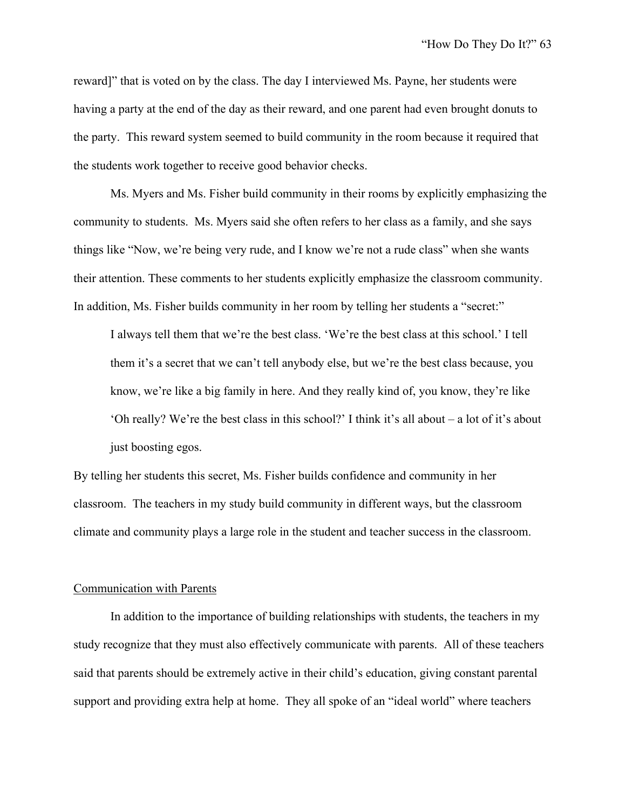reward]" that is voted on by the class. The day I interviewed Ms. Payne, her students were having a party at the end of the day as their reward, and one parent had even brought donuts to the party. This reward system seemed to build community in the room because it required that the students work together to receive good behavior checks.

Ms. Myers and Ms. Fisher build community in their rooms by explicitly emphasizing the community to students. Ms. Myers said she often refers to her class as a family, and she says things like "Now, we're being very rude, and I know we're not a rude class" when she wants their attention. These comments to her students explicitly emphasize the classroom community. In addition, Ms. Fisher builds community in her room by telling her students a "secret:"

I always tell them that we're the best class. 'We're the best class at this school.' I tell them it's a secret that we can't tell anybody else, but we're the best class because, you know, we're like a big family in here. And they really kind of, you know, they're like 'Oh really? We're the best class in this school?' I think it's all about – a lot of it's about just boosting egos.

By telling her students this secret, Ms. Fisher builds confidence and community in her classroom. The teachers in my study build community in different ways, but the classroom climate and community plays a large role in the student and teacher success in the classroom.

#### Communication with Parents

In addition to the importance of building relationships with students, the teachers in my study recognize that they must also effectively communicate with parents. All of these teachers said that parents should be extremely active in their child's education, giving constant parental support and providing extra help at home. They all spoke of an "ideal world" where teachers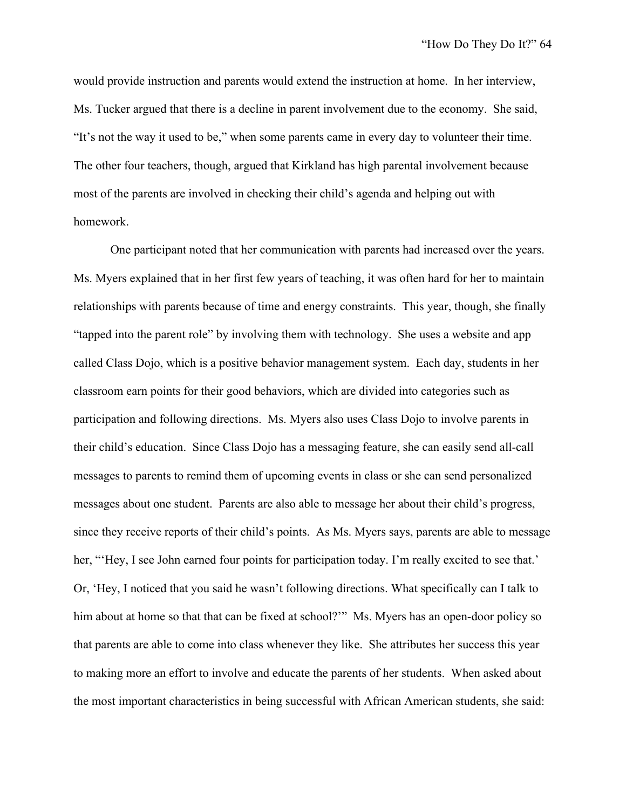would provide instruction and parents would extend the instruction at home. In her interview, Ms. Tucker argued that there is a decline in parent involvement due to the economy. She said, "It's not the way it used to be," when some parents came in every day to volunteer their time. The other four teachers, though, argued that Kirkland has high parental involvement because most of the parents are involved in checking their child's agenda and helping out with homework.

One participant noted that her communication with parents had increased over the years. Ms. Myers explained that in her first few years of teaching, it was often hard for her to maintain relationships with parents because of time and energy constraints. This year, though, she finally "tapped into the parent role" by involving them with technology. She uses a website and app called Class Dojo, which is a positive behavior management system. Each day, students in her classroom earn points for their good behaviors, which are divided into categories such as participation and following directions. Ms. Myers also uses Class Dojo to involve parents in their child's education. Since Class Dojo has a messaging feature, she can easily send all-call messages to parents to remind them of upcoming events in class or she can send personalized messages about one student. Parents are also able to message her about their child's progress, since they receive reports of their child's points. As Ms. Myers says, parents are able to message her, "Hey, I see John earned four points for participation today. I'm really excited to see that.' Or, 'Hey, I noticed that you said he wasn't following directions. What specifically can I talk to him about at home so that that can be fixed at school?" Ms. Myers has an open-door policy so that parents are able to come into class whenever they like. She attributes her success this year to making more an effort to involve and educate the parents of her students. When asked about the most important characteristics in being successful with African American students, she said: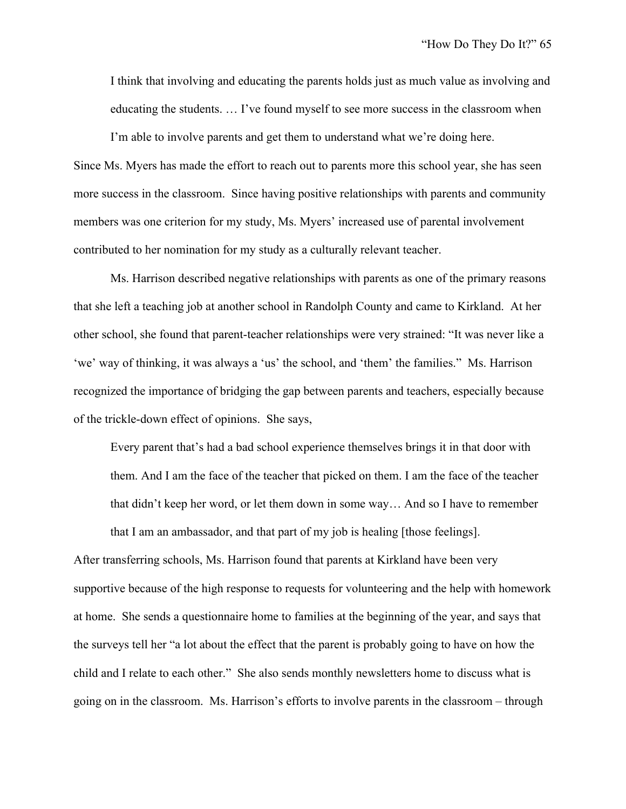I think that involving and educating the parents holds just as much value as involving and educating the students. … I've found myself to see more success in the classroom when

I'm able to involve parents and get them to understand what we're doing here. Since Ms. Myers has made the effort to reach out to parents more this school year, she has seen more success in the classroom. Since having positive relationships with parents and community members was one criterion for my study, Ms. Myers' increased use of parental involvement contributed to her nomination for my study as a culturally relevant teacher.

Ms. Harrison described negative relationships with parents as one of the primary reasons that she left a teaching job at another school in Randolph County and came to Kirkland. At her other school, she found that parent-teacher relationships were very strained: "It was never like a 'we' way of thinking, it was always a 'us' the school, and 'them' the families." Ms. Harrison recognized the importance of bridging the gap between parents and teachers, especially because of the trickle-down effect of opinions. She says,

Every parent that's had a bad school experience themselves brings it in that door with them. And I am the face of the teacher that picked on them. I am the face of the teacher that didn't keep her word, or let them down in some way… And so I have to remember that I am an ambassador, and that part of my job is healing [those feelings].

After transferring schools, Ms. Harrison found that parents at Kirkland have been very supportive because of the high response to requests for volunteering and the help with homework at home. She sends a questionnaire home to families at the beginning of the year, and says that the surveys tell her "a lot about the effect that the parent is probably going to have on how the child and I relate to each other." She also sends monthly newsletters home to discuss what is going on in the classroom. Ms. Harrison's efforts to involve parents in the classroom – through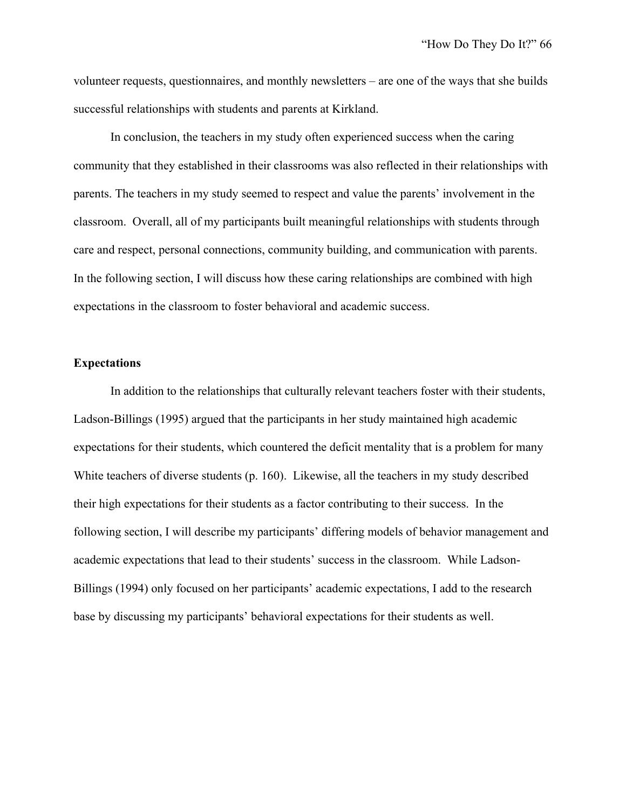volunteer requests, questionnaires, and monthly newsletters – are one of the ways that she builds successful relationships with students and parents at Kirkland.

In conclusion, the teachers in my study often experienced success when the caring community that they established in their classrooms was also reflected in their relationships with parents. The teachers in my study seemed to respect and value the parents' involvement in the classroom. Overall, all of my participants built meaningful relationships with students through care and respect, personal connections, community building, and communication with parents. In the following section, I will discuss how these caring relationships are combined with high expectations in the classroom to foster behavioral and academic success.

## **Expectations**

In addition to the relationships that culturally relevant teachers foster with their students, Ladson-Billings (1995) argued that the participants in her study maintained high academic expectations for their students, which countered the deficit mentality that is a problem for many White teachers of diverse students (p. 160). Likewise, all the teachers in my study described their high expectations for their students as a factor contributing to their success. In the following section, I will describe my participants' differing models of behavior management and academic expectations that lead to their students' success in the classroom. While Ladson-Billings (1994) only focused on her participants' academic expectations, I add to the research base by discussing my participants' behavioral expectations for their students as well.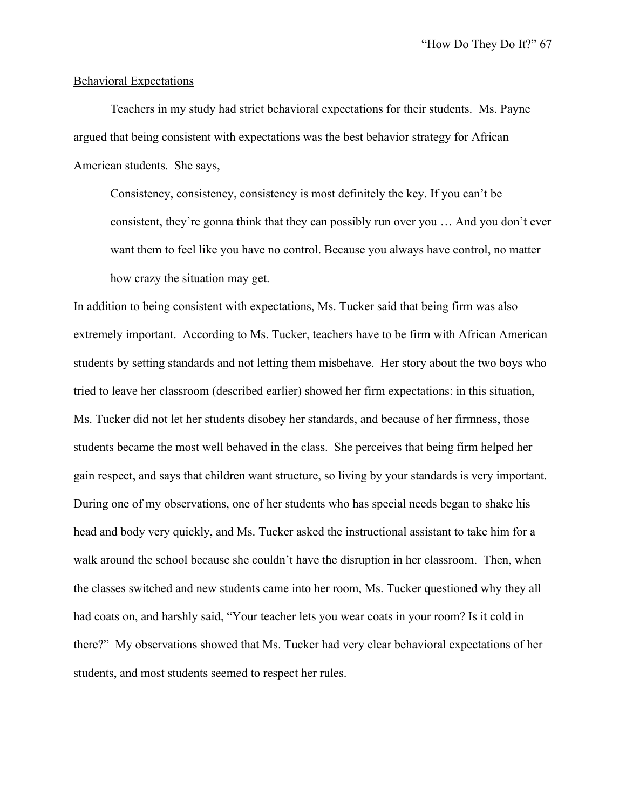#### Behavioral Expectations

Teachers in my study had strict behavioral expectations for their students. Ms. Payne argued that being consistent with expectations was the best behavior strategy for African American students. She says,

Consistency, consistency, consistency is most definitely the key. If you can't be consistent, they're gonna think that they can possibly run over you … And you don't ever want them to feel like you have no control. Because you always have control, no matter how crazy the situation may get.

In addition to being consistent with expectations, Ms. Tucker said that being firm was also extremely important. According to Ms. Tucker, teachers have to be firm with African American students by setting standards and not letting them misbehave. Her story about the two boys who tried to leave her classroom (described earlier) showed her firm expectations: in this situation, Ms. Tucker did not let her students disobey her standards, and because of her firmness, those students became the most well behaved in the class. She perceives that being firm helped her gain respect, and says that children want structure, so living by your standards is very important. During one of my observations, one of her students who has special needs began to shake his head and body very quickly, and Ms. Tucker asked the instructional assistant to take him for a walk around the school because she couldn't have the disruption in her classroom. Then, when the classes switched and new students came into her room, Ms. Tucker questioned why they all had coats on, and harshly said, "Your teacher lets you wear coats in your room? Is it cold in there?" My observations showed that Ms. Tucker had very clear behavioral expectations of her students, and most students seemed to respect her rules.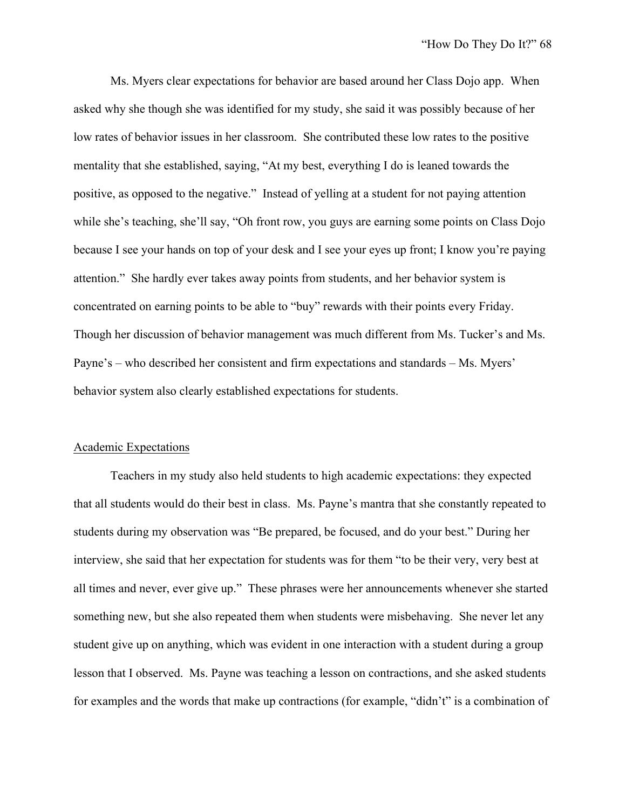Ms. Myers clear expectations for behavior are based around her Class Dojo app. When asked why she though she was identified for my study, she said it was possibly because of her low rates of behavior issues in her classroom. She contributed these low rates to the positive mentality that she established, saying, "At my best, everything I do is leaned towards the positive, as opposed to the negative." Instead of yelling at a student for not paying attention while she's teaching, she'll say, "Oh front row, you guys are earning some points on Class Dojo" because I see your hands on top of your desk and I see your eyes up front; I know you're paying attention." She hardly ever takes away points from students, and her behavior system is concentrated on earning points to be able to "buy" rewards with their points every Friday. Though her discussion of behavior management was much different from Ms. Tucker's and Ms. Payne's – who described her consistent and firm expectations and standards – Ms. Myers' behavior system also clearly established expectations for students.

#### Academic Expectations

Teachers in my study also held students to high academic expectations: they expected that all students would do their best in class. Ms. Payne's mantra that she constantly repeated to students during my observation was "Be prepared, be focused, and do your best." During her interview, she said that her expectation for students was for them "to be their very, very best at all times and never, ever give up." These phrases were her announcements whenever she started something new, but she also repeated them when students were misbehaving. She never let any student give up on anything, which was evident in one interaction with a student during a group lesson that I observed. Ms. Payne was teaching a lesson on contractions, and she asked students for examples and the words that make up contractions (for example, "didn't" is a combination of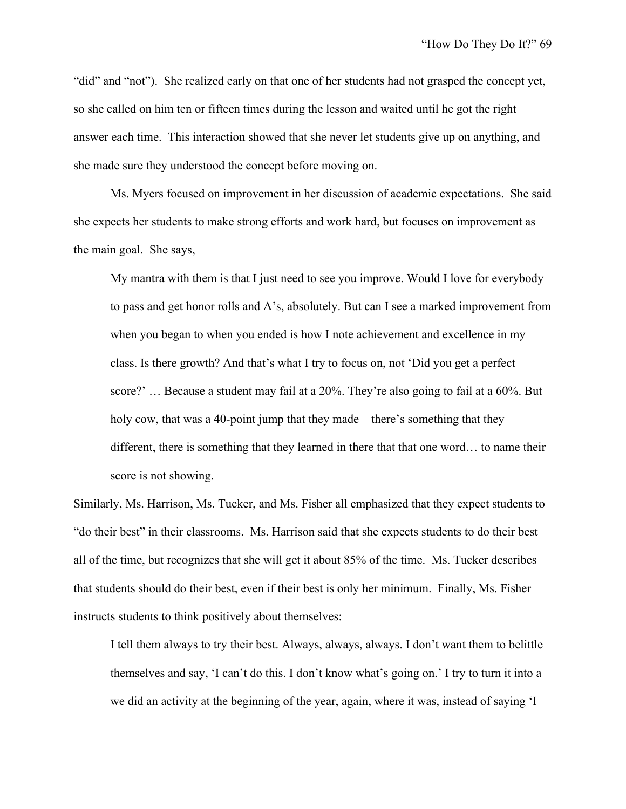"did" and "not"). She realized early on that one of her students had not grasped the concept yet, so she called on him ten or fifteen times during the lesson and waited until he got the right answer each time. This interaction showed that she never let students give up on anything, and she made sure they understood the concept before moving on.

Ms. Myers focused on improvement in her discussion of academic expectations. She said she expects her students to make strong efforts and work hard, but focuses on improvement as the main goal. She says,

My mantra with them is that I just need to see you improve. Would I love for everybody to pass and get honor rolls and A's, absolutely. But can I see a marked improvement from when you began to when you ended is how I note achievement and excellence in my class. Is there growth? And that's what I try to focus on, not 'Did you get a perfect score?' … Because a student may fail at a 20%. They're also going to fail at a 60%. But holy cow, that was a 40-point jump that they made – there's something that they different, there is something that they learned in there that that one word… to name their score is not showing.

Similarly, Ms. Harrison, Ms. Tucker, and Ms. Fisher all emphasized that they expect students to "do their best" in their classrooms. Ms. Harrison said that she expects students to do their best all of the time, but recognizes that she will get it about 85% of the time. Ms. Tucker describes that students should do their best, even if their best is only her minimum. Finally, Ms. Fisher instructs students to think positively about themselves:

I tell them always to try their best. Always, always, always. I don't want them to belittle themselves and say, 'I can't do this. I don't know what's going on.' I try to turn it into a – we did an activity at the beginning of the year, again, where it was, instead of saying 'I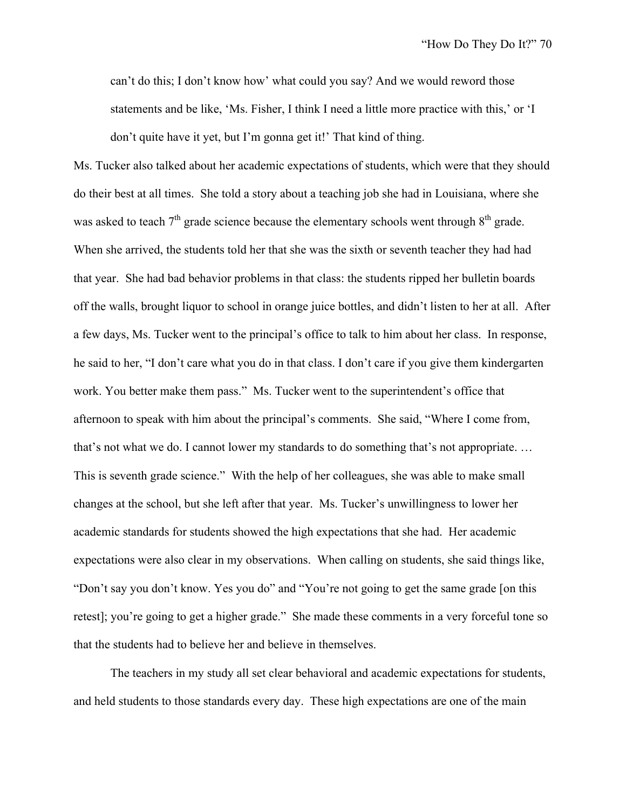can't do this; I don't know how' what could you say? And we would reword those statements and be like, 'Ms. Fisher, I think I need a little more practice with this,' or 'I don't quite have it yet, but I'm gonna get it!' That kind of thing.

Ms. Tucker also talked about her academic expectations of students, which were that they should do their best at all times. She told a story about a teaching job she had in Louisiana, where she was asked to teach  $7<sup>th</sup>$  grade science because the elementary schools went through  $8<sup>th</sup>$  grade. When she arrived, the students told her that she was the sixth or seventh teacher they had had that year. She had bad behavior problems in that class: the students ripped her bulletin boards off the walls, brought liquor to school in orange juice bottles, and didn't listen to her at all. After a few days, Ms. Tucker went to the principal's office to talk to him about her class. In response, he said to her, "I don't care what you do in that class. I don't care if you give them kindergarten work. You better make them pass." Ms. Tucker went to the superintendent's office that afternoon to speak with him about the principal's comments. She said, "Where I come from, that's not what we do. I cannot lower my standards to do something that's not appropriate. … This is seventh grade science." With the help of her colleagues, she was able to make small changes at the school, but she left after that year. Ms. Tucker's unwillingness to lower her academic standards for students showed the high expectations that she had. Her academic expectations were also clear in my observations. When calling on students, she said things like, "Don't say you don't know. Yes you do" and "You're not going to get the same grade [on this retest]; you're going to get a higher grade." She made these comments in a very forceful tone so that the students had to believe her and believe in themselves.

The teachers in my study all set clear behavioral and academic expectations for students, and held students to those standards every day. These high expectations are one of the main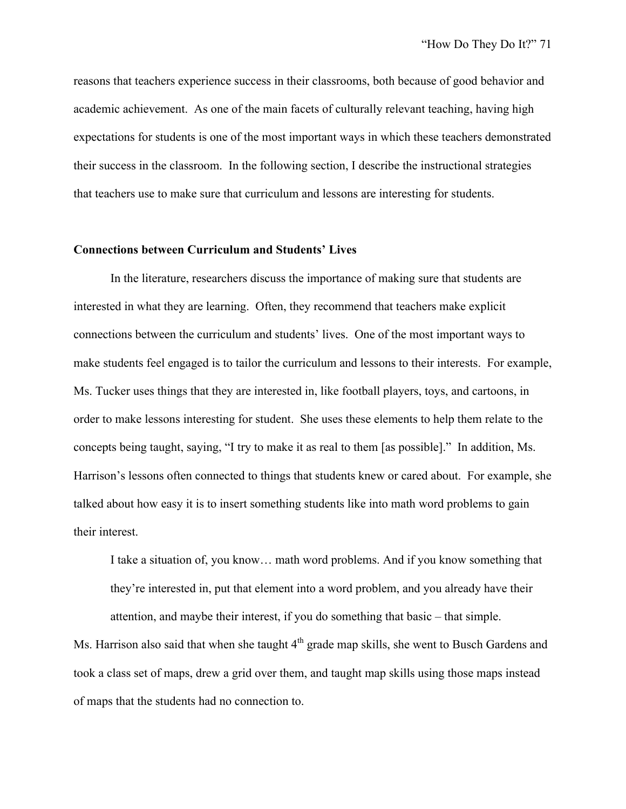reasons that teachers experience success in their classrooms, both because of good behavior and academic achievement. As one of the main facets of culturally relevant teaching, having high expectations for students is one of the most important ways in which these teachers demonstrated their success in the classroom. In the following section, I describe the instructional strategies that teachers use to make sure that curriculum and lessons are interesting for students.

## **Connections between Curriculum and Students' Lives**

In the literature, researchers discuss the importance of making sure that students are interested in what they are learning. Often, they recommend that teachers make explicit connections between the curriculum and students' lives. One of the most important ways to make students feel engaged is to tailor the curriculum and lessons to their interests. For example, Ms. Tucker uses things that they are interested in, like football players, toys, and cartoons, in order to make lessons interesting for student. She uses these elements to help them relate to the concepts being taught, saying, "I try to make it as real to them [as possible]." In addition, Ms. Harrison's lessons often connected to things that students knew or cared about. For example, she talked about how easy it is to insert something students like into math word problems to gain their interest.

I take a situation of, you know… math word problems. And if you know something that they're interested in, put that element into a word problem, and you already have their attention, and maybe their interest, if you do something that basic – that simple.

Ms. Harrison also said that when she taught  $4<sup>th</sup>$  grade map skills, she went to Busch Gardens and took a class set of maps, drew a grid over them, and taught map skills using those maps instead of maps that the students had no connection to.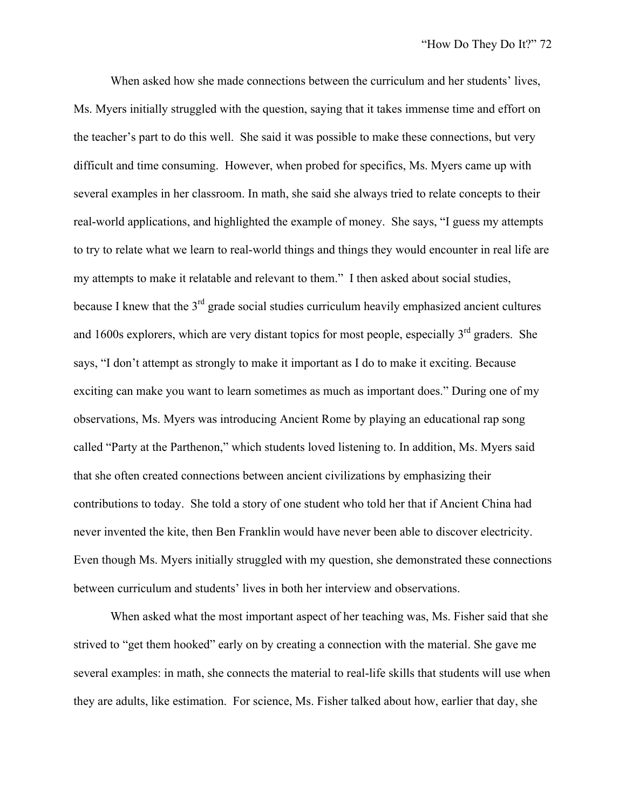When asked how she made connections between the curriculum and her students' lives, Ms. Myers initially struggled with the question, saying that it takes immense time and effort on the teacher's part to do this well. She said it was possible to make these connections, but very difficult and time consuming. However, when probed for specifics, Ms. Myers came up with several examples in her classroom. In math, she said she always tried to relate concepts to their real-world applications, and highlighted the example of money. She says, "I guess my attempts to try to relate what we learn to real-world things and things they would encounter in real life are my attempts to make it relatable and relevant to them." I then asked about social studies, because I knew that the  $3<sup>rd</sup>$  grade social studies curriculum heavily emphasized ancient cultures and 1600s explorers, which are very distant topics for most people, especially  $3<sup>rd</sup>$  graders. She says, "I don't attempt as strongly to make it important as I do to make it exciting. Because exciting can make you want to learn sometimes as much as important does." During one of my observations, Ms. Myers was introducing Ancient Rome by playing an educational rap song called "Party at the Parthenon," which students loved listening to. In addition, Ms. Myers said that she often created connections between ancient civilizations by emphasizing their contributions to today. She told a story of one student who told her that if Ancient China had never invented the kite, then Ben Franklin would have never been able to discover electricity. Even though Ms. Myers initially struggled with my question, she demonstrated these connections between curriculum and students' lives in both her interview and observations.

When asked what the most important aspect of her teaching was, Ms. Fisher said that she strived to "get them hooked" early on by creating a connection with the material. She gave me several examples: in math, she connects the material to real-life skills that students will use when they are adults, like estimation. For science, Ms. Fisher talked about how, earlier that day, she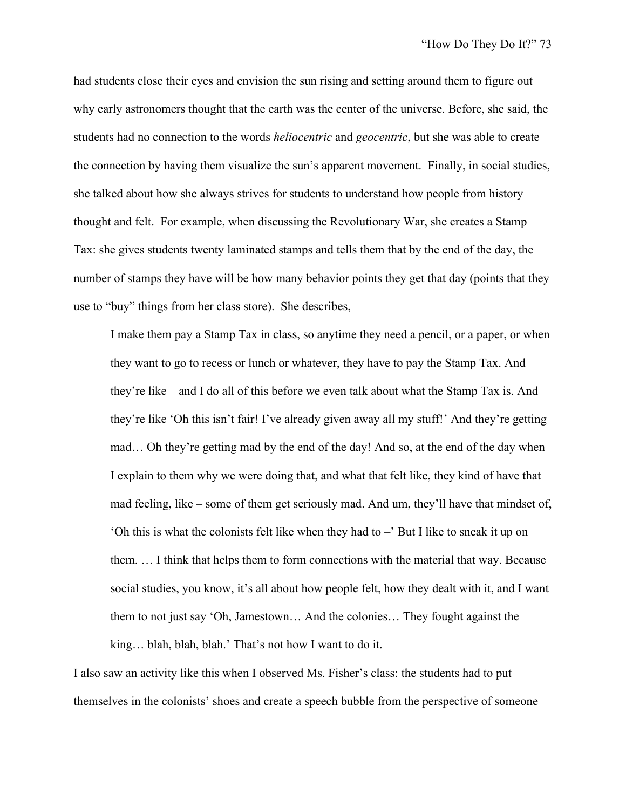had students close their eyes and envision the sun rising and setting around them to figure out why early astronomers thought that the earth was the center of the universe. Before, she said, the students had no connection to the words *heliocentric* and *geocentric*, but she was able to create the connection by having them visualize the sun's apparent movement. Finally, in social studies, she talked about how she always strives for students to understand how people from history thought and felt. For example, when discussing the Revolutionary War, she creates a Stamp Tax: she gives students twenty laminated stamps and tells them that by the end of the day, the number of stamps they have will be how many behavior points they get that day (points that they use to "buy" things from her class store). She describes,

I make them pay a Stamp Tax in class, so anytime they need a pencil, or a paper, or when they want to go to recess or lunch or whatever, they have to pay the Stamp Tax. And they're like – and I do all of this before we even talk about what the Stamp Tax is. And they're like 'Oh this isn't fair! I've already given away all my stuff!' And they're getting mad… Oh they're getting mad by the end of the day! And so, at the end of the day when I explain to them why we were doing that, and what that felt like, they kind of have that mad feeling, like – some of them get seriously mad. And um, they'll have that mindset of, 'Oh this is what the colonists felt like when they had to –' But I like to sneak it up on them. … I think that helps them to form connections with the material that way. Because social studies, you know, it's all about how people felt, how they dealt with it, and I want them to not just say 'Oh, Jamestown… And the colonies… They fought against the king… blah, blah, blah.' That's not how I want to do it.

I also saw an activity like this when I observed Ms. Fisher's class: the students had to put themselves in the colonists' shoes and create a speech bubble from the perspective of someone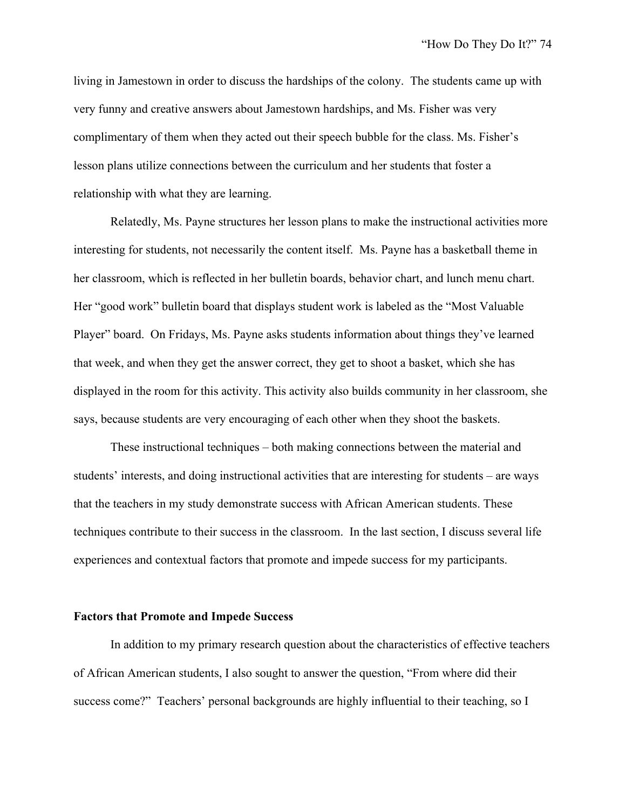living in Jamestown in order to discuss the hardships of the colony. The students came up with very funny and creative answers about Jamestown hardships, and Ms. Fisher was very complimentary of them when they acted out their speech bubble for the class. Ms. Fisher's lesson plans utilize connections between the curriculum and her students that foster a relationship with what they are learning.

Relatedly, Ms. Payne structures her lesson plans to make the instructional activities more interesting for students, not necessarily the content itself. Ms. Payne has a basketball theme in her classroom, which is reflected in her bulletin boards, behavior chart, and lunch menu chart. Her "good work" bulletin board that displays student work is labeled as the "Most Valuable Player" board. On Fridays, Ms. Payne asks students information about things they've learned that week, and when they get the answer correct, they get to shoot a basket, which she has displayed in the room for this activity. This activity also builds community in her classroom, she says, because students are very encouraging of each other when they shoot the baskets.

These instructional techniques – both making connections between the material and students' interests, and doing instructional activities that are interesting for students – are ways that the teachers in my study demonstrate success with African American students. These techniques contribute to their success in the classroom. In the last section, I discuss several life experiences and contextual factors that promote and impede success for my participants.

#### **Factors that Promote and Impede Success**

In addition to my primary research question about the characteristics of effective teachers of African American students, I also sought to answer the question, "From where did their success come?" Teachers' personal backgrounds are highly influential to their teaching, so I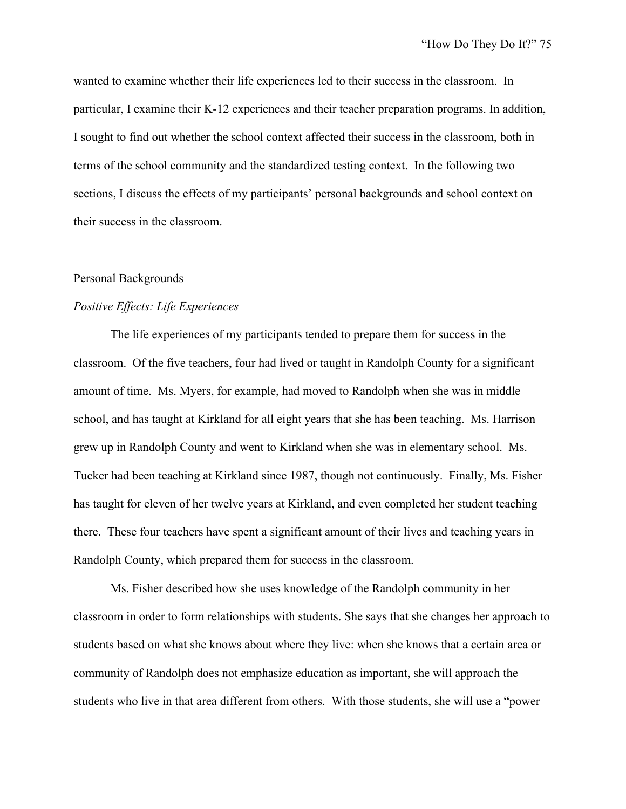wanted to examine whether their life experiences led to their success in the classroom. In particular, I examine their K-12 experiences and their teacher preparation programs. In addition, I sought to find out whether the school context affected their success in the classroom, both in terms of the school community and the standardized testing context. In the following two sections, I discuss the effects of my participants' personal backgrounds and school context on their success in the classroom.

#### Personal Backgrounds

#### *Positive Effects: Life Experiences*

The life experiences of my participants tended to prepare them for success in the classroom. Of the five teachers, four had lived or taught in Randolph County for a significant amount of time. Ms. Myers, for example, had moved to Randolph when she was in middle school, and has taught at Kirkland for all eight years that she has been teaching. Ms. Harrison grew up in Randolph County and went to Kirkland when she was in elementary school. Ms. Tucker had been teaching at Kirkland since 1987, though not continuously. Finally, Ms. Fisher has taught for eleven of her twelve years at Kirkland, and even completed her student teaching there. These four teachers have spent a significant amount of their lives and teaching years in Randolph County, which prepared them for success in the classroom.

Ms. Fisher described how she uses knowledge of the Randolph community in her classroom in order to form relationships with students. She says that she changes her approach to students based on what she knows about where they live: when she knows that a certain area or community of Randolph does not emphasize education as important, she will approach the students who live in that area different from others. With those students, she will use a "power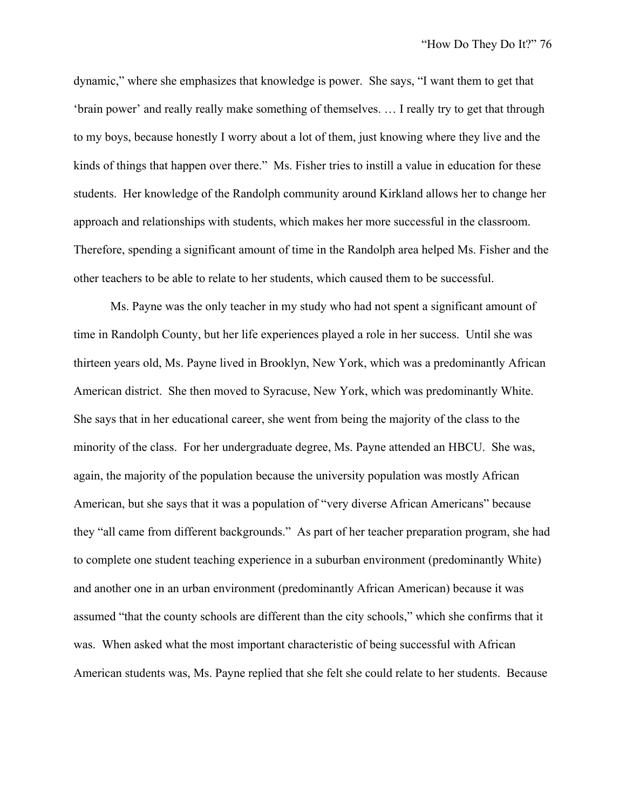dynamic," where she emphasizes that knowledge is power. She says, "I want them to get that 'brain power' and really really make something of themselves. … I really try to get that through to my boys, because honestly I worry about a lot of them, just knowing where they live and the kinds of things that happen over there." Ms. Fisher tries to instill a value in education for these students. Her knowledge of the Randolph community around Kirkland allows her to change her approach and relationships with students, which makes her more successful in the classroom. Therefore, spending a significant amount of time in the Randolph area helped Ms. Fisher and the other teachers to be able to relate to her students, which caused them to be successful.

Ms. Payne was the only teacher in my study who had not spent a significant amount of time in Randolph County, but her life experiences played a role in her success. Until she was thirteen years old, Ms. Payne lived in Brooklyn, New York, which was a predominantly African American district. She then moved to Syracuse, New York, which was predominantly White. She says that in her educational career, she went from being the majority of the class to the minority of the class. For her undergraduate degree, Ms. Payne attended an HBCU. She was, again, the majority of the population because the university population was mostly African American, but she says that it was a population of "very diverse African Americans" because they "all came from different backgrounds." As part of her teacher preparation program, she had to complete one student teaching experience in a suburban environment (predominantly White) and another one in an urban environment (predominantly African American) because it was assumed "that the county schools are different than the city schools," which she confirms that it was. When asked what the most important characteristic of being successful with African American students was, Ms. Payne replied that she felt she could relate to her students. Because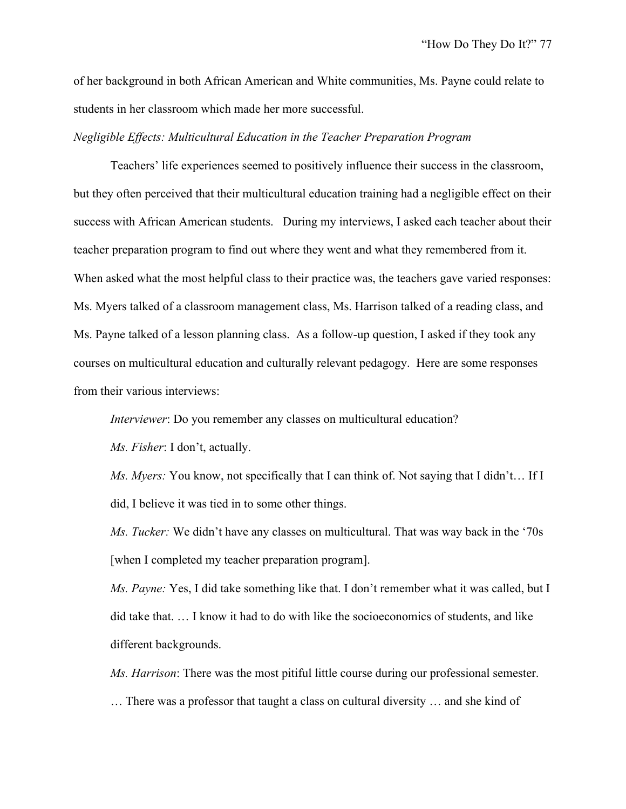of her background in both African American and White communities, Ms. Payne could relate to students in her classroom which made her more successful.

*Negligible Effects: Multicultural Education in the Teacher Preparation Program*

Teachers' life experiences seemed to positively influence their success in the classroom, but they often perceived that their multicultural education training had a negligible effect on their success with African American students. During my interviews, I asked each teacher about their teacher preparation program to find out where they went and what they remembered from it. When asked what the most helpful class to their practice was, the teachers gave varied responses: Ms. Myers talked of a classroom management class, Ms. Harrison talked of a reading class, and Ms. Payne talked of a lesson planning class. As a follow-up question, I asked if they took any courses on multicultural education and culturally relevant pedagogy. Here are some responses from their various interviews:

*Interviewer*: Do you remember any classes on multicultural education?

*Ms. Fisher*: I don't, actually.

*Ms. Myers:* You know, not specifically that I can think of. Not saying that I didn't… If I did, I believe it was tied in to some other things.

*Ms. Tucker:* We didn't have any classes on multicultural. That was way back in the '70s [when I completed my teacher preparation program].

*Ms. Payne:* Yes, I did take something like that. I don't remember what it was called, but I did take that. … I know it had to do with like the socioeconomics of students, and like different backgrounds.

*Ms. Harrison*: There was the most pitiful little course during our professional semester.

… There was a professor that taught a class on cultural diversity … and she kind of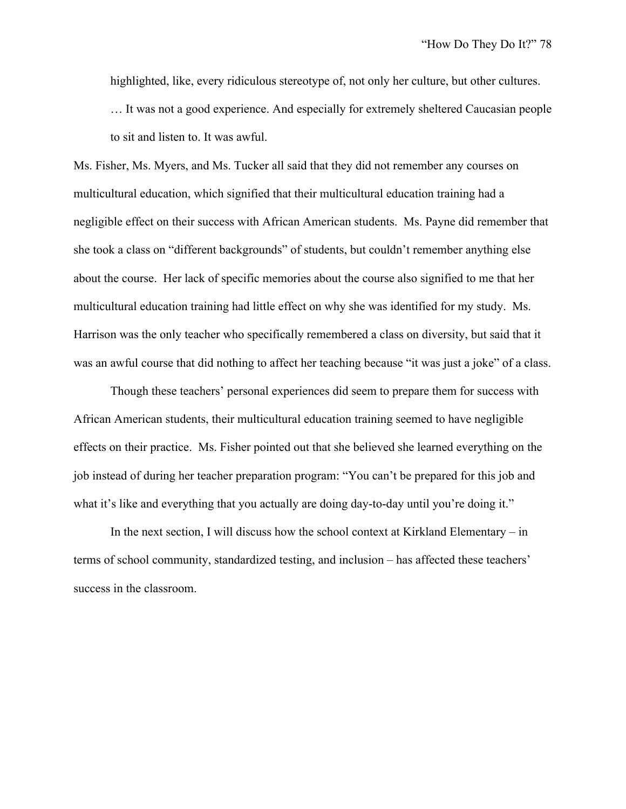highlighted, like, every ridiculous stereotype of, not only her culture, but other cultures. … It was not a good experience. And especially for extremely sheltered Caucasian people to sit and listen to. It was awful.

Ms. Fisher, Ms. Myers, and Ms. Tucker all said that they did not remember any courses on multicultural education, which signified that their multicultural education training had a negligible effect on their success with African American students. Ms. Payne did remember that she took a class on "different backgrounds" of students, but couldn't remember anything else about the course. Her lack of specific memories about the course also signified to me that her multicultural education training had little effect on why she was identified for my study. Ms. Harrison was the only teacher who specifically remembered a class on diversity, but said that it was an awful course that did nothing to affect her teaching because "it was just a joke" of a class.

Though these teachers' personal experiences did seem to prepare them for success with African American students, their multicultural education training seemed to have negligible effects on their practice. Ms. Fisher pointed out that she believed she learned everything on the job instead of during her teacher preparation program: "You can't be prepared for this job and what it's like and everything that you actually are doing day-to-day until you're doing it."

In the next section, I will discuss how the school context at Kirkland Elementary – in terms of school community, standardized testing, and inclusion – has affected these teachers' success in the classroom.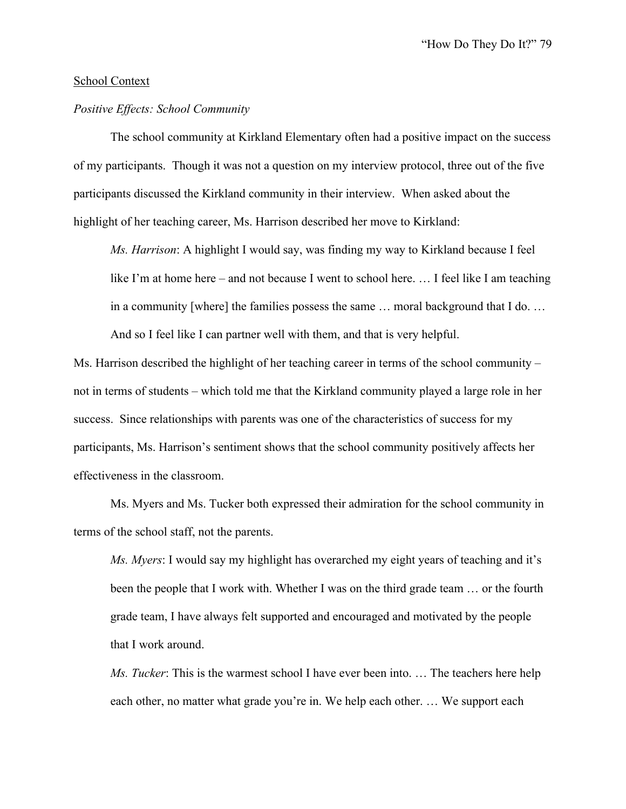#### School Context

### *Positive Effects: School Community*

The school community at Kirkland Elementary often had a positive impact on the success of my participants. Though it was not a question on my interview protocol, three out of the five participants discussed the Kirkland community in their interview. When asked about the highlight of her teaching career, Ms. Harrison described her move to Kirkland:

*Ms. Harrison*: A highlight I would say, was finding my way to Kirkland because I feel like I'm at home here – and not because I went to school here. ... I feel like I am teaching in a community [where] the families possess the same … moral background that I do. … And so I feel like I can partner well with them, and that is very helpful.

Ms. Harrison described the highlight of her teaching career in terms of the school community – not in terms of students – which told me that the Kirkland community played a large role in her success. Since relationships with parents was one of the characteristics of success for my participants, Ms. Harrison's sentiment shows that the school community positively affects her effectiveness in the classroom.

Ms. Myers and Ms. Tucker both expressed their admiration for the school community in terms of the school staff, not the parents.

*Ms. Myers*: I would say my highlight has overarched my eight years of teaching and it's been the people that I work with. Whether I was on the third grade team … or the fourth grade team, I have always felt supported and encouraged and motivated by the people that I work around.

*Ms. Tucker*: This is the warmest school I have ever been into. … The teachers here help each other, no matter what grade you're in. We help each other. … We support each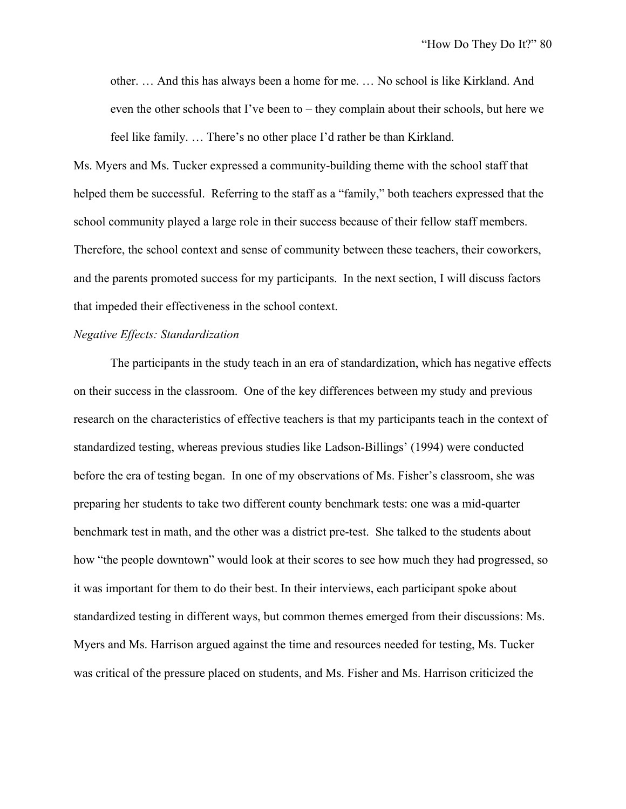other. … And this has always been a home for me. … No school is like Kirkland. And even the other schools that I've been to – they complain about their schools, but here we feel like family. … There's no other place I'd rather be than Kirkland.

Ms. Myers and Ms. Tucker expressed a community-building theme with the school staff that helped them be successful. Referring to the staff as a "family," both teachers expressed that the school community played a large role in their success because of their fellow staff members. Therefore, the school context and sense of community between these teachers, their coworkers, and the parents promoted success for my participants. In the next section, I will discuss factors that impeded their effectiveness in the school context.

#### *Negative Effects: Standardization*

The participants in the study teach in an era of standardization, which has negative effects on their success in the classroom. One of the key differences between my study and previous research on the characteristics of effective teachers is that my participants teach in the context of standardized testing, whereas previous studies like Ladson-Billings' (1994) were conducted before the era of testing began. In one of my observations of Ms. Fisher's classroom, she was preparing her students to take two different county benchmark tests: one was a mid-quarter benchmark test in math, and the other was a district pre-test. She talked to the students about how "the people downtown" would look at their scores to see how much they had progressed, so it was important for them to do their best. In their interviews, each participant spoke about standardized testing in different ways, but common themes emerged from their discussions: Ms. Myers and Ms. Harrison argued against the time and resources needed for testing, Ms. Tucker was critical of the pressure placed on students, and Ms. Fisher and Ms. Harrison criticized the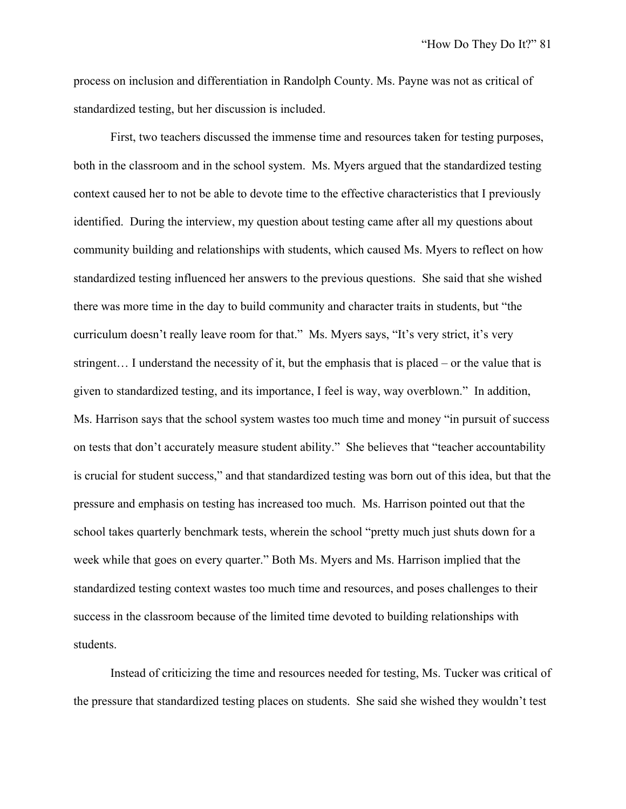process on inclusion and differentiation in Randolph County. Ms. Payne was not as critical of standardized testing, but her discussion is included.

First, two teachers discussed the immense time and resources taken for testing purposes, both in the classroom and in the school system. Ms. Myers argued that the standardized testing context caused her to not be able to devote time to the effective characteristics that I previously identified. During the interview, my question about testing came after all my questions about community building and relationships with students, which caused Ms. Myers to reflect on how standardized testing influenced her answers to the previous questions. She said that she wished there was more time in the day to build community and character traits in students, but "the curriculum doesn't really leave room for that." Ms. Myers says, "It's very strict, it's very stringent… I understand the necessity of it, but the emphasis that is placed – or the value that is given to standardized testing, and its importance, I feel is way, way overblown." In addition, Ms. Harrison says that the school system wastes too much time and money "in pursuit of success on tests that don't accurately measure student ability." She believes that "teacher accountability is crucial for student success," and that standardized testing was born out of this idea, but that the pressure and emphasis on testing has increased too much. Ms. Harrison pointed out that the school takes quarterly benchmark tests, wherein the school "pretty much just shuts down for a week while that goes on every quarter." Both Ms. Myers and Ms. Harrison implied that the standardized testing context wastes too much time and resources, and poses challenges to their success in the classroom because of the limited time devoted to building relationships with students.

Instead of criticizing the time and resources needed for testing, Ms. Tucker was critical of the pressure that standardized testing places on students. She said she wished they wouldn't test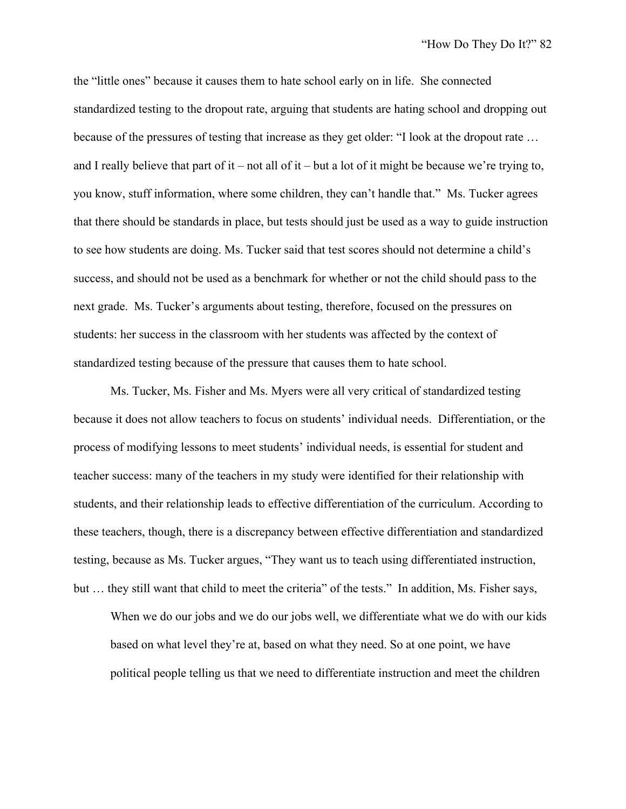the "little ones" because it causes them to hate school early on in life. She connected standardized testing to the dropout rate, arguing that students are hating school and dropping out because of the pressures of testing that increase as they get older: "I look at the dropout rate … and I really believe that part of it – not all of it – but a lot of it might be because we're trying to, you know, stuff information, where some children, they can't handle that." Ms. Tucker agrees that there should be standards in place, but tests should just be used as a way to guide instruction to see how students are doing. Ms. Tucker said that test scores should not determine a child's success, and should not be used as a benchmark for whether or not the child should pass to the next grade. Ms. Tucker's arguments about testing, therefore, focused on the pressures on students: her success in the classroom with her students was affected by the context of standardized testing because of the pressure that causes them to hate school.

Ms. Tucker, Ms. Fisher and Ms. Myers were all very critical of standardized testing because it does not allow teachers to focus on students' individual needs. Differentiation, or the process of modifying lessons to meet students' individual needs, is essential for student and teacher success: many of the teachers in my study were identified for their relationship with students, and their relationship leads to effective differentiation of the curriculum. According to these teachers, though, there is a discrepancy between effective differentiation and standardized testing, because as Ms. Tucker argues, "They want us to teach using differentiated instruction, but … they still want that child to meet the criteria" of the tests." In addition, Ms. Fisher says,

When we do our jobs and we do our jobs well, we differentiate what we do with our kids based on what level they're at, based on what they need. So at one point, we have political people telling us that we need to differentiate instruction and meet the children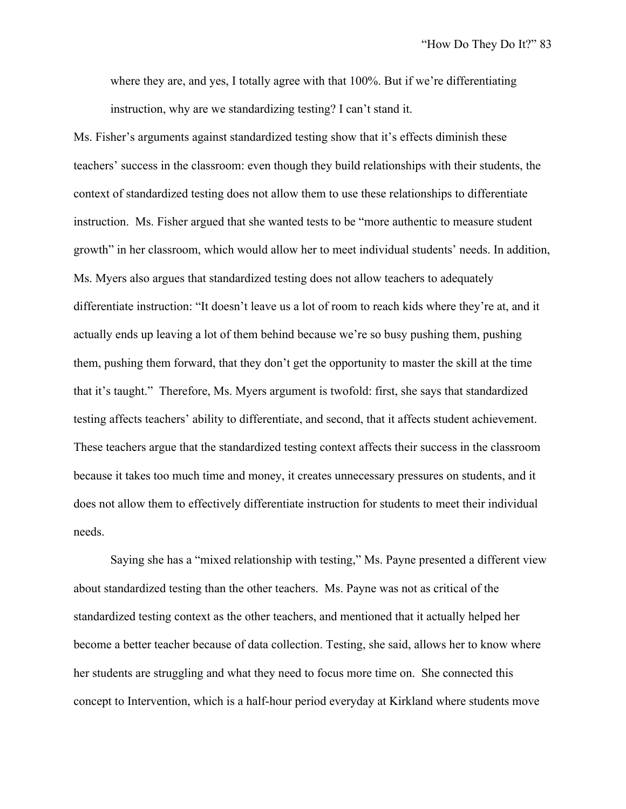where they are, and yes, I totally agree with that 100%. But if we're differentiating instruction, why are we standardizing testing? I can't stand it.

Ms. Fisher's arguments against standardized testing show that it's effects diminish these teachers' success in the classroom: even though they build relationships with their students, the context of standardized testing does not allow them to use these relationships to differentiate instruction. Ms. Fisher argued that she wanted tests to be "more authentic to measure student growth" in her classroom, which would allow her to meet individual students' needs. In addition, Ms. Myers also argues that standardized testing does not allow teachers to adequately differentiate instruction: "It doesn't leave us a lot of room to reach kids where they're at, and it actually ends up leaving a lot of them behind because we're so busy pushing them, pushing them, pushing them forward, that they don't get the opportunity to master the skill at the time that it's taught." Therefore, Ms. Myers argument is twofold: first, she says that standardized testing affects teachers' ability to differentiate, and second, that it affects student achievement. These teachers argue that the standardized testing context affects their success in the classroom because it takes too much time and money, it creates unnecessary pressures on students, and it does not allow them to effectively differentiate instruction for students to meet their individual needs.

Saying she has a "mixed relationship with testing," Ms. Payne presented a different view about standardized testing than the other teachers. Ms. Payne was not as critical of the standardized testing context as the other teachers, and mentioned that it actually helped her become a better teacher because of data collection. Testing, she said, allows her to know where her students are struggling and what they need to focus more time on. She connected this concept to Intervention, which is a half-hour period everyday at Kirkland where students move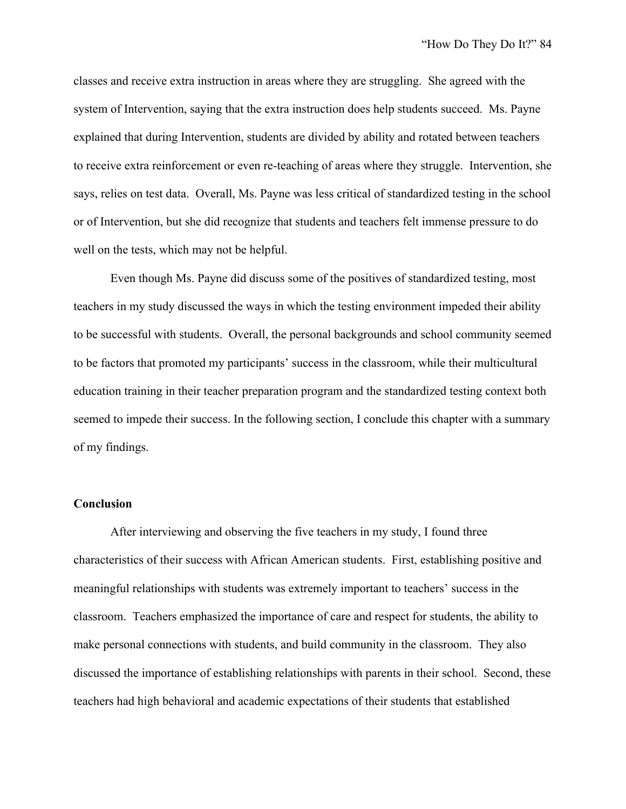classes and receive extra instruction in areas where they are struggling. She agreed with the system of Intervention, saying that the extra instruction does help students succeed. Ms. Payne explained that during Intervention, students are divided by ability and rotated between teachers to receive extra reinforcement or even re-teaching of areas where they struggle. Intervention, she says, relies on test data. Overall, Ms. Payne was less critical of standardized testing in the school or of Intervention, but she did recognize that students and teachers felt immense pressure to do well on the tests, which may not be helpful.

Even though Ms. Payne did discuss some of the positives of standardized testing, most teachers in my study discussed the ways in which the testing environment impeded their ability to be successful with students. Overall, the personal backgrounds and school community seemed to be factors that promoted my participants' success in the classroom, while their multicultural education training in their teacher preparation program and the standardized testing context both seemed to impede their success. In the following section, I conclude this chapter with a summary of my findings.

#### **Conclusion**

After interviewing and observing the five teachers in my study, I found three characteristics of their success with African American students. First, establishing positive and meaningful relationships with students was extremely important to teachers' success in the classroom. Teachers emphasized the importance of care and respect for students, the ability to make personal connections with students, and build community in the classroom. They also discussed the importance of establishing relationships with parents in their school. Second, these teachers had high behavioral and academic expectations of their students that established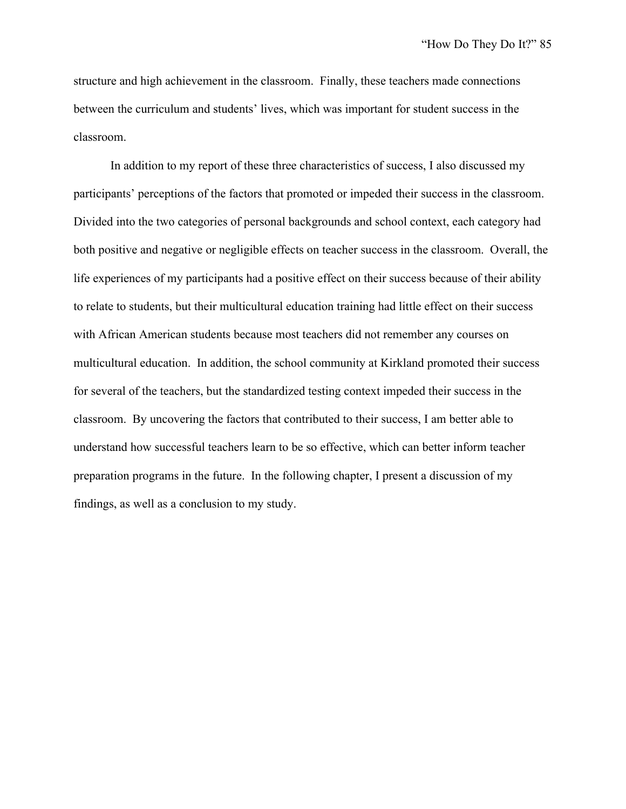structure and high achievement in the classroom. Finally, these teachers made connections between the curriculum and students' lives, which was important for student success in the classroom.

In addition to my report of these three characteristics of success, I also discussed my participants' perceptions of the factors that promoted or impeded their success in the classroom. Divided into the two categories of personal backgrounds and school context, each category had both positive and negative or negligible effects on teacher success in the classroom. Overall, the life experiences of my participants had a positive effect on their success because of their ability to relate to students, but their multicultural education training had little effect on their success with African American students because most teachers did not remember any courses on multicultural education. In addition, the school community at Kirkland promoted their success for several of the teachers, but the standardized testing context impeded their success in the classroom. By uncovering the factors that contributed to their success, I am better able to understand how successful teachers learn to be so effective, which can better inform teacher preparation programs in the future. In the following chapter, I present a discussion of my findings, as well as a conclusion to my study.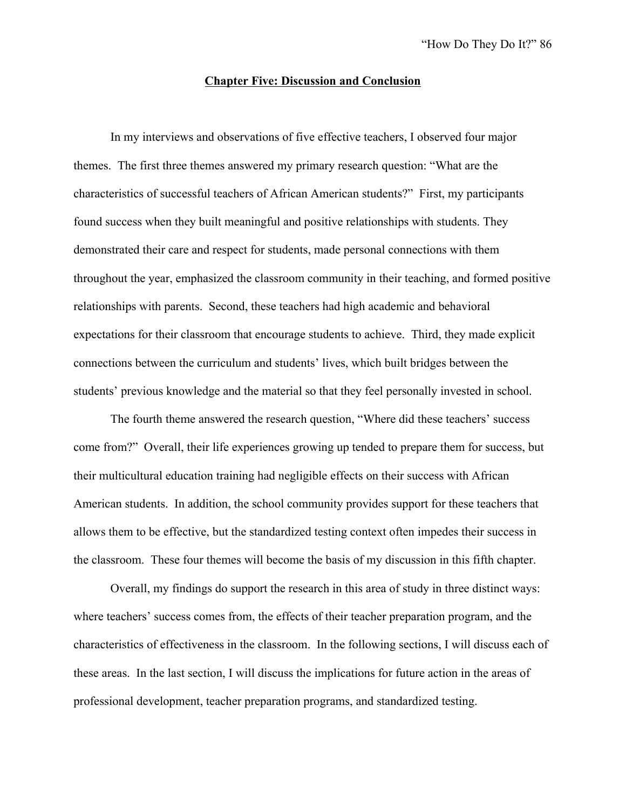#### **Chapter Five: Discussion and Conclusion**

In my interviews and observations of five effective teachers, I observed four major themes. The first three themes answered my primary research question: "What are the characteristics of successful teachers of African American students?" First, my participants found success when they built meaningful and positive relationships with students. They demonstrated their care and respect for students, made personal connections with them throughout the year, emphasized the classroom community in their teaching, and formed positive relationships with parents. Second, these teachers had high academic and behavioral expectations for their classroom that encourage students to achieve. Third, they made explicit connections between the curriculum and students' lives, which built bridges between the students' previous knowledge and the material so that they feel personally invested in school.

The fourth theme answered the research question, "Where did these teachers' success come from?" Overall, their life experiences growing up tended to prepare them for success, but their multicultural education training had negligible effects on their success with African American students. In addition, the school community provides support for these teachers that allows them to be effective, but the standardized testing context often impedes their success in the classroom. These four themes will become the basis of my discussion in this fifth chapter.

Overall, my findings do support the research in this area of study in three distinct ways: where teachers' success comes from, the effects of their teacher preparation program, and the characteristics of effectiveness in the classroom. In the following sections, I will discuss each of these areas. In the last section, I will discuss the implications for future action in the areas of professional development, teacher preparation programs, and standardized testing.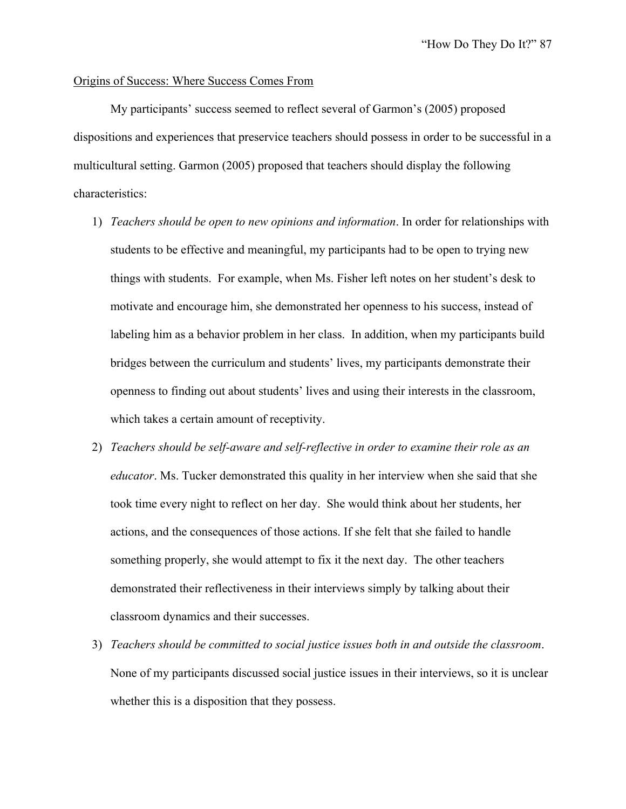#### Origins of Success: Where Success Comes From

My participants' success seemed to reflect several of Garmon's (2005) proposed dispositions and experiences that preservice teachers should possess in order to be successful in a multicultural setting. Garmon (2005) proposed that teachers should display the following characteristics:

- 1) *Teachers should be open to new opinions and information*. In order for relationships with students to be effective and meaningful, my participants had to be open to trying new things with students. For example, when Ms. Fisher left notes on her student's desk to motivate and encourage him, she demonstrated her openness to his success, instead of labeling him as a behavior problem in her class. In addition, when my participants build bridges between the curriculum and students' lives, my participants demonstrate their openness to finding out about students' lives and using their interests in the classroom, which takes a certain amount of receptivity.
- 2) *Teachers should be self-aware and self-reflective in order to examine their role as an educator*. Ms. Tucker demonstrated this quality in her interview when she said that she took time every night to reflect on her day. She would think about her students, her actions, and the consequences of those actions. If she felt that she failed to handle something properly, she would attempt to fix it the next day. The other teachers demonstrated their reflectiveness in their interviews simply by talking about their classroom dynamics and their successes.
- 3) *Teachers should be committed to social justice issues both in and outside the classroom*. None of my participants discussed social justice issues in their interviews, so it is unclear whether this is a disposition that they possess.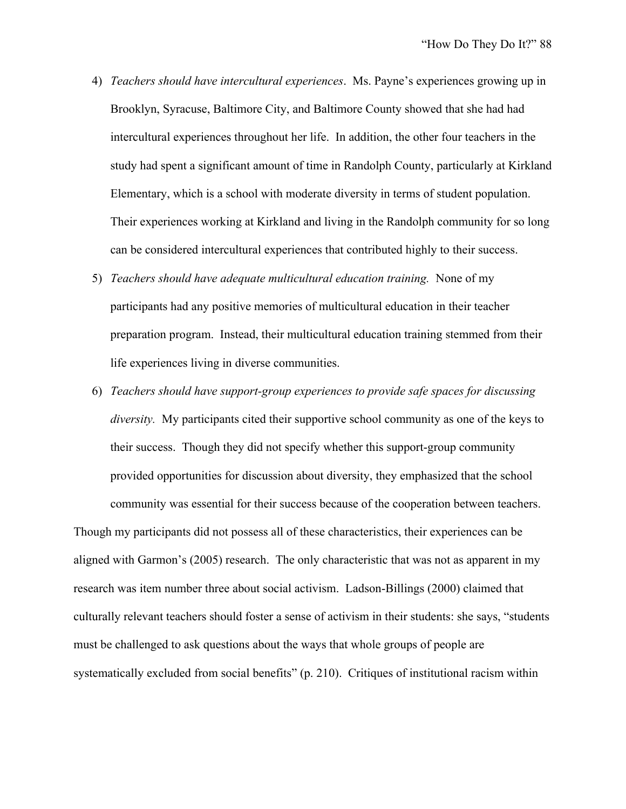- 4) *Teachers should have intercultural experiences*. Ms. Payne's experiences growing up in Brooklyn, Syracuse, Baltimore City, and Baltimore County showed that she had had intercultural experiences throughout her life. In addition, the other four teachers in the study had spent a significant amount of time in Randolph County, particularly at Kirkland Elementary, which is a school with moderate diversity in terms of student population. Their experiences working at Kirkland and living in the Randolph community for so long can be considered intercultural experiences that contributed highly to their success.
- 5) *Teachers should have adequate multicultural education training.* None of my participants had any positive memories of multicultural education in their teacher preparation program. Instead, their multicultural education training stemmed from their life experiences living in diverse communities.
- 6) *Teachers should have support-group experiences to provide safe spaces for discussing diversity.* My participants cited their supportive school community as one of the keys to their success. Though they did not specify whether this support-group community provided opportunities for discussion about diversity, they emphasized that the school community was essential for their success because of the cooperation between teachers.

Though my participants did not possess all of these characteristics, their experiences can be aligned with Garmon's (2005) research. The only characteristic that was not as apparent in my research was item number three about social activism. Ladson-Billings (2000) claimed that culturally relevant teachers should foster a sense of activism in their students: she says, "students must be challenged to ask questions about the ways that whole groups of people are systematically excluded from social benefits" (p. 210). Critiques of institutional racism within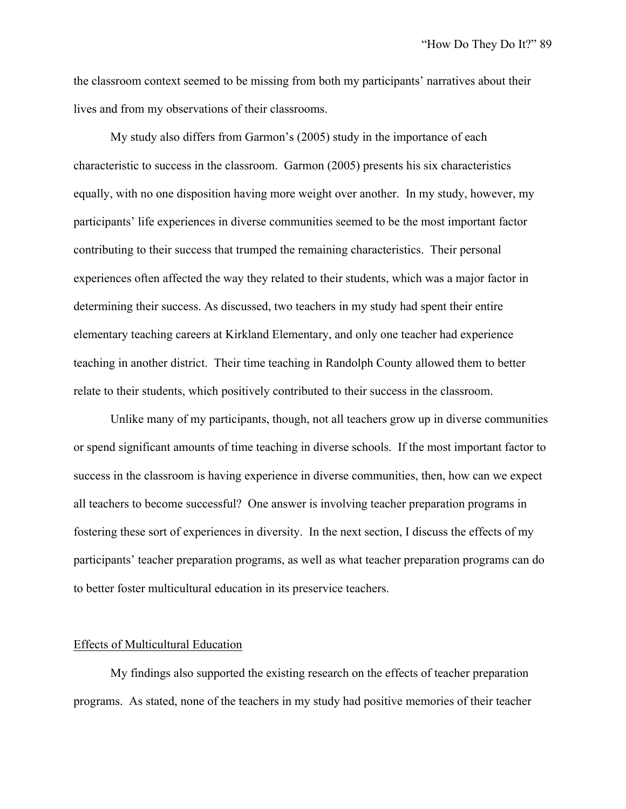the classroom context seemed to be missing from both my participants' narratives about their lives and from my observations of their classrooms.

My study also differs from Garmon's (2005) study in the importance of each characteristic to success in the classroom. Garmon (2005) presents his six characteristics equally, with no one disposition having more weight over another. In my study, however, my participants' life experiences in diverse communities seemed to be the most important factor contributing to their success that trumped the remaining characteristics. Their personal experiences often affected the way they related to their students, which was a major factor in determining their success. As discussed, two teachers in my study had spent their entire elementary teaching careers at Kirkland Elementary, and only one teacher had experience teaching in another district. Their time teaching in Randolph County allowed them to better relate to their students, which positively contributed to their success in the classroom.

Unlike many of my participants, though, not all teachers grow up in diverse communities or spend significant amounts of time teaching in diverse schools. If the most important factor to success in the classroom is having experience in diverse communities, then, how can we expect all teachers to become successful? One answer is involving teacher preparation programs in fostering these sort of experiences in diversity. In the next section, I discuss the effects of my participants' teacher preparation programs, as well as what teacher preparation programs can do to better foster multicultural education in its preservice teachers.

#### Effects of Multicultural Education

My findings also supported the existing research on the effects of teacher preparation programs. As stated, none of the teachers in my study had positive memories of their teacher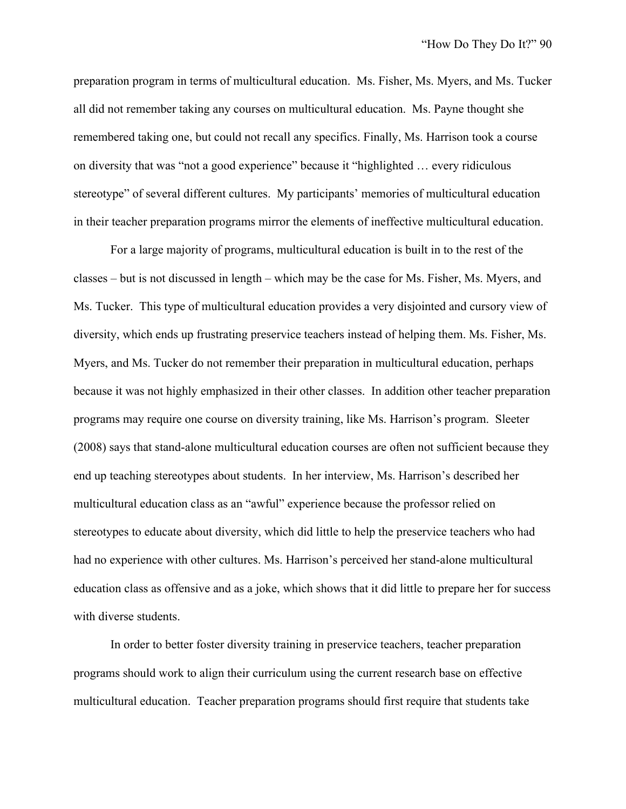preparation program in terms of multicultural education. Ms. Fisher, Ms. Myers, and Ms. Tucker all did not remember taking any courses on multicultural education. Ms. Payne thought she remembered taking one, but could not recall any specifics. Finally, Ms. Harrison took a course on diversity that was "not a good experience" because it "highlighted … every ridiculous stereotype" of several different cultures. My participants' memories of multicultural education in their teacher preparation programs mirror the elements of ineffective multicultural education.

For a large majority of programs, multicultural education is built in to the rest of the classes – but is not discussed in length – which may be the case for Ms. Fisher, Ms. Myers, and Ms. Tucker. This type of multicultural education provides a very disjointed and cursory view of diversity, which ends up frustrating preservice teachers instead of helping them. Ms. Fisher, Ms. Myers, and Ms. Tucker do not remember their preparation in multicultural education, perhaps because it was not highly emphasized in their other classes. In addition other teacher preparation programs may require one course on diversity training, like Ms. Harrison's program. Sleeter (2008) says that stand-alone multicultural education courses are often not sufficient because they end up teaching stereotypes about students. In her interview, Ms. Harrison's described her multicultural education class as an "awful" experience because the professor relied on stereotypes to educate about diversity, which did little to help the preservice teachers who had had no experience with other cultures. Ms. Harrison's perceived her stand-alone multicultural education class as offensive and as a joke, which shows that it did little to prepare her for success with diverse students.

In order to better foster diversity training in preservice teachers, teacher preparation programs should work to align their curriculum using the current research base on effective multicultural education. Teacher preparation programs should first require that students take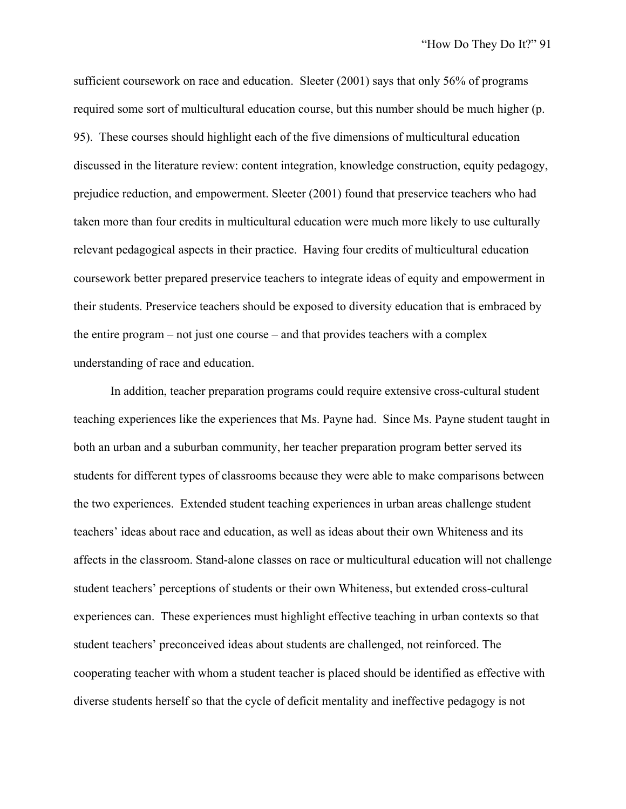sufficient coursework on race and education. Sleeter (2001) says that only 56% of programs required some sort of multicultural education course, but this number should be much higher (p. 95). These courses should highlight each of the five dimensions of multicultural education discussed in the literature review: content integration, knowledge construction, equity pedagogy, prejudice reduction, and empowerment. Sleeter (2001) found that preservice teachers who had taken more than four credits in multicultural education were much more likely to use culturally relevant pedagogical aspects in their practice. Having four credits of multicultural education coursework better prepared preservice teachers to integrate ideas of equity and empowerment in their students. Preservice teachers should be exposed to diversity education that is embraced by the entire program – not just one course – and that provides teachers with a complex understanding of race and education.

In addition, teacher preparation programs could require extensive cross-cultural student teaching experiences like the experiences that Ms. Payne had. Since Ms. Payne student taught in both an urban and a suburban community, her teacher preparation program better served its students for different types of classrooms because they were able to make comparisons between the two experiences. Extended student teaching experiences in urban areas challenge student teachers' ideas about race and education, as well as ideas about their own Whiteness and its affects in the classroom. Stand-alone classes on race or multicultural education will not challenge student teachers' perceptions of students or their own Whiteness, but extended cross-cultural experiences can. These experiences must highlight effective teaching in urban contexts so that student teachers' preconceived ideas about students are challenged, not reinforced. The cooperating teacher with whom a student teacher is placed should be identified as effective with diverse students herself so that the cycle of deficit mentality and ineffective pedagogy is not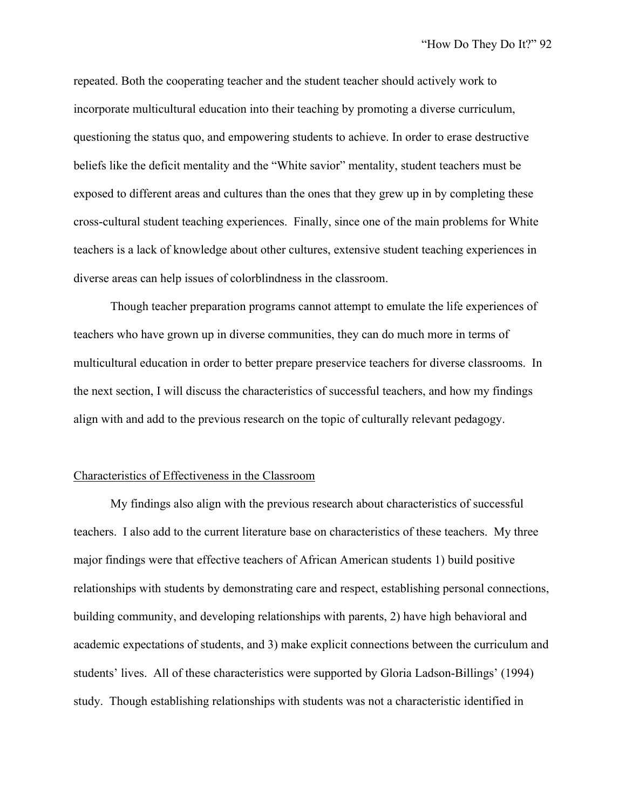repeated. Both the cooperating teacher and the student teacher should actively work to incorporate multicultural education into their teaching by promoting a diverse curriculum, questioning the status quo, and empowering students to achieve. In order to erase destructive beliefs like the deficit mentality and the "White savior" mentality, student teachers must be exposed to different areas and cultures than the ones that they grew up in by completing these cross-cultural student teaching experiences. Finally, since one of the main problems for White teachers is a lack of knowledge about other cultures, extensive student teaching experiences in diverse areas can help issues of colorblindness in the classroom.

Though teacher preparation programs cannot attempt to emulate the life experiences of teachers who have grown up in diverse communities, they can do much more in terms of multicultural education in order to better prepare preservice teachers for diverse classrooms. In the next section, I will discuss the characteristics of successful teachers, and how my findings align with and add to the previous research on the topic of culturally relevant pedagogy.

#### Characteristics of Effectiveness in the Classroom

My findings also align with the previous research about characteristics of successful teachers. I also add to the current literature base on characteristics of these teachers. My three major findings were that effective teachers of African American students 1) build positive relationships with students by demonstrating care and respect, establishing personal connections, building community, and developing relationships with parents, 2) have high behavioral and academic expectations of students, and 3) make explicit connections between the curriculum and students' lives. All of these characteristics were supported by Gloria Ladson-Billings' (1994) study. Though establishing relationships with students was not a characteristic identified in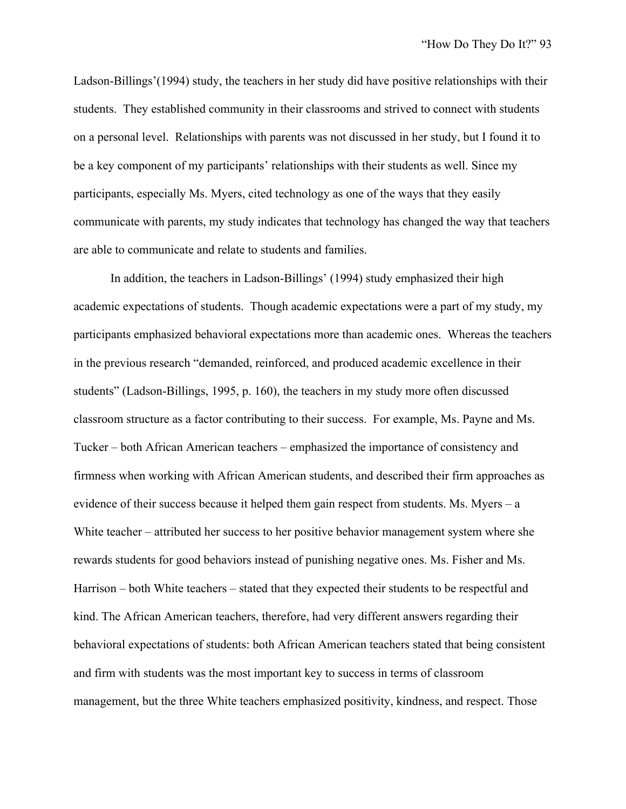Ladson-Billings'(1994) study, the teachers in her study did have positive relationships with their students. They established community in their classrooms and strived to connect with students on a personal level. Relationships with parents was not discussed in her study, but I found it to be a key component of my participants' relationships with their students as well. Since my participants, especially Ms. Myers, cited technology as one of the ways that they easily communicate with parents, my study indicates that technology has changed the way that teachers are able to communicate and relate to students and families.

In addition, the teachers in Ladson-Billings' (1994) study emphasized their high academic expectations of students. Though academic expectations were a part of my study, my participants emphasized behavioral expectations more than academic ones. Whereas the teachers in the previous research "demanded, reinforced, and produced academic excellence in their students" (Ladson-Billings, 1995, p. 160), the teachers in my study more often discussed classroom structure as a factor contributing to their success. For example, Ms. Payne and Ms. Tucker – both African American teachers – emphasized the importance of consistency and firmness when working with African American students, and described their firm approaches as evidence of their success because it helped them gain respect from students. Ms. Myers – a White teacher – attributed her success to her positive behavior management system where she rewards students for good behaviors instead of punishing negative ones. Ms. Fisher and Ms. Harrison – both White teachers – stated that they expected their students to be respectful and kind. The African American teachers, therefore, had very different answers regarding their behavioral expectations of students: both African American teachers stated that being consistent and firm with students was the most important key to success in terms of classroom management, but the three White teachers emphasized positivity, kindness, and respect. Those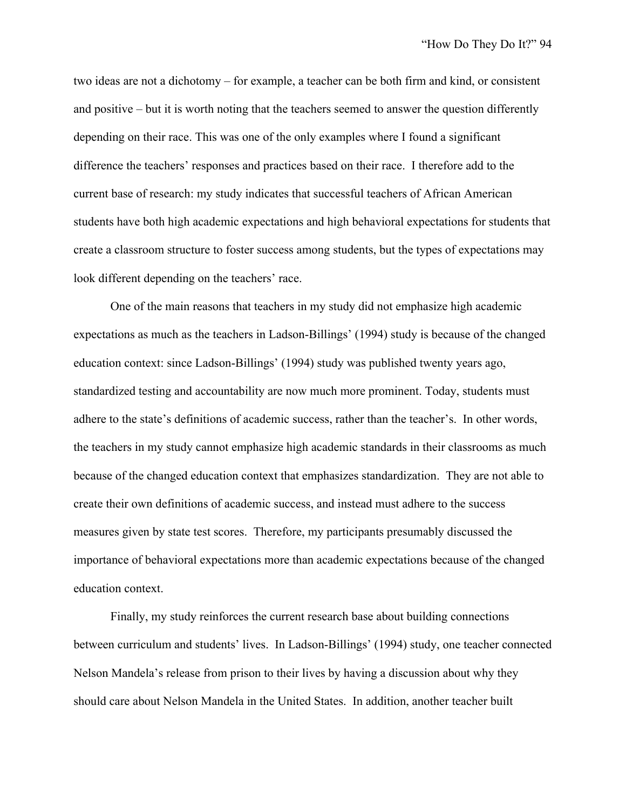two ideas are not a dichotomy – for example, a teacher can be both firm and kind, or consistent and positive – but it is worth noting that the teachers seemed to answer the question differently depending on their race. This was one of the only examples where I found a significant difference the teachers' responses and practices based on their race. I therefore add to the current base of research: my study indicates that successful teachers of African American students have both high academic expectations and high behavioral expectations for students that create a classroom structure to foster success among students, but the types of expectations may look different depending on the teachers' race.

One of the main reasons that teachers in my study did not emphasize high academic expectations as much as the teachers in Ladson-Billings' (1994) study is because of the changed education context: since Ladson-Billings' (1994) study was published twenty years ago, standardized testing and accountability are now much more prominent. Today, students must adhere to the state's definitions of academic success, rather than the teacher's. In other words, the teachers in my study cannot emphasize high academic standards in their classrooms as much because of the changed education context that emphasizes standardization. They are not able to create their own definitions of academic success, and instead must adhere to the success measures given by state test scores. Therefore, my participants presumably discussed the importance of behavioral expectations more than academic expectations because of the changed education context.

Finally, my study reinforces the current research base about building connections between curriculum and students' lives. In Ladson-Billings' (1994) study, one teacher connected Nelson Mandela's release from prison to their lives by having a discussion about why they should care about Nelson Mandela in the United States. In addition, another teacher built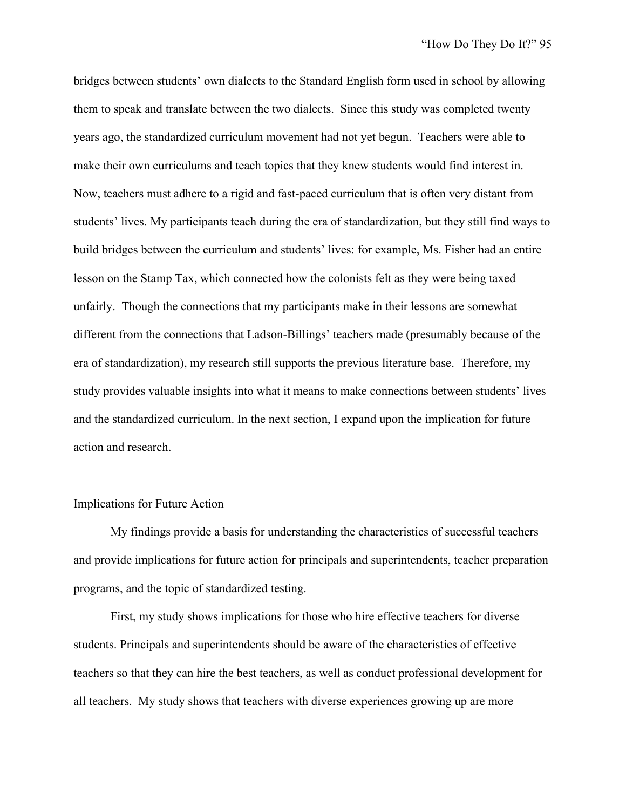bridges between students' own dialects to the Standard English form used in school by allowing them to speak and translate between the two dialects. Since this study was completed twenty years ago, the standardized curriculum movement had not yet begun. Teachers were able to make their own curriculums and teach topics that they knew students would find interest in. Now, teachers must adhere to a rigid and fast-paced curriculum that is often very distant from students' lives. My participants teach during the era of standardization, but they still find ways to build bridges between the curriculum and students' lives: for example, Ms. Fisher had an entire lesson on the Stamp Tax, which connected how the colonists felt as they were being taxed unfairly. Though the connections that my participants make in their lessons are somewhat different from the connections that Ladson-Billings' teachers made (presumably because of the era of standardization), my research still supports the previous literature base. Therefore, my study provides valuable insights into what it means to make connections between students' lives and the standardized curriculum. In the next section, I expand upon the implication for future action and research.

#### Implications for Future Action

My findings provide a basis for understanding the characteristics of successful teachers and provide implications for future action for principals and superintendents, teacher preparation programs, and the topic of standardized testing.

First, my study shows implications for those who hire effective teachers for diverse students. Principals and superintendents should be aware of the characteristics of effective teachers so that they can hire the best teachers, as well as conduct professional development for all teachers. My study shows that teachers with diverse experiences growing up are more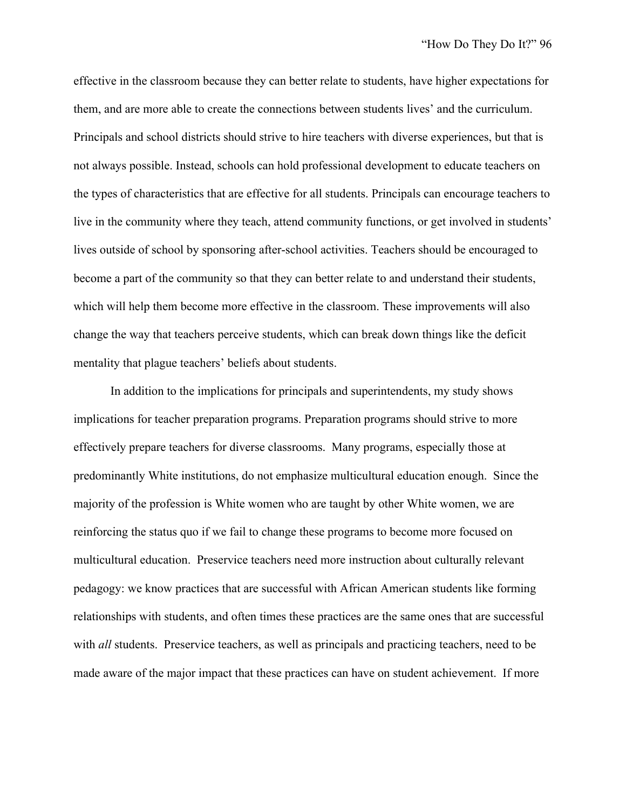effective in the classroom because they can better relate to students, have higher expectations for them, and are more able to create the connections between students lives' and the curriculum. Principals and school districts should strive to hire teachers with diverse experiences, but that is not always possible. Instead, schools can hold professional development to educate teachers on the types of characteristics that are effective for all students. Principals can encourage teachers to live in the community where they teach, attend community functions, or get involved in students' lives outside of school by sponsoring after-school activities. Teachers should be encouraged to become a part of the community so that they can better relate to and understand their students, which will help them become more effective in the classroom. These improvements will also change the way that teachers perceive students, which can break down things like the deficit mentality that plague teachers' beliefs about students.

In addition to the implications for principals and superintendents, my study shows implications for teacher preparation programs. Preparation programs should strive to more effectively prepare teachers for diverse classrooms. Many programs, especially those at predominantly White institutions, do not emphasize multicultural education enough. Since the majority of the profession is White women who are taught by other White women, we are reinforcing the status quo if we fail to change these programs to become more focused on multicultural education. Preservice teachers need more instruction about culturally relevant pedagogy: we know practices that are successful with African American students like forming relationships with students, and often times these practices are the same ones that are successful with *all* students. Preservice teachers, as well as principals and practicing teachers, need to be made aware of the major impact that these practices can have on student achievement. If more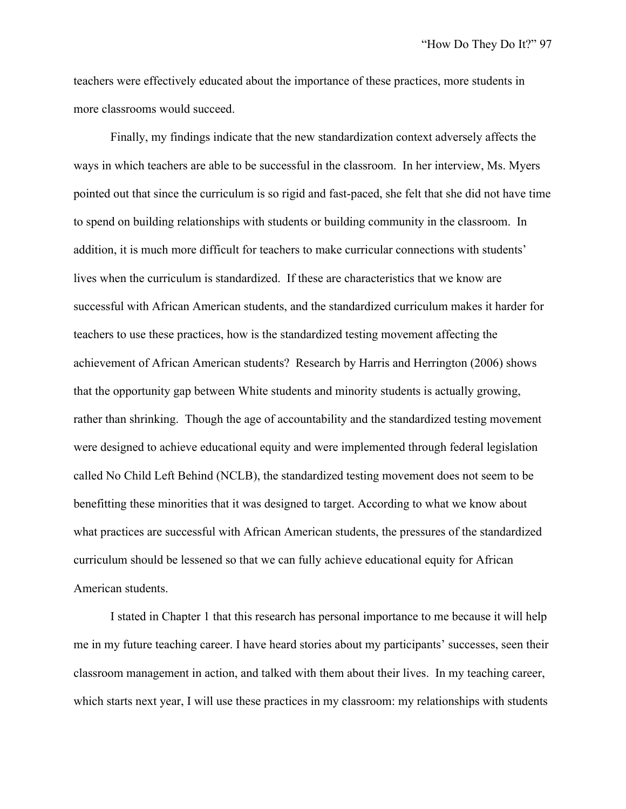teachers were effectively educated about the importance of these practices, more students in more classrooms would succeed.

Finally, my findings indicate that the new standardization context adversely affects the ways in which teachers are able to be successful in the classroom. In her interview, Ms. Myers pointed out that since the curriculum is so rigid and fast-paced, she felt that she did not have time to spend on building relationships with students or building community in the classroom. In addition, it is much more difficult for teachers to make curricular connections with students' lives when the curriculum is standardized. If these are characteristics that we know are successful with African American students, and the standardized curriculum makes it harder for teachers to use these practices, how is the standardized testing movement affecting the achievement of African American students? Research by Harris and Herrington (2006) shows that the opportunity gap between White students and minority students is actually growing, rather than shrinking. Though the age of accountability and the standardized testing movement were designed to achieve educational equity and were implemented through federal legislation called No Child Left Behind (NCLB), the standardized testing movement does not seem to be benefitting these minorities that it was designed to target. According to what we know about what practices are successful with African American students, the pressures of the standardized curriculum should be lessened so that we can fully achieve educational equity for African American students.

I stated in Chapter 1 that this research has personal importance to me because it will help me in my future teaching career. I have heard stories about my participants' successes, seen their classroom management in action, and talked with them about their lives. In my teaching career, which starts next year, I will use these practices in my classroom: my relationships with students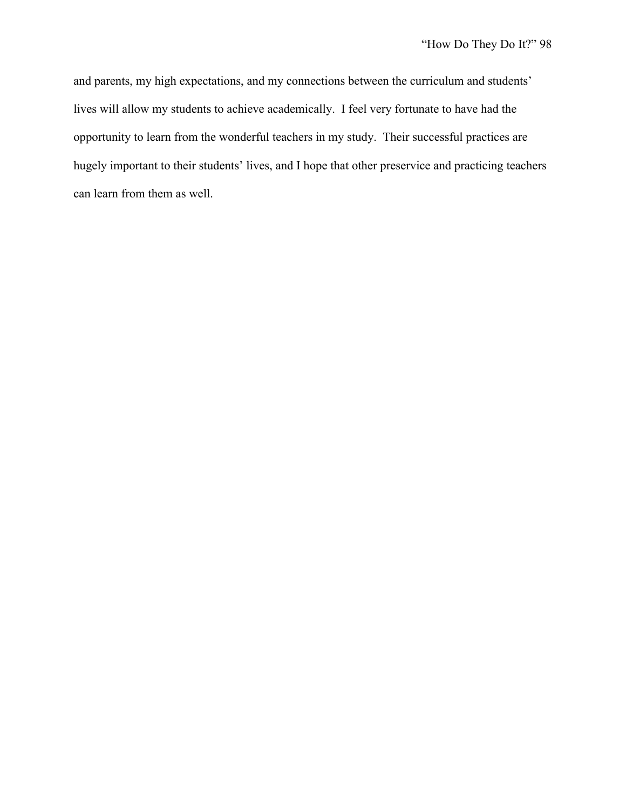and parents, my high expectations, and my connections between the curriculum and students' lives will allow my students to achieve academically. I feel very fortunate to have had the opportunity to learn from the wonderful teachers in my study. Their successful practices are hugely important to their students' lives, and I hope that other preservice and practicing teachers can learn from them as well.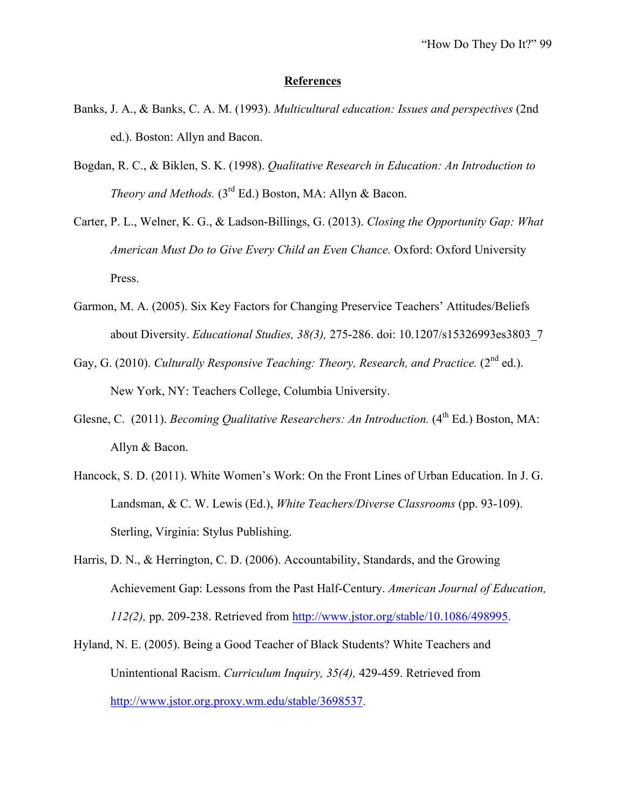#### **References**

- Banks, J. A., & Banks, C. A. M. (1993). *Multicultural education: Issues and perspectives* (2nd ed.). Boston: Allyn and Bacon.
- Bogdan, R. C., & Biklen, S. K. (1998). *Qualitative Research in Education: An Introduction to Theory and Methods.* (3<sup>rd</sup> Ed.) Boston, MA: Allyn & Bacon.
- Carter, P. L., Welner, K. G., & Ladson-Billings, G. (2013). *Closing the Opportunity Gap: What American Must Do to Give Every Child an Even Chance.* Oxford: Oxford University Press.
- Garmon, M. A. (2005). Six Key Factors for Changing Preservice Teachers' Attitudes/Beliefs about Diversity. *Educational Studies, 38(3),* 275-286. doi: 10.1207/s15326993es3803\_7
- Gay, G. (2010). *Culturally Responsive Teaching: Theory, Research, and Practice.* (2<sup>nd</sup> ed.). New York, NY: Teachers College, Columbia University.
- Glesne, C. (2011). *Becoming Qualitative Researchers: An Introduction.* (4<sup>th</sup> Ed.) Boston, MA: Allyn & Bacon.
- Hancock, S. D. (2011). White Women's Work: On the Front Lines of Urban Education. In J. G. Landsman, & C. W. Lewis (Ed.), *White Teachers/Diverse Classrooms* (pp. 93-109). Sterling, Virginia: Stylus Publishing.
- Harris, D. N., & Herrington, C. D. (2006). Accountability, Standards, and the Growing Achievement Gap: Lessons from the Past Half-Century. *American Journal of Education, 112(2),* pp. 209-238. Retrieved from http://www.jstor.org/stable/10.1086/498995.
- Hyland, N. E. (2005). Being a Good Teacher of Black Students? White Teachers and Unintentional Racism. *Curriculum Inquiry, 35(4),* 429-459. Retrieved from http://www.jstor.org.proxy.wm.edu/stable/3698537.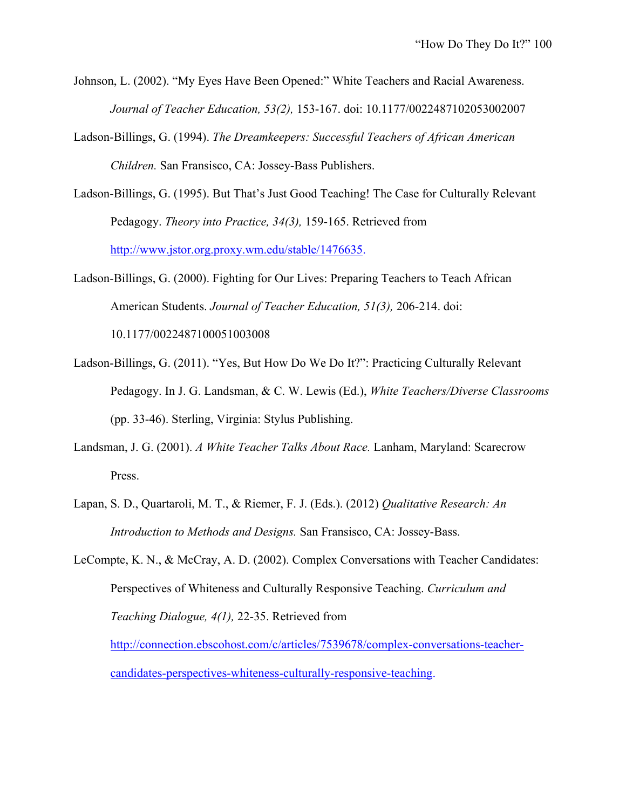- Johnson, L. (2002). "My Eyes Have Been Opened:" White Teachers and Racial Awareness. *Journal of Teacher Education, 53(2),* 153-167. doi: 10.1177/0022487102053002007
- Ladson-Billings, G. (1994). *The Dreamkeepers: Successful Teachers of African American Children.* San Fransisco, CA: Jossey-Bass Publishers.
- Ladson-Billings, G. (1995). But That's Just Good Teaching! The Case for Culturally Relevant Pedagogy. *Theory into Practice, 34(3),* 159-165. Retrieved from http://www.jstor.org.proxy.wm.edu/stable/1476635.
- Ladson-Billings, G. (2000). Fighting for Our Lives: Preparing Teachers to Teach African American Students. *Journal of Teacher Education, 51(3),* 206-214. doi:

10.1177/0022487100051003008

- Ladson-Billings, G. (2011). "Yes, But How Do We Do It?": Practicing Culturally Relevant Pedagogy. In J. G. Landsman, & C. W. Lewis (Ed.), *White Teachers/Diverse Classrooms*  (pp. 33-46). Sterling, Virginia: Stylus Publishing.
- Landsman, J. G. (2001). *A White Teacher Talks About Race.* Lanham, Maryland: Scarecrow Press.
- Lapan, S. D., Quartaroli, M. T., & Riemer, F. J. (Eds.). (2012) *Qualitative Research: An Introduction to Methods and Designs.* San Fransisco, CA: Jossey-Bass.
- LeCompte, K. N., & McCray, A. D. (2002). Complex Conversations with Teacher Candidates: Perspectives of Whiteness and Culturally Responsive Teaching. *Curriculum and Teaching Dialogue, 4(1),* 22-35. Retrieved from http://connection.ebscohost.com/c/articles/7539678/complex-conversations-teacher-

candidates-perspectives-whiteness-culturally-responsive-teaching.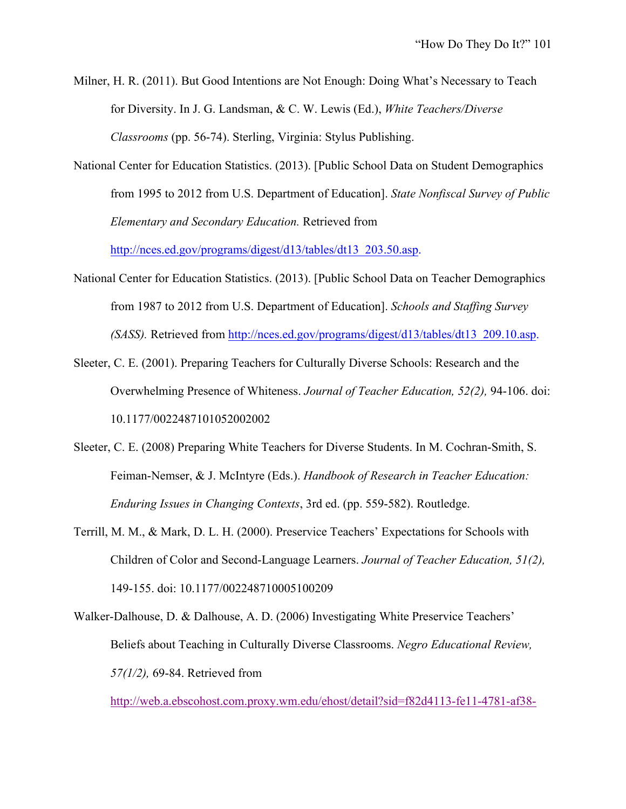Milner, H. R. (2011). But Good Intentions are Not Enough: Doing What's Necessary to Teach for Diversity. In J. G. Landsman, & C. W. Lewis (Ed.), *White Teachers/Diverse Classrooms* (pp. 56-74). Sterling, Virginia: Stylus Publishing.

National Center for Education Statistics. (2013). [Public School Data on Student Demographics from 1995 to 2012 from U.S. Department of Education]. *State Nonfiscal Survey of Public Elementary and Secondary Education.* Retrieved from

http://nces.ed.gov/programs/digest/d13/tables/dt13\_203.50.asp.

- National Center for Education Statistics. (2013). [Public School Data on Teacher Demographics from 1987 to 2012 from U.S. Department of Education]. *Schools and Staffing Survey (SASS).* Retrieved from http://nces.ed.gov/programs/digest/d13/tables/dt13\_209.10.asp.
- Sleeter, C. E. (2001). Preparing Teachers for Culturally Diverse Schools: Research and the Overwhelming Presence of Whiteness. *Journal of Teacher Education, 52(2),* 94-106. doi: 10.1177/0022487101052002002
- Sleeter, C. E. (2008) Preparing White Teachers for Diverse Students. In M. Cochran-Smith, S. Feiman-Nemser, & J. McIntyre (Eds.). *Handbook of Research in Teacher Education: Enduring Issues in Changing Contexts*, 3rd ed. (pp. 559-582). Routledge.
- Terrill, M. M., & Mark, D. L. H. (2000). Preservice Teachers' Expectations for Schools with Children of Color and Second-Language Learners. *Journal of Teacher Education, 51(2),*  149-155. doi: 10.1177/002248710005100209
- Walker-Dalhouse, D. & Dalhouse, A. D. (2006) Investigating White Preservice Teachers' Beliefs about Teaching in Culturally Diverse Classrooms. *Negro Educational Review, 57(1/2),* 69-84. Retrieved from

http://web.a.ebscohost.com.proxy.wm.edu/ehost/detail?sid=f82d4113-fe11-4781-af38-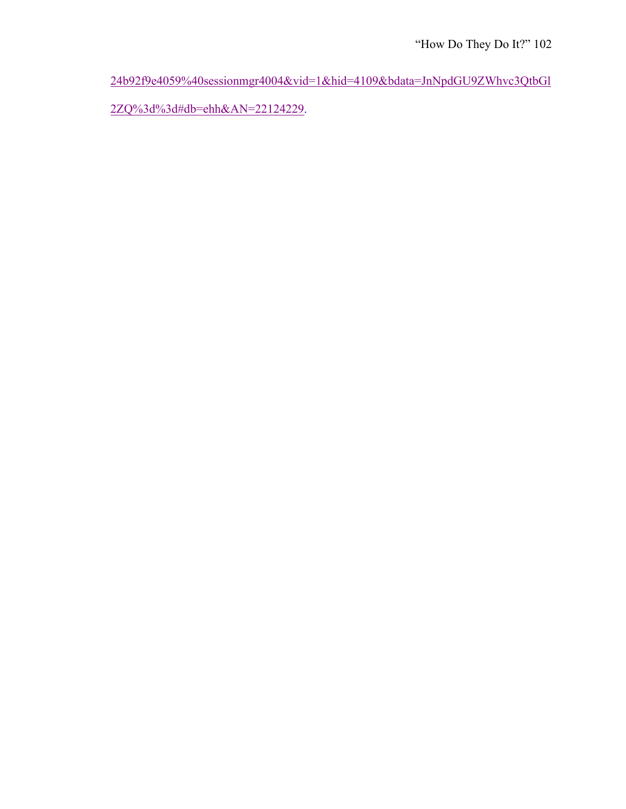24b92f9e4059%40sessionmgr4004&vid=1&hid=4109&bdata=JnNpdGU9ZWhvc3QtbGl

2ZQ%3d%3d#db=ehh&AN=22124229.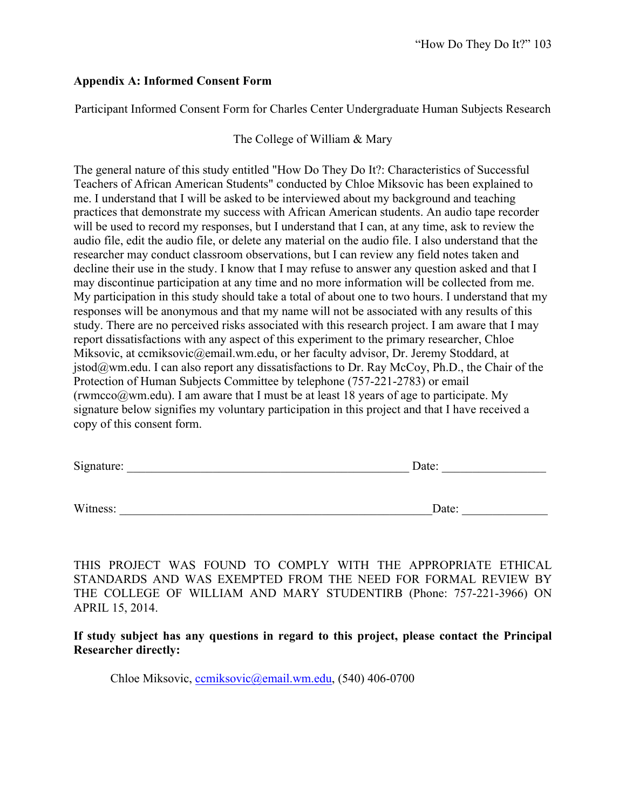### **Appendix A: Informed Consent Form**

Participant Informed Consent Form for Charles Center Undergraduate Human Subjects Research

### The College of William & Mary

The general nature of this study entitled "How Do They Do It?: Characteristics of Successful Teachers of African American Students" conducted by Chloe Miksovic has been explained to me. I understand that I will be asked to be interviewed about my background and teaching practices that demonstrate my success with African American students. An audio tape recorder will be used to record my responses, but I understand that I can, at any time, ask to review the audio file, edit the audio file, or delete any material on the audio file. I also understand that the researcher may conduct classroom observations, but I can review any field notes taken and decline their use in the study. I know that I may refuse to answer any question asked and that I may discontinue participation at any time and no more information will be collected from me. My participation in this study should take a total of about one to two hours. I understand that my responses will be anonymous and that my name will not be associated with any results of this study. There are no perceived risks associated with this research project. I am aware that I may report dissatisfactions with any aspect of this experiment to the primary researcher, Chloe Miksovic, at ccmiksovic@email.wm.edu, or her faculty advisor, Dr. Jeremy Stoddard, at  $jstod@wm.edu$ . I can also report any dissatisfactions to Dr. Ray McCoy, Ph.D., the Chair of the Protection of Human Subjects Committee by telephone (757-221-2783) or email (rwmcco $@$ wm.edu). I am aware that I must be at least 18 years of age to participate. My signature below signifies my voluntary participation in this project and that I have received a copy of this consent form.

| Signature: | Date: |
|------------|-------|
|            |       |

Witness: \_\_\_\_\_\_\_\_\_\_\_\_\_\_\_\_\_\_\_\_\_\_\_\_\_\_\_\_\_\_\_\_\_\_\_\_\_\_\_\_\_\_\_\_\_\_\_\_\_\_\_Date: \_\_\_\_\_\_\_\_\_\_\_\_\_\_

THIS PROJECT WAS FOUND TO COMPLY WITH THE APPROPRIATE ETHICAL STANDARDS AND WAS EXEMPTED FROM THE NEED FOR FORMAL REVIEW BY THE COLLEGE OF WILLIAM AND MARY STUDENTIRB (Phone: 757-221-3966) ON APRIL 15, 2014.

**If study subject has any questions in regard to this project, please contact the Principal Researcher directly:**

Chloe Miksovic, ccmiksovic@email.wm.edu, (540) 406-0700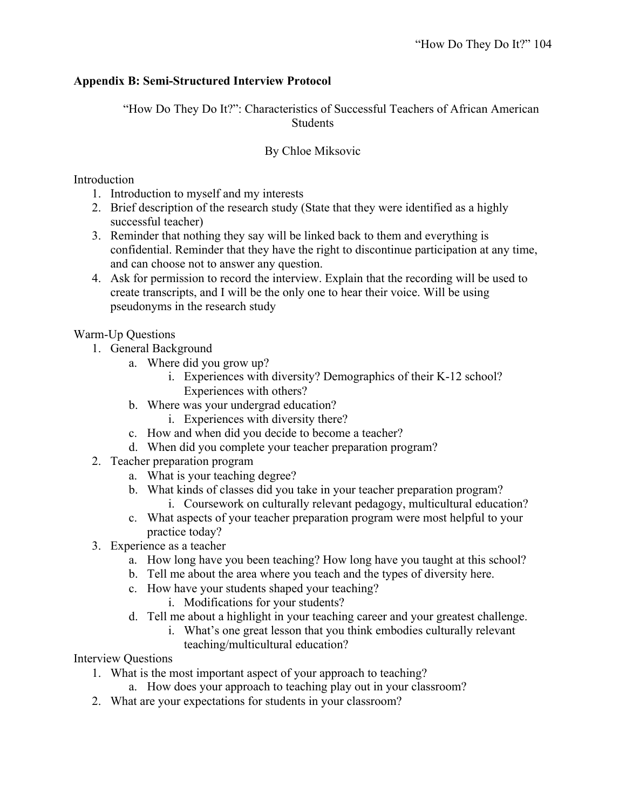## **Appendix B: Semi-Structured Interview Protocol**

"How Do They Do It?": Characteristics of Successful Teachers of African American **Students** 

## By Chloe Miksovic

### Introduction

- 1. Introduction to myself and my interests
- 2. Brief description of the research study (State that they were identified as a highly successful teacher)
- 3. Reminder that nothing they say will be linked back to them and everything is confidential. Reminder that they have the right to discontinue participation at any time, and can choose not to answer any question.
- 4. Ask for permission to record the interview. Explain that the recording will be used to create transcripts, and I will be the only one to hear their voice. Will be using pseudonyms in the research study

## Warm-Up Questions

- 1. General Background
	- a. Where did you grow up?
		- i. Experiences with diversity? Demographics of their K-12 school? Experiences with others?
	- b. Where was your undergrad education?
		- i. Experiences with diversity there?
	- c. How and when did you decide to become a teacher?
	- d. When did you complete your teacher preparation program?
- 2. Teacher preparation program
	- a. What is your teaching degree?
	- b. What kinds of classes did you take in your teacher preparation program? i. Coursework on culturally relevant pedagogy, multicultural education?
	- c. What aspects of your teacher preparation program were most helpful to your practice today?
- 3. Experience as a teacher
	- a. How long have you been teaching? How long have you taught at this school?
	- b. Tell me about the area where you teach and the types of diversity here.
	- c. How have your students shaped your teaching?
		- i. Modifications for your students?
	- d. Tell me about a highlight in your teaching career and your greatest challenge.
		- i. What's one great lesson that you think embodies culturally relevant teaching/multicultural education?

## Interview Questions

- 1. What is the most important aspect of your approach to teaching?
	- a. How does your approach to teaching play out in your classroom?
- 2. What are your expectations for students in your classroom?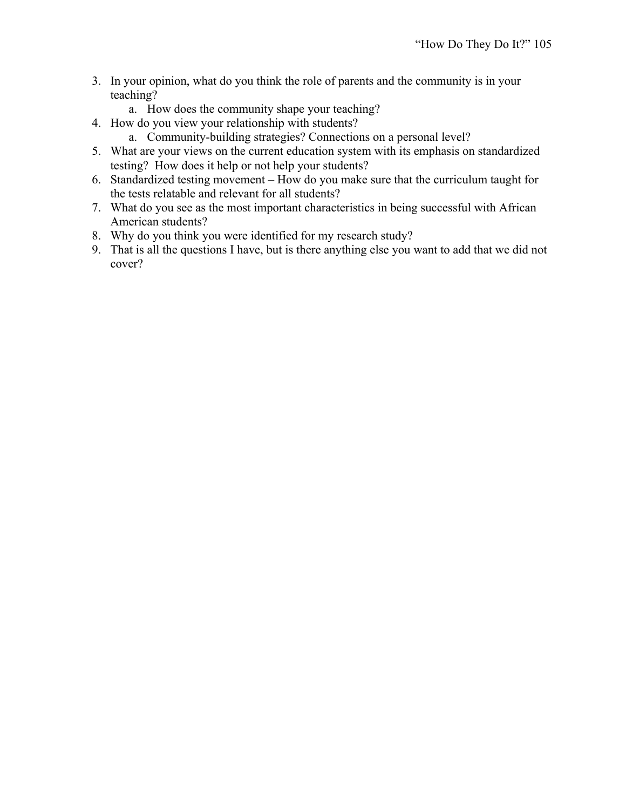- 3. In your opinion, what do you think the role of parents and the community is in your teaching?
	- a. How does the community shape your teaching?
- 4. How do you view your relationship with students?
	- a. Community-building strategies? Connections on a personal level?
- 5. What are your views on the current education system with its emphasis on standardized testing? How does it help or not help your students?
- 6. Standardized testing movement How do you make sure that the curriculum taught for the tests relatable and relevant for all students?
- 7. What do you see as the most important characteristics in being successful with African American students?
- 8. Why do you think you were identified for my research study?
- 9. That is all the questions I have, but is there anything else you want to add that we did not cover?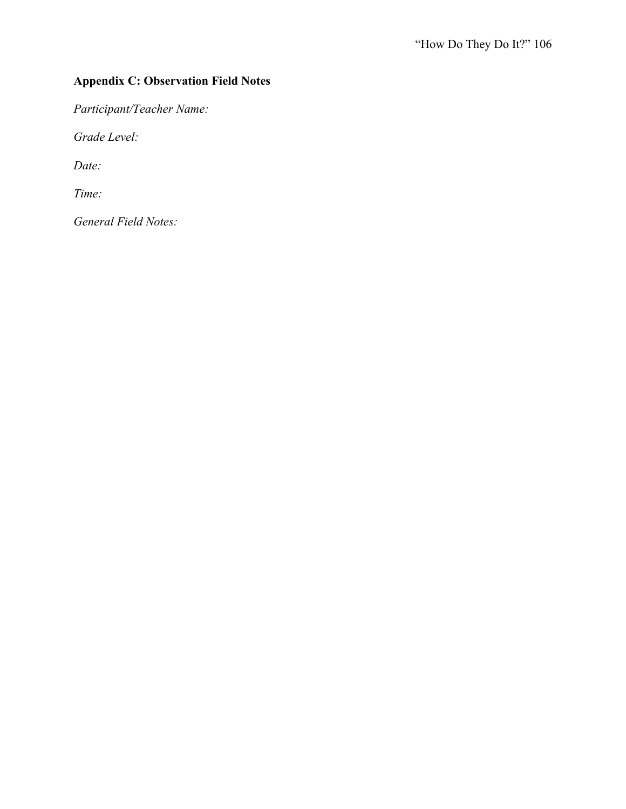# **Appendix C: Observation Field Notes**

*Participant/Teacher Name:*

*Grade Level:*

*Date:*

*Time:*

*General Field Notes:*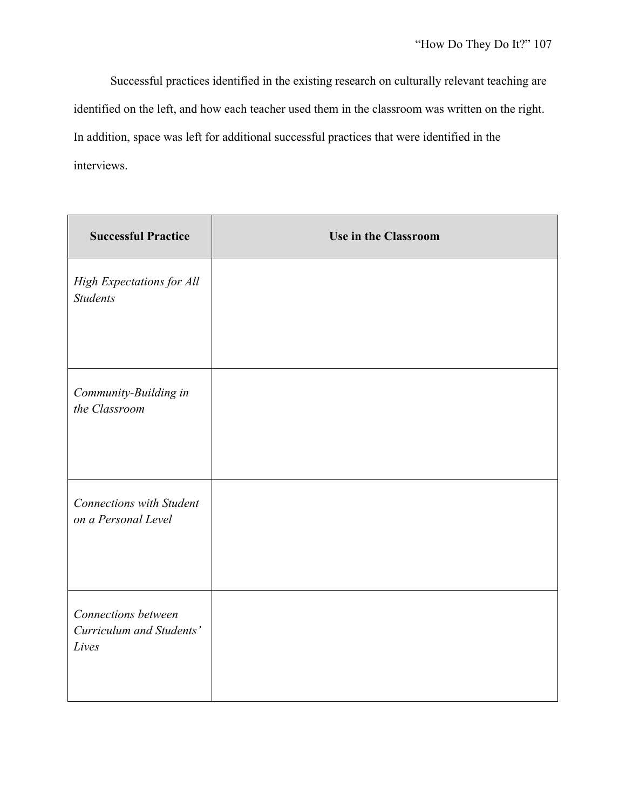Successful practices identified in the existing research on culturally relevant teaching are identified on the left, and how each teacher used them in the classroom was written on the right. In addition, space was left for additional successful practices that were identified in the interviews.

| <b>Successful Practice</b>                               | <b>Use in the Classroom</b> |
|----------------------------------------------------------|-----------------------------|
| High Expectations for All<br><b>Students</b>             |                             |
| Community-Building in<br>the Classroom                   |                             |
| <b>Connections with Student</b><br>on a Personal Level   |                             |
| Connections between<br>Curriculum and Students'<br>Lives |                             |